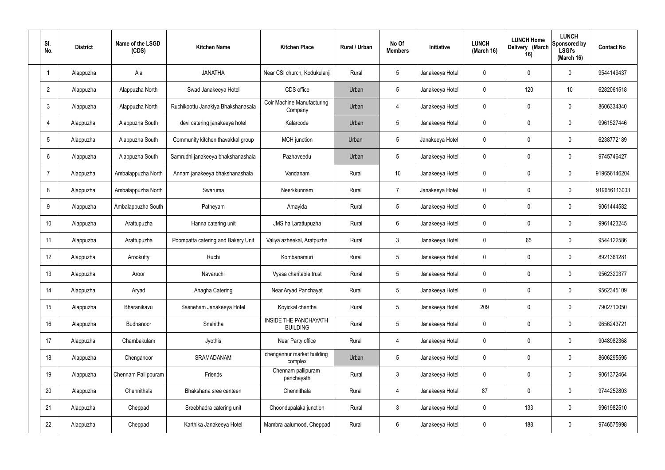| SI.<br>No.      | <b>District</b> | Name of the LSGD<br>(CDS) | <b>Kitchen Name</b>                | <b>Kitchen Place</b>                            | Rural / Urban | No Of<br><b>Members</b> | <b>Initiative</b> | <b>LUNCH</b><br>(March 16) | <b>LUNCH Home</b><br>Delivery (March<br>16) | <b>LUNCH</b><br>Sponsored by<br><b>LSGI's</b><br>(March 16) | <b>Contact No</b> |
|-----------------|-----------------|---------------------------|------------------------------------|-------------------------------------------------|---------------|-------------------------|-------------------|----------------------------|---------------------------------------------|-------------------------------------------------------------|-------------------|
|                 | Alappuzha       | Ala                       | <b>JANATHA</b>                     | Near CSI church, Kodukulanji                    | Rural         | $5\phantom{.0}$         | Janakeeya Hotel   | 0                          | 0                                           | $\mathbf 0$                                                 | 9544149437        |
| $\overline{2}$  | Alappuzha       | Alappuzha North           | Swad Janakeeya Hotel               | CDS office                                      | Urban         | $5\phantom{.0}$         | Janakeeya Hotel   | $\mathbf 0$                | 120                                         | 10                                                          | 6282061518        |
| $\mathbf{3}$    | Alappuzha       | Alappuzha North           | Ruchikoottu Janakiya Bhakshanasala | <b>Coir Machine Manufacturing</b><br>Company    | Urban         | 4                       | Janakeeya Hotel   | $\mathbf 0$                | 0                                           | $\mathbf 0$                                                 | 8606334340        |
| $\overline{4}$  | Alappuzha       | Alappuzha South           | devi catering janakeeya hotel      | Kalarcode                                       | Urban         | $5\phantom{.0}$         | Janakeeya Hotel   | $\mathbf 0$                | 0                                           | $\mathbf 0$                                                 | 9961527446        |
| $5\overline{)}$ | Alappuzha       | Alappuzha South           | Community kitchen thavakkal group  | MCH junction                                    | Urban         | $5\phantom{.0}$         | Janakeeya Hotel   | $\mathbf 0$                | 0                                           | $\mathbf 0$                                                 | 6238772189        |
| 6               | Alappuzha       | Alappuzha South           | Samrudhi janakeeya bhakshanashala  | Pazhaveedu                                      | Urban         | $5\phantom{.0}$         | Janakeeya Hotel   | $\mathbf 0$                | 0                                           | $\mathbf 0$                                                 | 9745746427        |
| $\overline{7}$  | Alappuzha       | Ambalappuzha North        | Annam janakeeya bhakshanashala     | Vandanam                                        | Rural         | 10 <sup>°</sup>         | Janakeeya Hotel   | $\mathbf 0$                | 0                                           | $\mathbf 0$                                                 | 919656146204      |
| 8               | Alappuzha       | Ambalappuzha North        | Swaruma                            | Neerkkunnam                                     | Rural         | $\overline{7}$          | Janakeeya Hotel   | $\mathbf 0$                | 0                                           | $\mathbf 0$                                                 | 919656113003      |
| 9               | Alappuzha       | Ambalappuzha South        | Patheyam                           | Amayida                                         | Rural         | $5\phantom{.0}$         | Janakeeya Hotel   | $\mathbf 0$                | 0                                           | $\mathbf 0$                                                 | 9061444582        |
| 10              | Alappuzha       | Arattupuzha               | Hanna catering unit                | JMS hall, arattupuzha                           | Rural         | $6\phantom{.}6$         | Janakeeya Hotel   | $\mathbf 0$                | 0                                           | $\mathbf 0$                                                 | 9961423245        |
| 11              | Alappuzha       | Arattupuzha               | Poompatta catering and Bakery Unit | Valiya azheekal, Aratpuzha                      | Rural         | $\mathbf{3}$            | Janakeeya Hotel   | $\mathbf 0$                | 65                                          | $\mathbf 0$                                                 | 9544122586        |
| 12              | Alappuzha       | Arookutty                 | Ruchi                              | Kombanamuri                                     | Rural         | $5\phantom{.0}$         | Janakeeya Hotel   | $\mathbf 0$                | 0                                           | $\mathbf 0$                                                 | 8921361281        |
| 13              | Alappuzha       | Aroor                     | Navaruchi                          | Vyasa charitable trust                          | Rural         | $5\phantom{.0}$         | Janakeeya Hotel   | $\mathbf 0$                | 0                                           | 0                                                           | 9562320377        |
| 14              | Alappuzha       | Aryad                     | Anagha Catering                    | Near Aryad Panchayat                            | Rural         | $5\phantom{.0}$         | Janakeeya Hotel   | $\mathbf 0$                | $\mathbf 0$                                 | $\mathbf 0$                                                 | 9562345109        |
| 15              | Alappuzha       | Bharanikavu               | Sasneham Janakeeya Hotel           | Koyickal chantha                                | Rural         | $5\phantom{.0}$         | Janakeeya Hotel   | 209                        | $\mathbf 0$                                 | $\mathbf 0$                                                 | 7902710050        |
| 16              | Alappuzha       | Budhanoor                 | Snehitha                           | <b>INSIDE THE PANCHAYATH</b><br><b>BUILDING</b> | Rural         | $5\phantom{.0}$         | Janakeeya Hotel   | $\mathbf 0$                | $\mathbf 0$                                 | $\mathbf 0$                                                 | 9656243721        |
| 17              | Alappuzha       | Chambakulam               | Jyothis                            | Near Party office                               | Rural         | 4                       | Janakeeya Hotel   | $\mathbf 0$                | $\mathbf 0$                                 | $\mathbf 0$                                                 | 9048982368        |
| 18              | Alappuzha       | Chenganoor                | SRAMADANAM                         | chengannur market building<br>complex           | Urban         | $5\phantom{.0}$         | Janakeeya Hotel   | $\mathbf 0$                | 0                                           | $\mathbf 0$                                                 | 8606295595        |
| 19              | Alappuzha       | Chennam Pallippuram       | Friends                            | Chennam pallipuram<br>panchayath                | Rural         | $\mathbf{3}$            | Janakeeya Hotel   | $\mathbf 0$                | 0                                           | $\mathbf 0$                                                 | 9061372464        |
| 20              | Alappuzha       | Chennithala               | Bhakshana sree canteen             | Chennithala                                     | Rural         | $\overline{4}$          | Janakeeya Hotel   | 87                         | 0                                           | $\mathbf 0$                                                 | 9744252803        |
| 21              | Alappuzha       | Cheppad                   | Sreebhadra catering unit           | Choondupalaka junction                          | Rural         | $\mathbf{3}$            | Janakeeya Hotel   | $\mathbf 0$                | 133                                         | $\mathbf 0$                                                 | 9961982510        |
| 22              | Alappuzha       | Cheppad                   | Karthika Janakeeya Hotel           | Mambra aalumood, Cheppad                        | Rural         | $6\overline{6}$         | Janakeeya Hotel   | 0                          | 188                                         | $\mathbf 0$                                                 | 9746575998        |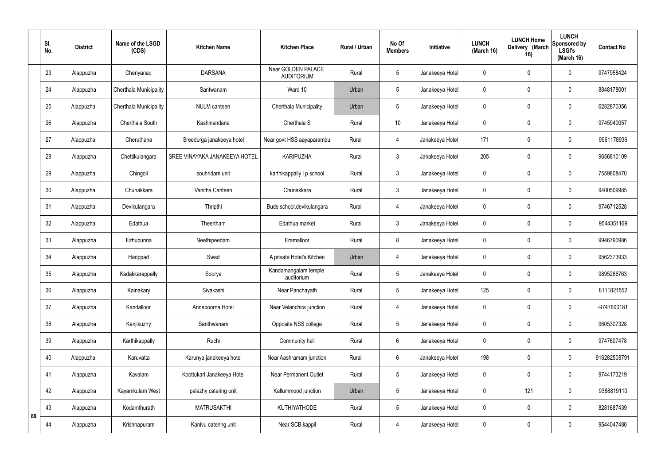|    | SI.<br>No. | <b>District</b> | Name of the LSGD<br>(CDS) | <b>Kitchen Name</b>           | <b>Kitchen Place</b>                    | Rural / Urban | No Of<br><b>Members</b> | Initiative      | <b>LUNCH</b><br>(March 16) | <b>LUNCH Home</b><br>Delivery (March<br>16) | <b>LUNCH</b><br>Sponsored by<br><b>LSGI's</b><br>(March 16) | <b>Contact No</b> |
|----|------------|-----------------|---------------------------|-------------------------------|-----------------------------------------|---------------|-------------------------|-----------------|----------------------------|---------------------------------------------|-------------------------------------------------------------|-------------------|
|    | 23         | Alappuzha       | Cheriyanad                | <b>DARSANA</b>                | Near GOLDEN PALACE<br><b>AUDITORIUM</b> | Rural         | $5\overline{)}$         | Janakeeya Hotel | 0                          | $\mathbf{0}$                                | $\mathbf 0$                                                 | 9747958424        |
|    | 24         | Alappuzha       | Cherthala Municipality    | Santwanam                     | Ward 10                                 | Urban         | 5                       | Janakeeya Hotel | 0                          | $\mathbf{0}$                                | $\mathbf 0$                                                 | 8848178001        |
|    | 25         | Alappuzha       | Cherthala Municipality    | <b>NULM</b> canteen           | Cherthala Municipality                  | Urban         | 5                       | Janakeeya Hotel | 0                          | 0                                           | $\mathbf 0$                                                 | 6282870356        |
|    | 26         | Alappuzha       | Cherthala South           | Kashinandana                  | Cherthala S                             | Rural         | 10                      | Janakeeya Hotel | 0                          | $\mathbf{0}$                                | $\pmb{0}$                                                   | 9745940057        |
|    | 27         | Alappuzha       | Cheruthana                | Sreedurga janakeeya hotel     | Near govt HSS aayaparambu               | Rural         | $\overline{4}$          | Janakeeya Hotel | 171                        | 0                                           | $\mathbf 0$                                                 | 9961178936        |
|    | 28         | Alappuzha       | Chettikulangara           | SREE VINAYAKA JANAKEEYA HOTEL | <b>KARIPUZHA</b>                        | Rural         | $\mathbf{3}$            | Janakeeya Hotel | 205                        | $\pmb{0}$                                   | $\pmb{0}$                                                   | 9656810109        |
|    | 29         | Alappuzha       | Chingoli                  | souhridam unit                | karthikappally I p school               | Rural         | $\mathbf{3}$            | Janakeeya Hotel | 0                          | 0                                           | $\mathbf 0$                                                 | 7559808470        |
|    | 30         | Alappuzha       | Chunakkara                | Vanitha Canteen               | Chunakkara                              | Rural         | $\mathfrak{Z}$          | Janakeeya Hotel | 0                          | $\mathbf 0$                                 | $\mathbf 0$                                                 | 9400509985        |
|    | 31         | Alappuzha       | Devikulangara             | Thripthi                      | Buds school, devikulangara              | Rural         | $\overline{4}$          | Janakeeya Hotel | 0                          | 0                                           | $\mathbf 0$                                                 | 9746712528        |
|    | 32         | Alappuzha       | Edathua                   | Theertham                     | Edathua market                          | Rural         | 3                       | Janakeeya Hotel | 0                          | 0                                           | $\mathbf 0$                                                 | 9544351169        |
|    | 33         | Alappuzha       | Ezhupunna                 | Neethipeedam                  | Eramalloor                              | Rural         | 8                       | Janakeeya Hotel | 0                          | 0                                           | $\mathbf 0$                                                 | 9946790986        |
|    | 34         | Alappuzha       | Harippad                  | Swad                          | A private Hotel's Kitchen               | Urban         | $\overline{4}$          | Janakeeya Hotel | 0                          | $\mathbf 0$                                 | $\mathbf 0$                                                 | 9562373933        |
|    | 35         | Alappuzha       | Kadakkarappally           | Soorya                        | Kandamangalam temple<br>auditorium      | Rural         | $5\overline{)}$         | Janakeeya Hotel | 0                          | 0                                           | $\mathbf 0$                                                 | 9895266763        |
|    | 36         | Alappuzha       | Kainakary                 | Sivakashi                     | Near Panchayath                         | Rural         | 5                       | Janakeeya Hotel | 125                        | $\mathbf 0$                                 | $\mathbf 0$                                                 | 8111821552        |
|    | 37         | Alappuzha       | Kandalloor                | Annapoorna Hotel              | Near Velanchira junction                | Rural         | $\overline{4}$          | Janakeeya Hotel | 0                          | $\mathbf 0$                                 | $\mathbf 0$                                                 | -9747600181       |
|    | 38         | Alappuzha       | Kanjikuzhy                | Santhwanam                    | Opposite NSS college                    | Rural         | $5\phantom{.0}$         | Janakeeya Hotel | 0                          | $\mathbf 0$                                 | $\pmb{0}$                                                   | 9605307328        |
|    | 39         | Alappuzha       | Karthikappally            | Ruchi                         | Community hall                          | Rural         | 6                       | Janakeeya Hotel | 0                          | $\overline{0}$                              | $\mathbf 0$                                                 | 9747607478        |
|    | 40         | Alappuzha       | Karuvatta                 | Karunya janakeeya hotel       | Near Aashramam junction                 | Rural         | 6                       | Janakeeya Hotel | 198                        | $\overline{0}$                              | $\pmb{0}$                                                   | 916282508791      |
|    | 41         | Alappuzha       | Kavalam                   | Koottukari Janakeeya Hotel    | <b>Near Permanent Outlet</b>            | Rural         | $5\phantom{.0}$         | Janakeeya Hotel | 0                          | $\mathbf 0$                                 | $\mathbf 0$                                                 | 9744173219        |
|    | 42         | Alappuzha       | Kayamkulam West           | palazhy catering unit         | Kallummood junction                     | Urban         | $5\phantom{.0}$         | Janakeeya Hotel | 0                          | 121                                         | $\pmb{0}$                                                   | 9388819110        |
| 89 | 43         | Alappuzha       | Kodamthurath              | <b>MATRUSAKTHI</b>            | KUTHIYATHODE                            | Rural         | $5\phantom{.0}$         | Janakeeya Hotel | 0                          | $\mathbf 0$                                 | $\pmb{0}$                                                   | 8281687439        |
|    | 44         | Alappuzha       | Krishnapuram              | Kanivu catering unit          | Near SCB, kappil                        | Rural         | $\overline{4}$          | Janakeeya Hotel | 0                          | 0                                           | $\pmb{0}$                                                   | 9544047480        |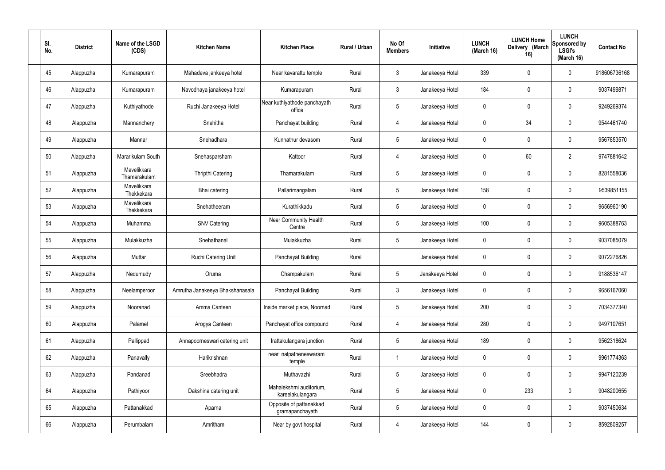| SI.<br>No. | <b>District</b> | Name of the LSGD<br>(CDS)   | <b>Kitchen Name</b>             | <b>Kitchen Place</b>                        | Rural / Urban | No Of<br><b>Members</b> | Initiative      | <b>LUNCH</b><br>(March 16) | <b>LUNCH Home</b><br>Delivery (March<br>16) | <b>LUNCH</b><br>Sponsored by<br><b>LSGI's</b><br>(March 16) | <b>Contact No</b> |
|------------|-----------------|-----------------------------|---------------------------------|---------------------------------------------|---------------|-------------------------|-----------------|----------------------------|---------------------------------------------|-------------------------------------------------------------|-------------------|
| 45         | Alappuzha       | Kumarapuram                 | Mahadeva jankeeya hotel         | Near kavarattu temple                       | Rural         | $\mathfrak{Z}$          | Janakeeya Hotel | 339                        | 0                                           | $\mathbf 0$                                                 | 918606736168      |
| 46         | Alappuzha       | Kumarapuram                 | Navodhaya janakeeya hotel       | Kumarapuram                                 | Rural         | $\mathbf{3}$            | Janakeeya Hotel | 184                        | 0                                           | $\pmb{0}$                                                   | 9037499871        |
| 47         | Alappuzha       | Kuthiyathode                | Ruchi Janakeeya Hotel           | Near kuthiyathode panchayath<br>office      | Rural         | $5\phantom{.0}$         | Janakeeya Hotel | 0                          | 0                                           | $\mathbf 0$                                                 | 9249269374        |
| 48         | Alappuzha       | Mannanchery                 | Snehitha                        | Panchayat building                          | Rural         | $\overline{4}$          | Janakeeya Hotel | $\mathbf 0$                | 34                                          | $\mathbf 0$                                                 | 9544461740        |
| 49         | Alappuzha       | Mannar                      | Snehadhara                      | Kunnathur devasom                           | Rural         | $5\phantom{.0}$         | Janakeeya Hotel | 0                          | 0                                           | $\mathbf 0$                                                 | 9567853570        |
| 50         | Alappuzha       | Mararikulam South           | Snehasparsham                   | Kattoor                                     | Rural         | $\overline{4}$          | Janakeeya Hotel | $\mathbf 0$                | 60                                          | $\overline{2}$                                              | 9747881642        |
| 51         | Alappuzha       | Mavelikkara<br>Thamarakulam | Thripthi Catering               | Thamarakulam                                | Rural         | $5\phantom{.0}$         | Janakeeya Hotel | 0                          | $\boldsymbol{0}$                            | $\mathbf 0$                                                 | 8281558036        |
| 52         | Alappuzha       | Mavelikkara<br>Thekkekara   | Bhai catering                   | Pallarimangalam                             | Rural         | $5\phantom{.0}$         | Janakeeya Hotel | 158                        | 0                                           | $\mathbf 0$                                                 | 9539851155        |
| 53         | Alappuzha       | Mavelikkara<br>Thekkekara   | Snehatheeram                    | Kurathikkadu                                | Rural         | $5\phantom{.0}$         | Janakeeya Hotel | 0                          | $\boldsymbol{0}$                            | $\mathbf 0$                                                 | 9656960190        |
| 54         | Alappuzha       | Muhamma                     | <b>SNV Catering</b>             | <b>Near Community Health</b><br>Centre      | Rural         | $5\phantom{.0}$         | Janakeeya Hotel | 100                        | 0                                           | $\boldsymbol{0}$                                            | 9605388763        |
| 55         | Alappuzha       | Mulakkuzha                  | Snehathanal                     | Mulakkuzha                                  | Rural         | $5\phantom{.0}$         | Janakeeya Hotel | 0                          | 0                                           | $\boldsymbol{0}$                                            | 9037085079        |
| 56         | Alappuzha       | Muttar                      | Ruchi Catering Unit             | Panchayat Building                          | Rural         |                         | Janakeeya Hotel | 0                          | 0                                           | $\boldsymbol{0}$                                            | 9072276826        |
| 57         | Alappuzha       | Nedumudy                    | Oruma                           | Champakulam                                 | Rural         | $5\phantom{.0}$         | Janakeeya Hotel | 0                          | 0                                           | 0                                                           | 9188536147        |
| 58         | Alappuzha       | Neelamperoor                | Amrutha Janakeeya Bhakshanasala | Panchayat Building                          | Rural         | $\mathbf{3}$            | Janakeeya Hotel | $\mathbf 0$                | $\mathbf 0$                                 | $\mathbf 0$                                                 | 9656167060        |
| 59         | Alappuzha       | Nooranad                    | Amma Canteen                    | Inside market place, Noornad                | Rural         | $5\phantom{.0}$         | Janakeeya Hotel | 200                        | $\mathbf 0$                                 | $\mathbf 0$                                                 | 7034377340        |
| 60         | Alappuzha       | Palamel                     | Arogya Canteen                  | Panchayat office compound                   | Rural         | $\overline{4}$          | Janakeeya Hotel | 280                        | $\mathbf 0$                                 | $\mathbf 0$                                                 | 9497107651        |
| 61         | Alappuzha       | Pallippad                   | Annapoorneswari catering unit   | Irattakulangara junction                    | Rural         | $5\phantom{.0}$         | Janakeeya Hotel | 189                        | $\mathbf 0$                                 | $\mathbf 0$                                                 | 9562318624        |
| 62         | Alappuzha       | Panavally                   | Harikrishnan                    | near nalpatheneswaram<br>temple             | Rural         | $\overline{1}$          | Janakeeya Hotel | $\mathbf 0$                | 0                                           | $\mathbf 0$                                                 | 9961774363        |
| 63         | Alappuzha       | Pandanad                    | Sreebhadra                      | Muthavazhi                                  | Rural         | $5\phantom{.0}$         | Janakeeya Hotel | $\mathbf 0$                | $\mathbf 0$                                 | $\mathbf 0$                                                 | 9947120239        |
| 64         | Alappuzha       | Pathiyoor                   | Dakshina catering unit          | Mahalekshmi auditorium,<br>kareelakulangara | Rural         | $5\phantom{.0}$         | Janakeeya Hotel | $\mathbf 0$                | 233                                         | $\mathbf 0$                                                 | 9048200655        |
| 65         | Alappuzha       | Pattanakkad                 | Aparna                          | Opposite of pattanakkad<br>gramapanchayath  | Rural         | $5\phantom{.0}$         | Janakeeya Hotel | $\mathbf 0$                | 0                                           | $\mathbf 0$                                                 | 9037450634        |
| 66         | Alappuzha       | Perumbalam                  | Amritham                        | Near by govt hospital                       | Rural         | 4                       | Janakeeya Hotel | 144                        | $\pmb{0}$                                   | $\boldsymbol{0}$                                            | 8592809257        |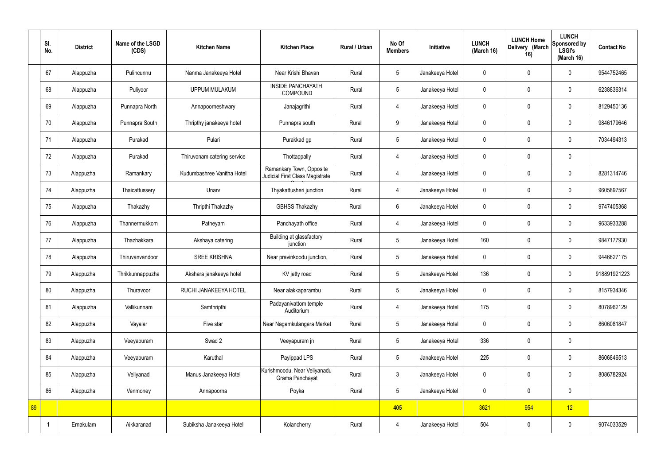|    | SI.<br>No. | <b>District</b> | Name of the LSGD<br>(CDS) | <b>Kitchen Name</b>         | <b>Kitchen Place</b>                                        | Rural / Urban | No Of<br><b>Members</b> | Initiative      | <b>LUNCH</b><br>(March 16) | <b>LUNCH Home</b><br>Delivery (March<br>16) | <b>LUNCH</b><br>Sponsored by<br><b>LSGI's</b><br>(March 16) | <b>Contact No</b> |
|----|------------|-----------------|---------------------------|-----------------------------|-------------------------------------------------------------|---------------|-------------------------|-----------------|----------------------------|---------------------------------------------|-------------------------------------------------------------|-------------------|
|    | 67         | Alappuzha       | Pulincunnu                | Nanma Janakeeya Hotel       | Near Krishi Bhavan                                          | Rural         | 5                       | Janakeeya Hotel | $\mathbf 0$                | $\mathbf 0$                                 | $\mathbf 0$                                                 | 9544752465        |
|    | 68         | Alappuzha       | Puliyoor                  | <b>UPPUM MULAKUM</b>        | <b>INSIDE PANCHAYATH</b><br><b>COMPOUND</b>                 | Rural         | $5\overline{)}$         | Janakeeya Hotel | $\mathbf 0$                | $\mathbf 0$                                 | $\mathbf 0$                                                 | 6238836314        |
|    | 69         | Alappuzha       | Punnapra North            | Annapoorneshwary            | Janajagrithi                                                | Rural         | $\overline{4}$          | Janakeeya Hotel | $\mathbf 0$                | $\mathbf 0$                                 | $\mathbf 0$                                                 | 8129450136        |
|    | 70         | Alappuzha       | Punnapra South            | Thripthy janakeeya hotel    | Punnapra south                                              | Rural         | 9                       | Janakeeya Hotel | $\mathbf 0$                | $\mathbf 0$                                 | $\mathbf 0$                                                 | 9846179646        |
|    | 71         | Alappuzha       | Purakad                   | Pulari                      | Purakkad gp                                                 | Rural         | $5\phantom{.0}$         | Janakeeya Hotel | $\mathbf 0$                | $\mathbf 0$                                 | $\mathbf 0$                                                 | 7034494313        |
|    | 72         | Alappuzha       | Purakad                   | Thiruvonam catering service | Thottappally                                                | Rural         | $\overline{4}$          | Janakeeya Hotel | $\mathbf 0$                | $\mathbf 0$                                 | $\mathbf 0$                                                 |                   |
|    | 73         | Alappuzha       | Ramankary                 | Kudumbashree Vanitha Hotel  | Ramankary Town, Opposite<br>Judicial First Class Magistrate | Rural         | $\overline{4}$          | Janakeeya Hotel | $\mathbf 0$                | $\mathbf 0$                                 | $\mathbf 0$                                                 | 8281314746        |
|    | 74         | Alappuzha       | Thaicattussery            | Unarv                       | Thyakattusheri junction                                     | Rural         | 4                       | Janakeeya Hotel | $\mathbf 0$                | $\mathbf 0$                                 | $\mathbf 0$                                                 | 9605897567        |
|    | 75         | Alappuzha       | Thakazhy                  | Thripthi Thakazhy           | <b>GBHSS Thakazhy</b>                                       | Rural         | $6\overline{6}$         | Janakeeya Hotel | $\mathbf 0$                | $\mathbf 0$                                 | $\mathbf 0$                                                 | 9747405368        |
|    | 76         | Alappuzha       | Thannermukkom             | Patheyam                    | Panchayath office                                           | Rural         | $\overline{4}$          | Janakeeya Hotel | $\mathbf 0$                | $\mathbf 0$                                 | $\mathbf 0$                                                 | 9633933288        |
|    | 77         | Alappuzha       | Thazhakkara               | Akshaya catering            | Building at glassfactory<br>junction                        | Rural         | $5\phantom{.0}$         | Janakeeya Hotel | 160                        | $\mathbf 0$                                 | $\mathbf 0$                                                 | 9847177930        |
|    | 78         | Alappuzha       | Thiruvanvandoor           | <b>SREE KRISHNA</b>         | Near pravinkoodu junction,                                  | Rural         | $5\overline{)}$         | Janakeeya Hotel | $\mathbf 0$                | $\mathbf 0$                                 | $\mathbf 0$                                                 | 9446627175        |
|    | 79         | Alappuzha       | Thrikkunnappuzha          | Akshara janakeeya hotel     | KV jetty road                                               | Rural         | $5\overline{)}$         | Janakeeya Hotel | 136                        | $\mathbf 0$                                 | $\mathbf 0$                                                 | 918891921223      |
|    | 80         | Alappuzha       | Thuravoor                 | RUCHI JANAKEEYA HOTEL       | Near alakkaparambu                                          | Rural         | $5\phantom{.0}$         | Janakeeya Hotel | $\mathbf 0$                | $\mathbf 0$                                 | $\mathbf 0$                                                 | 8157934346        |
|    | 81         | Alappuzha       | Vallikunnam               | Samthripthi                 | Padayanivattom temple<br>Auditorium                         | Rural         | $\overline{4}$          | Janakeeya Hotel | 175                        | $\mathbf 0$                                 | $\mathbf 0$                                                 | 8078962129        |
|    | 82         | Alappuzha       | Vayalar                   | Five star                   | Near Nagamkulangara Market                                  | Rural         | $5\overline{)}$         | Janakeeya Hotel | $\pmb{0}$                  | $\mathbf 0$                                 | $\mathbf 0$                                                 | 8606081847        |
|    | 83         | Alappuzha       | Veeyapuram                | Swad 2                      | Veeyapuram jn                                               | Rural         | $5\phantom{.0}$         | Janakeeya Hotel | 336                        | $\pmb{0}$                                   | $\mathbf 0$                                                 |                   |
|    | 84         | Alappuzha       | Veeyapuram                | Karuthal                    | Payippad LPS                                                | Rural         | $5\phantom{.0}$         | Janakeeya Hotel | 225                        | $\pmb{0}$                                   | $\mathbf 0$                                                 | 8606846513        |
|    | 85         | Alappuzha       | Veliyanad                 | Manus Janakeeya Hotel       | Kurishmoodu, Near Veliyanadu<br>Grama Panchayat             | Rural         | $\mathbf{3}$            | Janakeeya Hotel | $\pmb{0}$                  | $\mathbf 0$                                 | $\mathbf 0$                                                 | 8086782924        |
|    | 86         | Alappuzha       | Venmoney                  | Annapoorna                  | Poyka                                                       | Rural         | $5\overline{)}$         | Janakeeya Hotel | $\pmb{0}$                  | $\mathbf 0$                                 | $\mathbf 0$                                                 |                   |
| 89 |            |                 |                           |                             |                                                             |               | 405                     |                 | 3621                       | 954                                         | 12                                                          |                   |
|    |            | Ernakulam       | Aikkaranad                | Subiksha Janakeeya Hotel    | Kolancherry                                                 | Rural         | 4                       | Janakeeya Hotel | 504                        | $\pmb{0}$                                   | $\mathbf 0$                                                 | 9074033529        |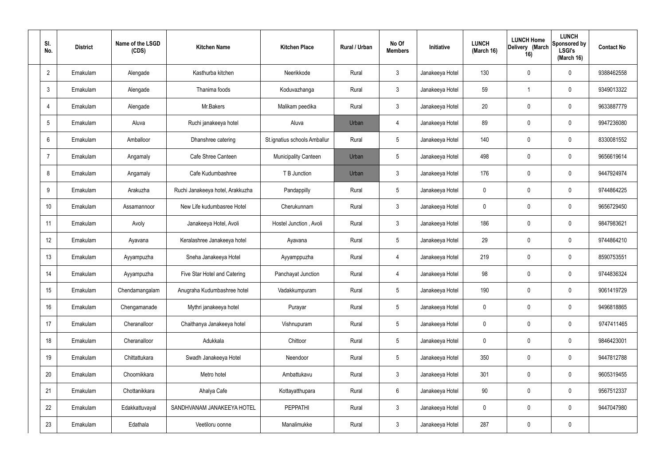| SI. | No.             | <b>District</b> | Name of the LSGD<br>(CDS) | <b>Kitchen Name</b>              | <b>Kitchen Place</b>         | Rural / Urban | No Of<br><b>Members</b> | Initiative      | <b>LUNCH</b><br>(March 16) | <b>LUNCH Home</b><br>Delivery (March<br>16) | <b>LUNCH</b><br>Sponsored by<br><b>LSGI's</b><br>(March 16) | <b>Contact No</b> |
|-----|-----------------|-----------------|---------------------------|----------------------------------|------------------------------|---------------|-------------------------|-----------------|----------------------------|---------------------------------------------|-------------------------------------------------------------|-------------------|
|     | $\overline{2}$  | Ernakulam       | Alengade                  | Kasthurba kitchen                | Neerikkode                   | Rural         | $\mathbf{3}$            | Janakeeya Hotel | 130                        | $\mathbf 0$                                 | 0                                                           | 9388462558        |
|     | $\mathbf{3}$    | Ernakulam       | Alengade                  | Thanima foods                    | Koduvazhanga                 | Rural         | $\mathbf{3}$            | Janakeeya Hotel | 59                         | -1                                          | 0                                                           | 9349013322        |
|     | $\overline{4}$  | Ernakulam       | Alengade                  | Mr.Bakers                        | Malikam peedika              | Rural         | $\mathbf{3}$            | Janakeeya Hotel | 20                         | $\mathbf 0$                                 | 0                                                           | 9633887779        |
|     | $5\overline{)}$ | Ernakulam       | Aluva                     | Ruchi janakeeya hotel            | Aluva                        | Urban         | 4                       | Janakeeya Hotel | 89                         | $\mathbf 0$                                 | 0                                                           | 9947236080        |
|     | 6               | Ernakulam       | Amballoor                 | Dhanshree catering               | St.ignatius schools Amballur | Rural         | $5\phantom{.0}$         | Janakeeya Hotel | 140                        | 0                                           | 0                                                           | 8330081552        |
|     | 7               | Ernakulam       | Angamaly                  | Cafe Shree Canteen               | <b>Municipality Canteen</b>  | Urban         | $5\phantom{.0}$         | Janakeeya Hotel | 498                        | $\mathbf 0$                                 | 0                                                           | 9656619614        |
|     | 8               | Ernakulam       | Angamaly                  | Cafe Kudumbashree                | T B Junction                 | Urban         | $\mathbf{3}$            | Janakeeya Hotel | 176                        | $\boldsymbol{0}$                            | 0                                                           | 9447924974        |
|     | 9               | Ernakulam       | Arakuzha                  | Ruchi Janakeeya hotel, Arakkuzha | Pandappilly                  | Rural         | $5\phantom{.0}$         | Janakeeya Hotel | $\mathbf 0$                | $\mathbf 0$                                 | 0                                                           | 9744864225        |
|     | 10              | Ernakulam       | Assamannoor               | New Life kudumbasree Hotel       | Cherukunnam                  | Rural         | $\mathbf{3}$            | Janakeeya Hotel | $\mathbf 0$                | $\mathbf 0$                                 | 0                                                           | 9656729450        |
|     | 11              | Ernakulam       | Avoly                     | Janakeeya Hotel, Avoli           | Hostel Junction, Avoli       | Rural         | $\mathbf{3}$            | Janakeeya Hotel | 186                        | 0                                           | 0                                                           | 9847983621        |
|     | 12              | Ernakulam       | Ayavana                   | Keralashree Janakeeya hotel      | Ayavana                      | Rural         | $5\phantom{.0}$         | Janakeeya Hotel | 29                         | 0                                           | 0                                                           | 9744864210        |
|     | 13              | Ernakulam       | Ayyampuzha                | Sneha Janakeeya Hotel            | Ayyamppuzha                  | Rural         | $\overline{4}$          | Janakeeya Hotel | 219                        | 0                                           | 0                                                           | 8590753551        |
|     | 14              | Ernakulam       | Ayyampuzha                | Five Star Hotel and Catering     | Panchayat Junction           | Rural         | 4                       | Janakeeya Hotel | 98                         | 0                                           | 0                                                           | 9744836324        |
|     | 15              | Ernakulam       | Chendamangalam            | Anugraha Kudumbashree hotel      | Vadakkumpuram                | Rural         | $5\phantom{.0}$         | Janakeeya Hotel | 190                        | $\mathbf 0$                                 | 0                                                           | 9061419729        |
|     | 16              | Ernakulam       | Chengamanade              | Mythri janakeeya hotel           | Purayar                      | Rural         | $5\phantom{.0}$         | Janakeeya Hotel | $\mathbf 0$                | $\mathbf 0$                                 | 0                                                           | 9496818865        |
|     | 17              | Ernakulam       | Cheranalloor              | Chaithanya Janakeeya hotel       | Vishnupuram                  | Rural         | $5\phantom{.0}$         | Janakeeya Hotel | $\mathbf 0$                | $\mathbf 0$                                 | 0                                                           | 9747411465        |
|     | 18              | Ernakulam       | Cheranalloor              | Adukkala                         | Chittoor                     | Rural         | $5\phantom{.0}$         | Janakeeya Hotel | $\mathbf 0$                | $\mathbf 0$                                 | 0                                                           | 9846423001        |
|     | 19              | Ernakulam       | Chittattukara             | Swadh Janakeeya Hotel            | Neendoor                     | Rural         | $5\phantom{.0}$         | Janakeeya Hotel | 350                        | $\boldsymbol{0}$                            | 0                                                           | 9447812788        |
|     | 20              | Ernakulam       | Choornikkara              | Metro hotel                      | Ambattukavu                  | Rural         | $\mathbf{3}$            | Janakeeya Hotel | 301                        | $\mathbf 0$                                 | 0                                                           | 9605319455        |
|     | 21              | Ernakulam       | Chottanikkara             | Ahalya Cafe                      | Kottayatthupara              | Rural         | $6\overline{6}$         | Janakeeya Hotel | 90                         | $\mathbf 0$                                 | 0                                                           | 9567512337        |
|     | 22              | Ernakulam       | Edakkattuvayal            | SANDHVANAM JANAKEEYA HOTEL       | <b>PEPPATHI</b>              | Rural         | $\mathbf{3}$            | Janakeeya Hotel | $\mathbf 0$                | $\mathbf 0$                                 | 0                                                           | 9447047980        |
|     | 23              | Ernakulam       | Edathala                  | Veetiloru oonne                  | Manalimukke                  | Rural         | $\mathbf{3}$            | Janakeeya Hotel | 287                        | 0                                           | 0                                                           |                   |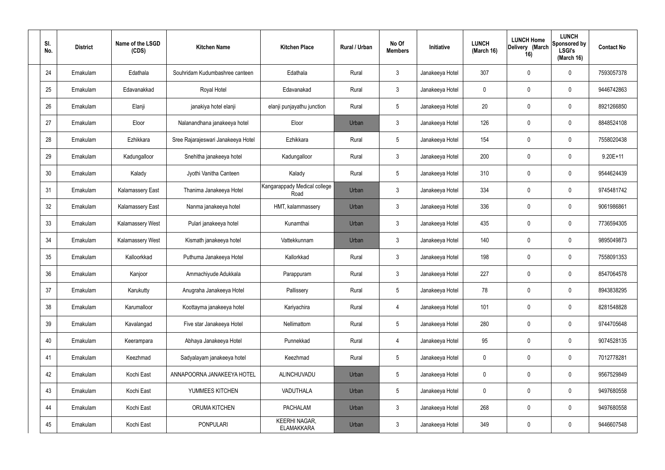| SI.<br>No. | <b>District</b> | Name of the LSGD<br>(CDS) | <b>Kitchen Name</b>                | <b>Kitchen Place</b>                      | Rural / Urban | No Of<br><b>Members</b> | Initiative      | <b>LUNCH</b><br>(March 16) | <b>LUNCH Home</b><br>Delivery (March<br>16) | <b>LUNCH</b><br>Sponsored by<br><b>LSGI's</b><br>(March 16) | <b>Contact No</b> |
|------------|-----------------|---------------------------|------------------------------------|-------------------------------------------|---------------|-------------------------|-----------------|----------------------------|---------------------------------------------|-------------------------------------------------------------|-------------------|
| 24         | Ernakulam       | Edathala                  | Souhridam Kudumbashree canteen     | Edathala                                  | Rural         | $\mathbf{3}$            | Janakeeya Hotel | 307                        | 0                                           | $\mathbf 0$                                                 | 7593057378        |
| 25         | Ernakulam       | Edavanakkad               | Royal Hotel                        | Edavanakad                                | Rural         | $\mathbf{3}$            | Janakeeya Hotel | $\mathbf 0$                | 0                                           | $\mathbf 0$                                                 | 9446742863        |
| 26         | Ernakulam       | Elanji                    | janakiya hotel elanji              | elanji punjayathu junction                | Rural         | $5\phantom{.0}$         | Janakeeya Hotel | 20                         | 0                                           | $\mathbf 0$                                                 | 8921266850        |
| 27         | Ernakulam       | Eloor                     | Nalanandhana janakeeya hotel       | Eloor                                     | Urban         | $\mathbf{3}$            | Janakeeya Hotel | 126                        | 0                                           | $\mathbf 0$                                                 | 8848524108        |
| 28         | Ernakulam       | Ezhikkara                 | Sree Rajarajeswari Janakeeya Hotel | Ezhikkara                                 | Rural         | $5\phantom{.0}$         | Janakeeya Hotel | 154                        | 0                                           | $\mathbf 0$                                                 | 7558020438        |
| 29         | Ernakulam       | Kadungalloor              | Snehitha janakeeya hotel           | Kadungalloor                              | Rural         | $\mathbf{3}$            | Janakeeya Hotel | 200                        | 0                                           | $\mathbf 0$                                                 | $9.20E + 11$      |
| 30         | Ernakulam       | Kalady                    | Jyothi Vanitha Canteen             | Kalady                                    | Rural         | $5\phantom{.0}$         | Janakeeya Hotel | 310                        | $\boldsymbol{0}$                            | $\mathbf 0$                                                 | 9544624439        |
| 31         | Ernakulam       | <b>Kalamassery East</b>   | Thanima Janakeeya Hotel            | Kangarappady Medical college<br>Road      | Urban         | $\mathbf{3}$            | Janakeeya Hotel | 334                        | 0                                           | $\mathbf 0$                                                 | 9745481742        |
| 32         | Ernakulam       | <b>Kalamassery East</b>   | Nanma janakeeya hotel              | HMT, kalammassery                         | Urban         | $\mathbf{3}$            | Janakeeya Hotel | 336                        | $\boldsymbol{0}$                            | $\mathbf 0$                                                 | 9061986861        |
| 33         | Ernakulam       | Kalamassery West          | Pulari janakeeya hotel             | Kunamthai                                 | Urban         | $\mathbf{3}$            | Janakeeya Hotel | 435                        | 0                                           | $\boldsymbol{0}$                                            | 7736594305        |
| 34         | Ernakulam       | Kalamassery West          | Kismath janakeeya hotel            | Vattekkunnam                              | Urban         | $\mathbf{3}$            | Janakeeya Hotel | 140                        | 0                                           | $\boldsymbol{0}$                                            | 9895049873        |
| 35         | Ernakulam       | Kalloorkkad               | Puthuma Janakeeya Hotel            | Kallorkkad                                | Rural         | $\mathfrak{Z}$          | Janakeeya Hotel | 198                        | 0                                           | $\boldsymbol{0}$                                            | 7558091353        |
| 36         | Ernakulam       | Kanjoor                   | Ammachiyude Adukkala               | Parappuram                                | Rural         | $\mathbf{3}$            | Janakeeya Hotel | 227                        | 0                                           | 0                                                           | 8547064578        |
| 37         | Ernakulam       | Karukutty                 | Anugraha Janakeeya Hotel           | Pallissery                                | Rural         | $5\phantom{.0}$         | Janakeeya Hotel | 78                         | 0                                           | $\mathbf 0$                                                 | 8943838295        |
| 38         | Ernakulam       | Karumalloor               | Koottayma janakeeya hotel          | Kariyachira                               | Rural         | $\overline{4}$          | Janakeeya Hotel | 101                        | $\mathbf 0$                                 | $\mathbf 0$                                                 | 8281548828        |
| 39         | Ernakulam       | Kavalangad                | Five star Janakeeya Hotel          | Nellimattom                               | Rural         | $5\phantom{.0}$         | Janakeeya Hotel | 280                        | $\mathbf 0$                                 | $\mathbf 0$                                                 | 9744705648        |
| 40         | Ernakulam       | Keerampara                | Abhaya Janakeeya Hotel             | Punnekkad                                 | Rural         | $\overline{4}$          | Janakeeya Hotel | 95                         | $\mathsf{0}$                                | $\mathbf 0$                                                 | 9074528135        |
| 41         | Ernakulam       | Keezhmad                  | Sadyalayam janakeeya hotel         | Keezhmad                                  | Rural         | $5\phantom{.0}$         | Janakeeya Hotel | $\mathbf 0$                | $\mathbf 0$                                 | $\mathbf 0$                                                 | 7012778281        |
| 42         | Ernakulam       | Kochi East                | ANNAPOORNA JANAKEEYA HOTEL         | ALINCHUVADU                               | Urban         | $5\phantom{.0}$         | Janakeeya Hotel | $\mathbf 0$                | $\mathbf 0$                                 | $\mathbf 0$                                                 | 9567529849        |
| 43         | Ernakulam       | Kochi East                | YUMMEES KITCHEN                    | VADUTHALA                                 | Urban         | $5\phantom{.0}$         | Janakeeya Hotel | $\mathbf 0$                | $\mathbf 0$                                 | $\mathbf 0$                                                 | 9497680558        |
| 44         | Ernakulam       | Kochi East                | ORUMA KITCHEN                      | <b>PACHALAM</b>                           | Urban         | $\mathbf{3}$            | Janakeeya Hotel | 268                        | 0                                           | $\mathbf 0$                                                 | 9497680558        |
| 45         | Ernakulam       | Kochi East                | <b>PONPULARI</b>                   | <b>KEERHI NAGAR,</b><br><b>ELAMAKKARA</b> | Urban         | $\mathbf{3}$            | Janakeeya Hotel | 349                        | $\pmb{0}$                                   | $\bf{0}$                                                    | 9446607548        |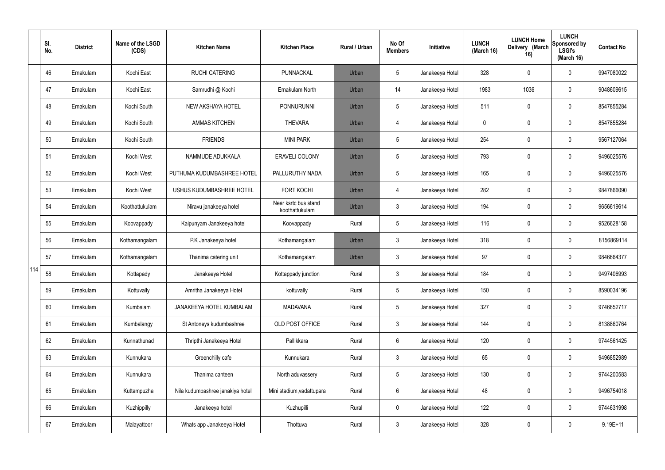|     | SI.<br>No. | <b>District</b> | Name of the LSGD<br>(CDS) | <b>Kitchen Name</b>              | <b>Kitchen Place</b>                   | <b>Rural / Urban</b> | No Of<br><b>Members</b> | Initiative      | <b>LUNCH</b><br>(March 16) | <b>LUNCH Home</b><br>Delivery (March<br>16) | <b>LUNCH</b><br>Sponsored by<br><b>LSGI's</b><br>(March 16) | <b>Contact No</b> |
|-----|------------|-----------------|---------------------------|----------------------------------|----------------------------------------|----------------------|-------------------------|-----------------|----------------------------|---------------------------------------------|-------------------------------------------------------------|-------------------|
|     | 46         | Ernakulam       | Kochi East                | <b>RUCHI CATERING</b>            | PUNNACKAL                              | Urban                | 5                       | Janakeeya Hotel | 328                        | 0                                           | $\mathbf 0$                                                 | 9947080022        |
|     | 47         | Ernakulam       | Kochi East                | Samrudhi @ Kochi                 | Ernakulam North                        | Urban                | 14                      | Janakeeya Hotel | 1983                       | 1036                                        | $\boldsymbol{0}$                                            | 9048609615        |
|     | 48         | Ernakulam       | Kochi South               | NEW AKSHAYA HOTEL                | <b>PONNURUNNI</b>                      | Urban                | 5                       | Janakeeya Hotel | 511                        | 0                                           | $\boldsymbol{0}$                                            | 8547855284        |
|     | 49         | Ernakulam       | Kochi South               | <b>AMMAS KITCHEN</b>             | <b>THEVARA</b>                         | Urban                | 4                       | Janakeeya Hotel | 0                          | 0                                           | $\boldsymbol{0}$                                            | 8547855284        |
|     | 50         | Ernakulam       | Kochi South               | <b>FRIENDS</b>                   | <b>MINI PARK</b>                       | Urban                | 5                       | Janakeeya Hotel | 254                        | 0                                           | $\pmb{0}$                                                   | 9567127064        |
|     | 51         | Ernakulam       | Kochi West                | NAMMUDE ADUKKALA                 | <b>ERAVELI COLONY</b>                  | Urban                | 5                       | Janakeeya Hotel | 793                        | 0                                           | $\pmb{0}$                                                   | 9496025576        |
|     | 52         | Ernakulam       | Kochi West                | PUTHUMA KUDUMBASHREE HOTEL       | PALLURUTHY NADA                        | Urban                | 5                       | Janakeeya Hotel | 165                        | 0                                           | $\pmb{0}$                                                   | 9496025576        |
|     | 53         | Ernakulam       | Kochi West                | USHUS KUDUMBASHREE HOTEL         | <b>FORT KOCHI</b>                      | Urban                | 4                       | Janakeeya Hotel | 282                        | 0                                           | $\pmb{0}$                                                   | 9847866090        |
|     | 54         | Ernakulam       | Koothattukulam            | Niravu janakeeya hotel           | Near ksrtc bus stand<br>koothattukulam | Urban                | $\mathfrak{Z}$          | Janakeeya Hotel | 194                        | 0                                           | $\pmb{0}$                                                   | 9656619614        |
|     | 55         | Ernakulam       | Koovappady                | Kaipunyam Janakeeya hotel        | Koovappady                             | Rural                | 5                       | Janakeeya Hotel | 116                        | 0                                           | $\pmb{0}$                                                   | 9526628158        |
|     | 56         | Ernakulam       | Kothamangalam             | P.K Janakeeya hotel              | Kothamangalam                          | Urban                | $\mathbf{3}$            | Janakeeya Hotel | 318                        | 0                                           | $\pmb{0}$                                                   | 8156869114        |
|     | 57         | Ernakulam       | Kothamangalam             | Thanima catering unit            | Kothamangalam                          | Urban                | $\mathfrak{Z}$          | Janakeeya Hotel | 97                         | 0                                           | $\pmb{0}$                                                   | 9846664377        |
| 114 | 58         | Ernakulam       | Kottapady                 | Janakeeya Hotel                  | Kottappady junction                    | Rural                | $\mathbf{3}$            | Janakeeya Hotel | 184                        | 0                                           | $\mathbf 0$                                                 | 9497406993        |
|     | 59         | Ernakulam       | Kottuvally                | Amritha Janakeeya Hotel          | kottuvally                             | Rural                | 5                       | Janakeeya Hotel | 150                        | 0                                           | $\mathbf 0$                                                 | 8590034196        |
|     | 60         | Ernakulam       | Kumbalam                  | JANAKEEYA HOTEL KUMBALAM         | <b>MADAVANA</b>                        | Rural                | $5\phantom{.0}$         | Janakeeya Hotel | 327                        | 0                                           | $\pmb{0}$                                                   | 9746652717        |
|     | 61         | Ernakulam       | Kumbalangy                | St Antoneys kudumbashree         | OLD POST OFFICE                        | Rural                | $\mathfrak{Z}$          | Janakeeya Hotel | 144                        | 0                                           | $\pmb{0}$                                                   | 8138860764        |
|     | 62         | Ernakulam       | Kunnathunad               | Thripthi Janakeeya Hotel         | Pallikkara                             | Rural                | $6\phantom{.}$          | Janakeeya Hotel | 120                        | 0                                           | $\pmb{0}$                                                   | 9744561425        |
|     | 63         | Ernakulam       | Kunnukara                 | Greenchilly cafe                 | Kunnukara                              | Rural                | $\mathbf{3}$            | Janakeeya Hotel | 65                         | 0                                           | $\pmb{0}$                                                   | 9496852989        |
|     | 64         | Ernakulam       | Kunnukara                 | Thanima canteen                  | North aduvassery                       | Rural                | $5\phantom{.0}$         | Janakeeya Hotel | 130                        | 0                                           | $\pmb{0}$                                                   | 9744200583        |
|     | 65         | Ernakulam       | Kuttampuzha               | Nila kudumbashree janakiya hotel | Mini stadium, vadattupara              | Rural                | $6\phantom{.}6$         | Janakeeya Hotel | 48                         | 0                                           | $\mathbf 0$                                                 | 9496754018        |
|     | 66         | Ernakulam       | Kuzhippilly               | Janakeeya hotel                  | Kuzhupilli                             | Rural                | $\mathbf 0$             | Janakeeya Hotel | 122                        | 0                                           | $\mathbf 0$                                                 | 9744631998        |
|     | 67         | Ernakulam       | Malayattoor               | Whats app Janakeeya Hotel        | Thottuva                               | Rural                | $\mathfrak{Z}$          | Janakeeya Hotel | 328                        | 0                                           | $\pmb{0}$                                                   | $9.19E + 11$      |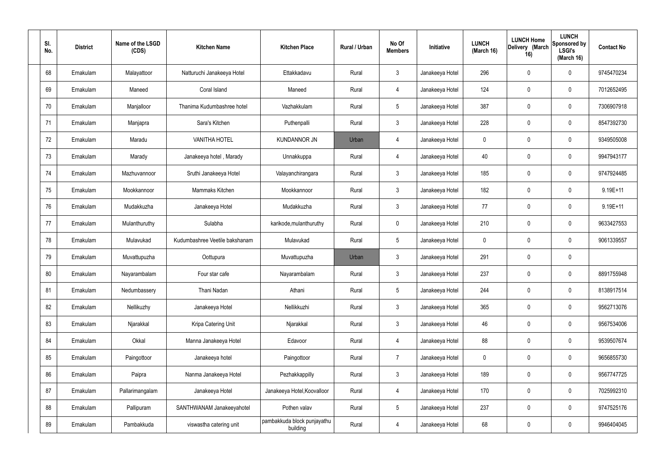| SI.<br>No. | <b>District</b> | Name of the LSGD<br>(CDS) | <b>Kitchen Name</b>            | <b>Kitchen Place</b>                    | Rural / Urban | No Of<br><b>Members</b> | Initiative      | <b>LUNCH</b><br>(March 16) | <b>LUNCH Home</b><br>Delivery (March<br>16) | <b>LUNCH</b><br>Sponsored by<br><b>LSGI's</b><br>(March 16) | <b>Contact No</b> |
|------------|-----------------|---------------------------|--------------------------------|-----------------------------------------|---------------|-------------------------|-----------------|----------------------------|---------------------------------------------|-------------------------------------------------------------|-------------------|
| 68         | Ernakulam       | Malayattoor               | Natturuchi Janakeeya Hotel     | Ettakkadavu                             | Rural         | $\mathfrak{Z}$          | Janakeeya Hotel | 296                        | 0                                           | $\mathbf 0$                                                 | 9745470234        |
| 69         | Ernakulam       | Maneed                    | Coral Island                   | Maneed                                  | Rural         | 4                       | Janakeeya Hotel | 124                        | 0                                           | $\mathbf 0$                                                 | 7012652495        |
| 70         | Ernakulam       | Manjalloor                | Thanima Kudumbashree hotel     | Vazhakkulam                             | Rural         | $5\phantom{.0}$         | Janakeeya Hotel | 387                        | 0                                           | $\mathbf 0$                                                 | 7306907918        |
| 71         | Ernakulam       | Manjapra                  | Sara's Kitchen                 | Puthenpalli                             | Rural         | $\mathbf{3}$            | Janakeeya Hotel | 228                        | 0                                           | $\mathbf 0$                                                 | 8547392730        |
| 72         | Ernakulam       | Maradu                    | <b>VANITHA HOTEL</b>           | <b>KUNDANNOR JN</b>                     | Urban         | 4                       | Janakeeya Hotel | $\mathbf 0$                | 0                                           | $\mathbf 0$                                                 | 9349505008        |
| 73         | Ernakulam       | Marady                    | Janakeeya hotel, Marady        | Unnakkuppa                              | Rural         | 4                       | Janakeeya Hotel | 40                         | 0                                           | $\mathbf 0$                                                 | 9947943177        |
| 74         | Ernakulam       | Mazhuvannoor              | Sruthi Janakeeya Hotel         | Valayanchirangara                       | Rural         | $\mathbf{3}$            | Janakeeya Hotel | 185                        | 0                                           | $\mathbf 0$                                                 | 9747924485        |
| 75         | Ernakulam       | Mookkannoor               | Mammaks Kitchen                | Mookkannoor                             | Rural         | $\mathbf{3}$            | Janakeeya Hotel | 182                        | 0                                           | $\mathbf 0$                                                 | 9.19E+11          |
| 76         | Ernakulam       | Mudakkuzha                | Janakeeya Hotel                | Mudakkuzha                              | Rural         | $\mathbf{3}$            | Janakeeya Hotel | 77                         | 0                                           | $\mathbf 0$                                                 | 9.19E+11          |
| 77         | Ernakulam       | Mulanthuruthy             | Sulabha                        | karikode, mulanthuruthy                 | Rural         | $\mathbf 0$             | Janakeeya Hotel | 210                        | 0                                           | $\mathbf 0$                                                 | 9633427553        |
| 78         | Ernakulam       | Mulavukad                 | Kudumbashree Veetile bakshanam | Mulavukad                               | Rural         | $5\phantom{.0}$         | Janakeeya Hotel | $\mathbf 0$                | 0                                           | $\mathbf 0$                                                 | 9061339557        |
| 79         | Ernakulam       | Muvattupuzha              | Oottupura                      | Muvattupuzha                            | Urban         | $\mathfrak{Z}$          | Janakeeya Hotel | 291                        | 0                                           | $\mathbf 0$                                                 |                   |
| 80         | Ernakulam       | Nayarambalam              | Four star cafe                 | Nayarambalam                            | Rural         | $\mathbf{3}$            | Janakeeya Hotel | 237                        | 0                                           | $\boldsymbol{0}$                                            | 8891755948        |
| 81         | Ernakulam       | Nedumbassery              | Thani Nadan                    | Athani                                  | Rural         | $5\,$                   | Janakeeya Hotel | 244                        | $\mathbf 0$                                 | $\mathbf 0$                                                 | 8138917514        |
| 82         | Ernakulam       | Nellikuzhy                | Janakeeya Hotel                | Nellikkuzhi                             | Rural         | $\mathbf{3}$            | Janakeeya Hotel | 365                        | $\mathbf 0$                                 | $\mathbf 0$                                                 | 9562713076        |
| 83         | Ernakulam       | Njarakkal                 | Kripa Catering Unit            | Njarakkal                               | Rural         | $\mathbf{3}$            | Janakeeya Hotel | 46                         | $\mathbf 0$                                 | $\mathbf 0$                                                 | 9567534006        |
| 84         | Ernakulam       | Okkal                     | Manna Janakeeya Hotel          | Edavoor                                 | Rural         | $\overline{4}$          | Janakeeya Hotel | 88                         | $\mathbf 0$                                 | $\mathbf 0$                                                 | 9539507674        |
| 85         | Ernakulam       | Paingottoor               | Janakeeya hotel                | Paingottoor                             | Rural         | $\overline{7}$          | Janakeeya Hotel | $\mathbf 0$                | 0                                           | $\mathbf 0$                                                 | 9656855730        |
| 86         | Ernakulam       | Paipra                    | Nanma Janakeeya Hotel          | Pezhakkappilly                          | Rural         | $\mathfrak{Z}$          | Janakeeya Hotel | 189                        | 0                                           | $\mathbf 0$                                                 | 9567747725        |
| 87         | Ernakulam       | Pallarimangalam           | Janakeeya Hotel                | Janakeeya Hotel, Koovalloor             | Rural         | 4                       | Janakeeya Hotel | 170                        | 0                                           | $\mathbf 0$                                                 | 7025992310        |
| 88         | Ernakulam       | Pallipuram                | SANTHWANAM Janakeeyahotel      | Pothen valav                            | Rural         | $5\phantom{.0}$         | Janakeeya Hotel | 237                        | 0                                           | $\mathbf 0$                                                 | 9747525176        |
| 89         | Ernakulam       | Pambakkuda                | viswastha catering unit        | pambakkuda block punjayathu<br>building | Rural         | 4                       | Janakeeya Hotel | 68                         | 0                                           | $\boldsymbol{0}$                                            | 9946404045        |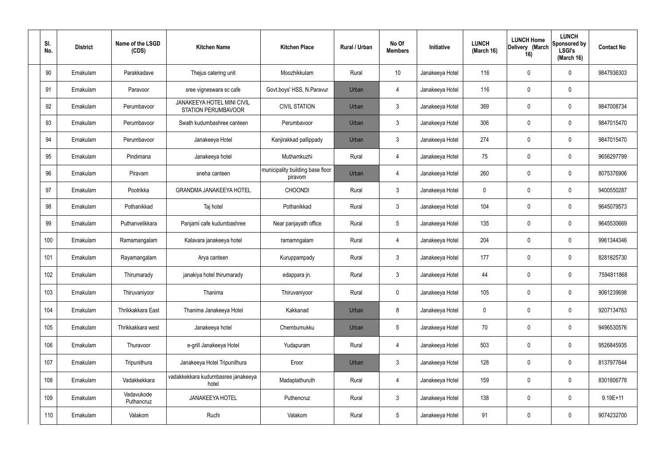| SI.<br>No. | <b>District</b> | Name of the LSGD<br>(CDS) | <b>Kitchen Name</b>                                      | <b>Kitchen Place</b>                        | Rural / Urban | No Of<br><b>Members</b> | Initiative      | <b>LUNCH</b><br>(March 16) | <b>LUNCH Home</b><br>Delivery (March<br>16) | <b>LUNCH</b><br>Sponsored by<br><b>LSGI's</b><br>(March 16) | <b>Contact No</b> |
|------------|-----------------|---------------------------|----------------------------------------------------------|---------------------------------------------|---------------|-------------------------|-----------------|----------------------------|---------------------------------------------|-------------------------------------------------------------|-------------------|
| 90         | Ernakulam       | Parakkadave               | Thejus catering unit                                     | Moozhikkulam                                | Rural         | 10                      | Janakeeya Hotel | 116                        | 0                                           | 0                                                           | 9847936303        |
| 91         | Ernakulam       | Paravoor                  | sree vigneswara sc cafe                                  | Govt.boys' HSS, N.Paravur                   | Urban         | 4                       | Janakeeya Hotel | 116                        | $\mathbf 0$                                 | 0                                                           |                   |
| 92         | Ernakulam       | Perumbavoor               | <b>JANAKEEYA HOTEL MINI CIVIL</b><br>STATION PERUMBAVOOR | <b>CIVIL STATION</b>                        | Urban         | $\mathbf{3}$            | Janakeeya Hotel | 389                        | $\mathbf 0$                                 | 0                                                           | 9847008734        |
| 93         | Ernakulam       | Perumbavoor               | Swath kudumbashree canteen                               | Perumbavoor                                 | Urban         | $\mathbf{3}$            | Janakeeya Hotel | 306                        | $\mathbf 0$                                 | 0                                                           | 9847015470        |
| 94         | Ernakulam       | Perumbavoor               | Janakeeya Hotel                                          | Kanjirakkad pallippady                      | Urban         | $\mathbf{3}$            | Janakeeya Hotel | 274                        | 0                                           | 0                                                           | 9847015470        |
| 95         | Ernakulam       | Pindimana                 | Janakeeya hotel                                          | Muthamkuzhi                                 | Rural         | $\overline{4}$          | Janakeeya Hotel | 75                         | $\mathbf 0$                                 | 0                                                           | 9656297799        |
| 96         | Ernakulam       | Piravam                   | sneha canteen                                            | municipality building base floor<br>piravom | Urban         | $\overline{4}$          | Janakeeya Hotel | 260                        | 0                                           | 0                                                           | 8075376906        |
| 97         | Ernakulam       | Pootrikka                 | <b>GRANDMA JANAKEEYA HOTEL</b>                           | <b>CHOONDI</b>                              | Rural         | $\mathbf{3}$            | Janakeeya Hotel | $\mathbf 0$                | $\mathbf 0$                                 | 0                                                           | 9400550287        |
| 98         | Ernakulam       | Pothanikkad               | Taj hotel                                                | Pothanikkad                                 | Rural         | $\mathbf{3}$            | Janakeeya Hotel | 104                        | 0                                           | 0                                                           | 9645079573        |
| 99         | Ernakulam       | Puthanvelikkara           | Panjami cafe kudumbashree                                | Near panjayath office                       | Rural         | $5\phantom{.0}$         | Janakeeya Hotel | 135                        | $\mathbf 0$                                 | 0                                                           | 9645530669        |
| 100        | Ernakulam       | Ramamangalam              | Kalavara janakeeya hotel                                 | ramamngalam                                 | Rural         | $\overline{4}$          | Janakeeya Hotel | 204                        | $\boldsymbol{0}$                            | 0                                                           | 9961344346        |
| 101        | Ernakulam       | Rayamangalam              | Arya canteen                                             | Kuruppampady                                | Rural         | $\mathbf{3}$            | Janakeeya Hotel | 177                        | $\mathbf 0$                                 | 0                                                           | 8281825730        |
| 102        | Ernakulam       | Thirumarady               | janakiya hotel thirumarady                               | edappara jn.                                | Rural         | $\mathbf{3}$            | Janakeeya Hotel | 44                         | $\mathbf 0$                                 | 0                                                           | 7594811868        |
| 103        | Ernakulam       | Thiruvaniyoor             | Thanima                                                  | Thiruvaniyoor                               | Rural         | $\pmb{0}$               | Janakeeya Hotel | 105                        | $\pmb{0}$                                   | 0                                                           | 9061239698        |
| 104        | Ernakulam       | Thrikkakkara East         | Thanima Janakeeya Hotel                                  | Kakkanad                                    | Urban         | 8                       | Janakeeya Hotel | $\mathbf 0$                | $\boldsymbol{0}$                            | 0                                                           | 9207134763        |
| 105        | Ernakulam       | Thrikkakkara west         | Janakeeya hotel                                          | Chembumukku                                 | Urban         | $5\phantom{.0}$         | Janakeeya Hotel | 70                         | $\pmb{0}$                                   | 0                                                           | 9496530576        |
| 106        | Ernakulam       | Thuravoor                 | e-grill Janakeeya Hotel                                  | Yudapuram                                   | Rural         | $\overline{4}$          | Janakeeya Hotel | 503                        | $\pmb{0}$                                   | 0                                                           | 9526845935        |
| 107        | Ernakulam       | Tripunithura              | Janakeeya Hotel Tripunithura                             | Eroor                                       | Urban         | $\mathbf{3}$            | Janakeeya Hotel | 128                        | $\pmb{0}$                                   | 0                                                           | 8137977644        |
| 108        | Ernakulam       | Vadakkekkara              | vadakkekkara kudumbasree janakeeya<br>hotel              | Madaplathuruth                              | Rural         | $\overline{4}$          | Janakeeya Hotel | 159                        | $\mathbf 0$                                 | 0                                                           | 8301806778        |
| 109        | Ernakulam       | Vadavukode<br>Puthancruz  | JANAKEEYA HOTEL                                          | Puthencruz                                  | Rural         | $\mathbf{3}$            | Janakeeya Hotel | 138                        | $\boldsymbol{0}$                            | 0                                                           | $9.19E + 11$      |
| 110        | Ernakulam       | Valakom                   | Ruchi                                                    | Valakom                                     | Rural         | $\overline{5}$          | Janakeeya Hotel | 91                         | $\boldsymbol{0}$                            | 0                                                           | 9074232700        |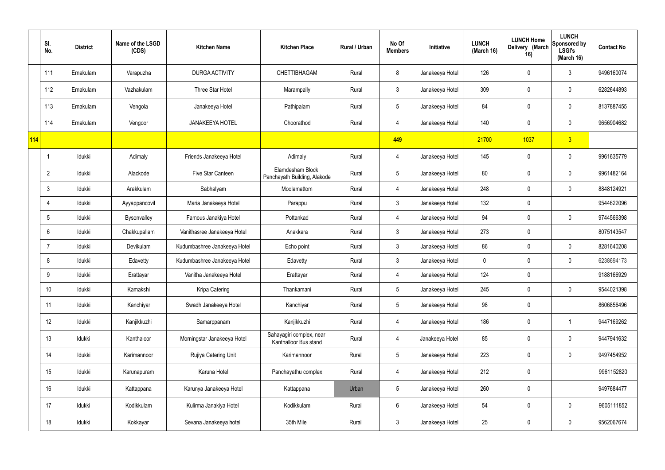|     | SI.<br>No.     | <b>District</b> | Name of the LSGD<br>(CDS) | <b>Kitchen Name</b>          | <b>Kitchen Place</b>                              | Rural / Urban | No Of<br><b>Members</b> | Initiative      | <b>LUNCH</b><br>(March 16) | <b>LUNCH Home</b><br>Delivery (March<br>16) | <b>LUNCH</b><br>Sponsored by<br><b>LSGI's</b><br>(March 16) | <b>Contact No</b> |
|-----|----------------|-----------------|---------------------------|------------------------------|---------------------------------------------------|---------------|-------------------------|-----------------|----------------------------|---------------------------------------------|-------------------------------------------------------------|-------------------|
|     | 111            | Ernakulam       | Varapuzha                 | DURGA ACTIVITY               | <b>CHETTIBHAGAM</b>                               | Rural         | 8                       | Janakeeya Hotel | 126                        | 0                                           | $\mathbf{3}$                                                | 9496160074        |
|     | 112            | Ernakulam       | Vazhakulam                | Three Star Hotel             | Marampally                                        | Rural         | $\mathbf{3}$            | Janakeeya Hotel | 309                        | $\mathbf 0$                                 | $\mathbf 0$                                                 | 6282644893        |
|     | 113            | Ernakulam       | Vengola                   | Janakeeya Hotel              | Pathipalam                                        | Rural         | $5\overline{)}$         | Janakeeya Hotel | 84                         | $\mathbf 0$                                 | $\mathbf 0$                                                 | 8137887455        |
|     | 114            | Ernakulam       | Vengoor                   | <b>JANAKEEYA HOTEL</b>       | Choorathod                                        | Rural         | $\overline{4}$          | Janakeeya Hotel | 140                        | $\mathbf 0$                                 | $\mathbf 0$                                                 | 9656904682        |
| 114 |                |                 |                           |                              |                                                   |               | 449                     |                 | 21700                      | 1037                                        | 3                                                           |                   |
|     |                | Idukki          | Adimaly                   | Friends Janakeeya Hotel      | Adimaly                                           | Rural         | $\overline{4}$          | Janakeeya Hotel | 145                        | $\mathbf 0$                                 | $\mathbf 0$                                                 | 9961635779        |
|     | $\overline{2}$ | Idukki          | Alackode                  | Five Star Canteen            | Elamdesham Block<br>Panchayath Building, Alakode  | Rural         | $5\phantom{.0}$         | Janakeeya Hotel | 80                         | $\mathbf 0$                                 | $\mathbf 0$                                                 | 9961482164        |
|     | 3              | Idukki          | Arakkulam                 | Sabhalyam                    | Moolamattom                                       | Rural         | 4                       | Janakeeya Hotel | 248                        | $\mathbf 0$                                 | $\mathbf 0$                                                 | 8848124921        |
|     | 4              | Idukki          | Ayyappancovil             | Maria Janakeeya Hotel        | Parappu                                           | Rural         | $\mathbf{3}$            | Janakeeya Hotel | 132                        | $\mathbf 0$                                 |                                                             | 9544622096        |
|     | 5              | Idukki          | Bysonvalley               | Famous Janakiya Hotel        | Pottankad                                         | Rural         | $\overline{4}$          | Janakeeya Hotel | 94                         | 0                                           | $\mathbf 0$                                                 | 9744566398        |
|     | 6              | Idukki          | Chakkupallam              | Vanithasree Janakeeya Hotel  | Anakkara                                          | Rural         | $\mathbf{3}$            | Janakeeya Hotel | 273                        | $\mathbf 0$                                 |                                                             | 8075143547        |
|     | 7              | Idukki          | Devikulam                 | Kudumbashree Janakeeya Hotel | Echo point                                        | Rural         | $\mathbf{3}$            | Janakeeya Hotel | 86                         | 0                                           | $\mathbf 0$                                                 | 8281640208        |
|     | 8              | Idukki          | Edavetty                  | Kudumbashree Janakeeya Hotel | Edavetty                                          | Rural         | $\mathbf{3}$            | Janakeeya Hotel | 0                          | $\mathbf 0$                                 | $\mathbf 0$                                                 | 6238694173        |
|     | 9              | Idukki          | Erattayar                 | Vanitha Janakeeya Hotel      | Erattayar                                         | Rural         | 4                       | Janakeeya Hotel | 124                        | $\mathbf 0$                                 |                                                             | 9188166929        |
|     | 10             | Idukki          | Kamakshi                  | Kripa Catering               | Thankamani                                        | Rural         | $5\overline{)}$         | Janakeeya Hotel | 245                        | 0                                           | $\mathbf 0$                                                 | 9544021398        |
|     | 11             | Idukki          | Kanchiyar                 | Swadh Janakeeya Hotel        | Kanchiyar                                         | Rural         | $5\phantom{.0}$         | Janakeeya Hotel | 98                         | 0                                           |                                                             | 8606856496        |
|     | 12             | Idukki          | Kanjikkuzhi               | Samarppanam                  | Kanjikkuzhi                                       | Rural         | $\overline{4}$          | Janakeeya Hotel | 186                        | $\pmb{0}$                                   | $\overline{1}$                                              | 9447169262        |
|     | 13             | Idukki          | Kanthaloor                | Morningstar Janakeeya Hotel  | Sahayagiri complex, near<br>Kanthalloor Bus stand | Rural         | $\overline{4}$          | Janakeeya Hotel | 85                         | 0                                           | $\mathbf 0$                                                 | 9447941632        |
|     | 14             | Idukki          | Karimannoor               | Rujiya Catering Unit         | Karimannoor                                       | Rural         | $5\phantom{.0}$         | Janakeeya Hotel | 223                        | 0                                           | $\mathbf 0$                                                 | 9497454952        |
|     | 15             | Idukki          | Karunapuram               | Karuna Hotel                 | Panchayathu complex                               | Rural         | $\overline{4}$          | Janakeeya Hotel | 212                        | 0                                           |                                                             | 9961152820        |
|     | 16             | Idukki          | Kattappana                | Karunya Janakeeya Hotel      | Kattappana                                        | Urban         | $5\phantom{.0}$         | Janakeeya Hotel | 260                        | 0                                           |                                                             | 9497684477        |
|     | 17             | Idukki          | Kodikkulam                | Kulirma Janakiya Hotel       | Kodikkulam                                        | Rural         | $6\overline{6}$         | Janakeeya Hotel | 54                         | 0                                           | $\overline{0}$                                              | 9605111852        |
|     | 18             | Idukki          | Kokkayar                  | Sevana Janakeeya hotel       | 35th Mile                                         | Rural         | $\mathbf{3}$            | Janakeeya Hotel | 25                         | 0                                           | $\overline{0}$                                              | 9562067674        |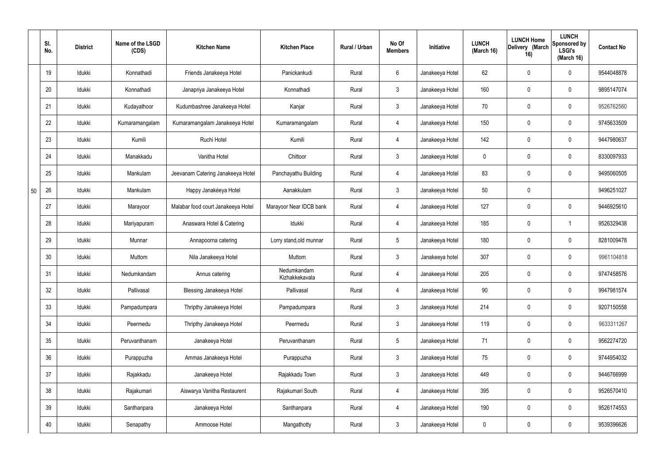|    | SI.<br>No. | <b>District</b> | Name of the LSGD<br>(CDS) | <b>Kitchen Name</b>                | <b>Kitchen Place</b>          | Rural / Urban | No Of<br><b>Members</b> | Initiative      | <b>LUNCH</b><br>(March 16) | <b>LUNCH Home</b><br>Delivery (March<br>16) | <b>LUNCH</b><br>Sponsored by<br><b>LSGI's</b><br>(March 16) | <b>Contact No</b> |
|----|------------|-----------------|---------------------------|------------------------------------|-------------------------------|---------------|-------------------------|-----------------|----------------------------|---------------------------------------------|-------------------------------------------------------------|-------------------|
|    | 19         | Idukki          | Konnathadi                | Friends Janakeeya Hotel            | Panickankudi                  | Rural         | 6                       | Janakeeya Hotel | 62                         | 0                                           | $\mathbf 0$                                                 | 9544048878        |
|    | 20         | Idukki          | Konnathadi                | Janapriya Janakeeya Hotel          | Konnathadi                    | Rural         | $\mathbf{3}$            | Janakeeya Hotel | 160                        | 0                                           | $\pmb{0}$                                                   | 9895147074        |
|    | 21         | Idukki          | Kudayathoor               | Kudumbashree Janakeeya Hotel       | Kanjar                        | Rural         | $\mathbf{3}$            | Janakeeya Hotel | 70                         | 0                                           | $\mathbf 0$                                                 | 9526762560        |
|    | 22         | Idukki          | Kumaramangalam            | Kumaramangalam Janakeeya Hotel     | Kumaramangalam                | Rural         | 4                       | Janakeeya Hotel | 150                        | 0                                           | $\pmb{0}$                                                   | 9745633509        |
|    | 23         | Idukki          | Kumili                    | Ruchi Hotel                        | Kumili                        | Rural         | 4                       | Janakeeya Hotel | 142                        | 0                                           | $\mathbf 0$                                                 | 9447980637        |
|    | 24         | Idukki          | Manakkadu                 | Vanitha Hotel                      | Chittoor                      | Rural         | $\mathbf{3}$            | Janakeeya Hotel | 0                          | 0                                           | $\pmb{0}$                                                   | 8330097933        |
|    | 25         | Idukki          | Mankulam                  | Jeevanam Catering Janakeeya Hotel  | Panchayathu Building          | Rural         | 4                       | Janakeeya Hotel | 83                         | 0                                           | $\pmb{0}$                                                   | 9495060505        |
| 50 | 26         | Idukki          | Mankulam                  | Happy Janakéeya Hotel              | Aanakkulam                    | Rural         | $\mathbf{3}$            | Janakeeya Hotel | 50                         | 0                                           |                                                             | 9496251027        |
|    | 27         | Idukki          | Marayoor                  | Malabar food court Janakeeya Hotel | Marayoor Near IDCB bank       | Rural         | 4                       | Janakeeya Hotel | 127                        | 0                                           | $\mathbf 0$                                                 | 9446925610        |
|    | 28         | Idukki          | Mariyapuram               | Anaswara Hotel & Catering          | Idukki                        | Rural         | 4                       | Janakeeya Hotel | 185                        | 0                                           | $\overline{1}$                                              | 9526329438        |
|    | 29         | Idukki          | Munnar                    | Annapoorna catering                | Lorry stand, old munnar       | Rural         | $5\phantom{.0}$         | Janakeeya Hotel | 180                        | 0                                           | $\mathbf 0$                                                 | 8281009478        |
|    | 30         | Idukki          | Muttom                    | Nila Janakeeya Hotel               | Muttom                        | Rural         | $\mathbf{3}$            | Janakeeya hotel | 307                        | 0                                           | $\pmb{0}$                                                   | 9961104818        |
|    | 31         | Idukki          | Nedumkandam               | Annus catering                     | Nedumkandam<br>Kizhakkekavala | Rural         | 4                       | Janakeeya Hotel | 205                        | 0                                           | $\mathbf 0$                                                 | 9747458576        |
|    | 32         | Idukki          | Pallivasal                | Blessing Janakeeya Hotel           | Pallivasal                    | Rural         | $\overline{4}$          | Janakeeya Hotel | 90                         | 0                                           | $\mathbf 0$                                                 | 9947981574        |
|    | 33         | Idukki          | Pampadumpara              | Thripthy Janakeeya Hotel           | Pampadumpara                  | Rural         | 3 <sup>1</sup>          | Janakeeya Hotel | 214                        | 0                                           | $\mathbf 0$                                                 | 9207150558        |
|    | 34         | Idukki          | Peermedu                  | Thripthy Janakeeya Hotel           | Peermedu                      | Rural         | $\mathbf{3}$            | Janakeeya Hotel | 119                        | 0                                           | $\mathbf 0$                                                 | 9633311267        |
|    | 35         | Idukki          | Peruvanthanam             | Janakeeya Hotel                    | Peruvanthanam                 | Rural         | $5\phantom{.0}$         | Janakeeya Hotel | 71                         | 0                                           | $\pmb{0}$                                                   | 9562274720        |
|    | 36         | Idukki          | Purappuzha                | Ammas Janakeeya Hotel              | Purappuzha                    | Rural         | $\mathbf{3}$            | Janakeeya Hotel | 75                         | 0                                           | $\mathbf 0$                                                 | 9744954032        |
|    | 37         | Idukki          | Rajakkadu                 | Janakeeya Hotel                    | Rajakkadu Town                | Rural         | $\mathfrak{Z}$          | Janakeeya Hotel | 449                        | 0                                           | $\pmb{0}$                                                   | 9446766999        |
|    | 38         | Idukki          | Rajakumari                | Aiswarya Vanitha Restaurent        | Rajakumari South              | Rural         | $\overline{4}$          | Janakeeya Hotel | 395                        | 0                                           | $\pmb{0}$                                                   | 9526570410        |
|    | 39         | Idukki          | Santhanpara               | Janakeeya Hotel                    | Santhanpara                   | Rural         | $\overline{4}$          | Janakeeya Hotel | 190                        | 0                                           | $\mathbf 0$                                                 | 9526174553        |
|    | 40         | Idukki          | Senapathy                 | Ammoose Hotel                      | Mangathotty                   | Rural         | $\mathfrak{Z}$          | Janakeeya Hotel | 0                          | 0                                           | $\boldsymbol{0}$                                            | 9539396626        |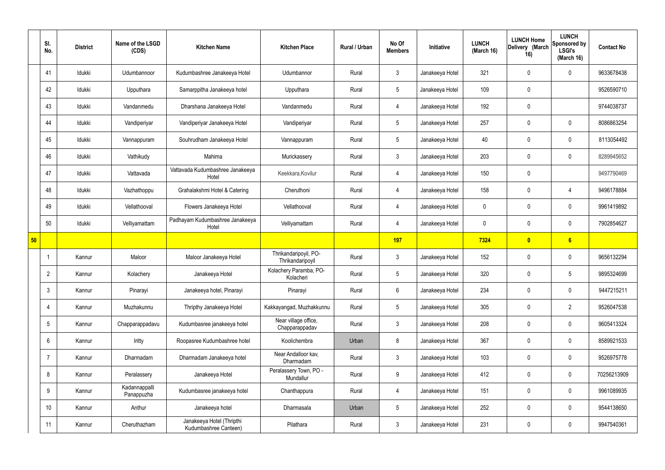|    | SI.<br>No.     | <b>District</b> | Name of the LSGD<br>(CDS)   | <b>Kitchen Name</b>                                | <b>Kitchen Place</b>                      | Rural / Urban | No Of<br><b>Members</b> | Initiative      | <b>LUNCH</b><br>(March 16) | <b>LUNCH Home</b><br>Delivery (March<br>16) | <b>LUNCH</b><br>Sponsored by<br><b>LSGI's</b><br>(March 16) | <b>Contact No</b> |
|----|----------------|-----------------|-----------------------------|----------------------------------------------------|-------------------------------------------|---------------|-------------------------|-----------------|----------------------------|---------------------------------------------|-------------------------------------------------------------|-------------------|
|    | 41             | Idukki          | Udumbannoor                 | Kudumbashree Janakeeya Hotel                       | Udumbannor                                | Rural         | $\mathbf{3}$            | Janakeeya Hotel | 321                        | $\mathbf 0$                                 | $\mathbf 0$                                                 | 9633678438        |
|    | 42             | Idukki          | Upputhara                   | Samarppitha Janakeeya hotel                        | Upputhara                                 | Rural         | $5\overline{)}$         | Janakeeya Hotel | 109                        | $\pmb{0}$                                   |                                                             | 9526590710        |
|    | 43             | Idukki          | Vandanmedu                  | Dharshana Janakeeya Hotel                          | Vandanmedu                                | Rural         | 4                       | Janakeeya Hotel | 192                        | $\pmb{0}$                                   |                                                             | 9744038737        |
|    | 44             | Idukki          | Vandiperiyar                | Vandiperiyar Janakeeya Hotel                       | Vandiperiyar                              | Rural         | $5\overline{)}$         | Janakeeya Hotel | 257                        | $\mathbf 0$                                 | $\mathbf 0$                                                 | 8086863254        |
|    | 45             | Idukki          | Vannappuram                 | Souhrudham Janakeeya Hotel                         | Vannappuram                               | Rural         | $5\overline{)}$         | Janakeeya Hotel | 40                         | $\mathbf 0$                                 | $\mathbf 0$                                                 | 8113054492        |
|    | 46             | Idukki          | Vathikudy                   | Mahima                                             | Murickassery                              | Rural         | $\mathbf{3}$            | Janakeeya Hotel | 203                        | $\mathbf 0$                                 | $\mathbf 0$                                                 | 8289945652        |
|    | 47             | Idukki          | Vattavada                   | Vattavada Kudumbashree Janakeeya<br>Hotel          | Keekkara, Kovilur                         | Rural         | $\overline{4}$          | Janakeeya Hotel | 150                        | $\pmb{0}$                                   |                                                             | 9497790469        |
|    | 48             | Idukki          | Vazhathoppu                 | Grahalakshmi Hotel & Catering                      | Cheruthoni                                | Rural         | 4                       | Janakeeya Hotel | 158                        | $\mathbf 0$                                 | 4                                                           | 9496178884        |
|    | 49             | Idukki          | Vellathooval                | Flowers Janakeeya Hotel                            | Vellathooval                              | Rural         | 4                       | Janakeeya Hotel | $\mathbf 0$                | $\mathbf 0$                                 | $\mathbf 0$                                                 | 9961419892        |
|    | 50             | Idukki          | Velliyamattam               | Padhayam Kudumbashree Janakeeya<br>Hotel           | Velliyamattam                             | Rural         | $\overline{4}$          | Janakeeya Hotel | $\mathbf 0$                | $\mathbf 0$                                 | $\mathbf 0$                                                 | 7902854627        |
| 50 |                |                 |                             |                                                    |                                           |               | 197                     |                 | 7324                       | $\overline{\mathbf{0}}$                     | 6                                                           |                   |
|    | -1             | Kannur          | Maloor                      | Maloor Janakeeya Hotel                             | Thrikandaripoyil, PO-<br>Thrikandaripoyil | Rural         | $\mathbf{3}$            | Janakeeya Hotel | 152                        | $\mathbf 0$                                 | $\mathbf 0$                                                 | 9656132294        |
|    | $\overline{2}$ | Kannur          | Kolachery                   | Janakeeya Hotel                                    | Kolachery Paramba, PO-<br>Kolacheri       | Rural         | $5\overline{)}$         | Janakeeya Hotel | 320                        | $\mathbf 0$                                 | 5                                                           | 9895324699        |
|    | $\mathbf{3}$   | Kannur          | Pinarayi                    | Janakeeya hotel, Pinarayi                          | Pinarayi                                  | Rural         | $6\overline{6}$         | Janakeeya Hotel | 234                        | $\pmb{0}$                                   | $\mathbf 0$                                                 | 9447215211        |
|    | $\overline{4}$ | Kannur          | Muzhakunnu                  | Thripthy Janakeeya Hotel                           | Kakkayangad, Muzhakkunnu                  | Rural         | $5\overline{)}$         | Janakeeya Hotel | 305                        | $\pmb{0}$                                   | $\overline{2}$                                              | 9526047538        |
|    | $5^{\circ}$    | Kannur          | Chapparappadavu             | Kudumbasree janakeeya hotel                        | Near village office,<br>Chapparappadav    | Rural         | 3                       | Janakeeya Hotel | 208                        | $\mathbf 0$                                 | $\mathbf 0$                                                 | 9605413324        |
|    | 6              | Kannur          | Iritty                      | Roopasree Kudumbashree hotel                       | Koolichembra                              | Urban         | 8                       | Janakeeya Hotel | 367                        | $\mathbf 0$                                 | $\mathbf 0$                                                 | 8589921533        |
|    | 7              | Kannur          | Dharmadam                   | Dharmadam Janakeeya hotel                          | Near Andalloor kav,<br>Dharmadam          | Rural         | $\mathbf{3}$            | Janakeeya Hotel | 103                        | 0                                           | $\mathbf 0$                                                 | 9526975778        |
|    | 8              | Kannur          | Peralassery                 | Janakeeya Hotel                                    | Peralassery Town, PO -<br>Mundallur       | Rural         | 9                       | Janakeeya Hotel | 412                        | 0                                           | $\mathbf 0$                                                 | 70256213909       |
|    | 9              | Kannur          | Kadannappalli<br>Panappuzha | Kudumbasree janakeeya hotel                        | Chanthappura                              | Rural         | $\overline{4}$          | Janakeeya Hotel | 151                        | 0                                           | $\mathbf 0$                                                 | 9961089935        |
|    | 10             | Kannur          | Anthur                      | Janakeeya hotel                                    | Dharmasala                                | Urban         | $5\phantom{.0}$         | Janakeeya Hotel | 252                        | $\mathbf 0$                                 | $\mathbf 0$                                                 | 9544138650        |
|    | 11             | Kannur          | Cheruthazham                | Janakeeya Hotel (Thripthi<br>Kudumbashree Canteen) | Pilathara                                 | Rural         | 3 <sup>5</sup>          | Janakeeya Hotel | 231                        | 0                                           | $\overline{0}$                                              | 9947540361        |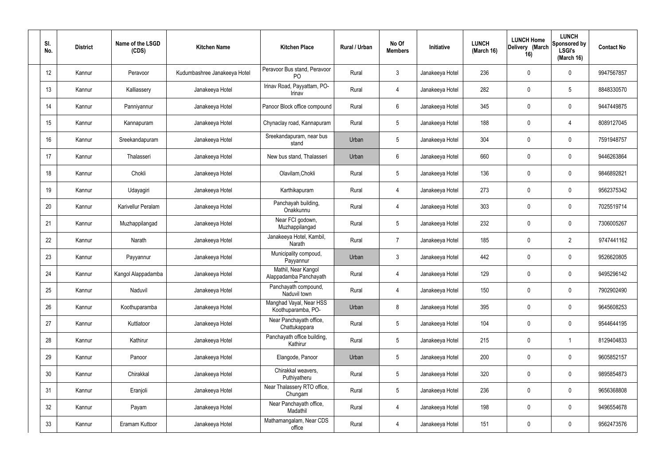| SI.<br>No. | <b>District</b> | Name of the LSGD<br>(CDS) | <b>Kitchen Name</b>          | <b>Kitchen Place</b>                           | Rural / Urban | No Of<br><b>Members</b> | Initiative      | <b>LUNCH</b><br>(March 16) | <b>LUNCH Home</b><br>Delivery (March<br>16) | <b>LUNCH</b><br>Sponsored by<br><b>LSGI's</b><br>(March 16) | <b>Contact No</b> |
|------------|-----------------|---------------------------|------------------------------|------------------------------------------------|---------------|-------------------------|-----------------|----------------------------|---------------------------------------------|-------------------------------------------------------------|-------------------|
| 12         | Kannur          | Peravoor                  | Kudumbashree Janakeeya Hotel | Peravoor Bus stand, Peravoor<br>P <sub>O</sub> | Rural         | $\mathbf{3}$            | Janakeeya Hotel | 236                        | $\mathbf 0$                                 | $\mathbf 0$                                                 | 9947567857        |
| 13         | Kannur          | Kalliassery               | Janakeeya Hotel              | Irinav Road, Payyattam, PO-<br>Irinav          | Rural         | $\overline{4}$          | Janakeeya Hotel | 282                        | $\mathbf 0$                                 | $5\phantom{.0}$                                             | 8848330570        |
| 14         | Kannur          | Panniyannur               | Janakeeya Hotel              | Panoor Block office compound                   | Rural         | $6\phantom{.}6$         | Janakeeya Hotel | 345                        | 0                                           | $\mathbf 0$                                                 | 9447449875        |
| 15         | Kannur          | Kannapuram                | Janakeeya Hotel              | Chynaclay road, Kannapuram                     | Rural         | $5\phantom{.0}$         | Janakeeya Hotel | 188                        | 0                                           | 4                                                           | 8089127045        |
| 16         | Kannur          | Sreekandapuram            | Janakeeya Hotel              | Sreekandapuram, near bus<br>stand              | Urban         | $5\phantom{.0}$         | Janakeeya Hotel | 304                        | $\mathbf 0$                                 | $\mathbf 0$                                                 | 7591948757        |
| 17         | Kannur          | Thalasseri                | Janakeeya Hotel              | New bus stand, Thalasseri                      | Urban         | $6\phantom{.}6$         | Janakeeya Hotel | 660                        | 0                                           | $\mathbf 0$                                                 | 9446263864        |
| 18         | Kannur          | Chokli                    | Janakeeya Hotel              | Olavilam, Chokli                               | Rural         | $5\phantom{.0}$         | Janakeeya Hotel | 136                        | 0                                           | $\mathbf 0$                                                 | 9846892821        |
| 19         | Kannur          | Udayagiri                 | Janakeeya Hotel              | Karthikapuram                                  | Rural         | 4                       | Janakeeya Hotel | 273                        | 0                                           | $\mathbf 0$                                                 | 9562375342        |
| 20         | Kannur          | Karivellur Peralam        | Janakeeya Hotel              | Panchayah building,<br>Onakkunnu               | Rural         | $\overline{4}$          | Janakeeya Hotel | 303                        | 0                                           | $\mathbf 0$                                                 | 7025519714        |
| 21         | Kannur          | Muzhappilangad            | Janakeeya Hotel              | Near FCI godown,<br>Muzhappilangad             | Rural         | $5\phantom{.0}$         | Janakeeya Hotel | 232                        | 0                                           | $\mathbf 0$                                                 | 7306005267        |
| 22         | Kannur          | Narath                    | Janakeeya Hotel              | Janakeeya Hotel, Kambil,<br>Narath             | Rural         | $\overline{7}$          | Janakeeya Hotel | 185                        | 0                                           | $\overline{2}$                                              | 9747441162        |
| 23         | Kannur          | Payyannur                 | Janakeeya Hotel              | Municipality compoud,<br>Payyannur             | Urban         | $\mathbf{3}$            | Janakeeya Hotel | 442                        | 0                                           | $\mathbf 0$                                                 | 9526620805        |
| 24         | Kannur          | Kangol Alappadamba        | Janakeeya Hotel              | Mathil, Near Kangol<br>Alappadamba Panchayath  | Rural         | 4                       | Janakeeya Hotel | 129                        | $\mathbf 0$                                 | $\mathbf 0$                                                 | 9495296142        |
| 25         | Kannur          | Naduvil                   | Janakeeya Hotel              | Panchayath compound,<br>Naduvil town           | Rural         | $\overline{4}$          | Janakeeya Hotel | 150                        | 0                                           | $\mathbf 0$                                                 | 7902902490        |
| 26         | Kannur          | Koothuparamba             | Janakeeya Hotel              | Manghad Vayal, Near HSS<br>Koothuparamba, PO-  | Urban         | 8                       | Janakeeya Hotel | 395                        | 0                                           | $\mathbf 0$                                                 | 9645608253        |
| 27         | Kannur          | Kuttiatoor                | Janakeeya Hotel              | Near Panchayath office,<br>Chattukappara       | Rural         | $5\phantom{.0}$         | Janakeeya Hotel | 104                        | 0                                           | $\mathbf 0$                                                 | 9544644195        |
| 28         | Kannur          | Kathirur                  | Janakeeya Hotel              | Panchayath office building,<br>Kathirur        | Rural         | $5\phantom{.0}$         | Janakeeya Hotel | 215                        | 0                                           | $\mathbf{1}$                                                | 8129404833        |
| 29         | Kannur          | Panoor                    | Janakeeya Hotel              | Elangode, Panoor                               | Urban         | $5\phantom{.0}$         | Janakeeya Hotel | 200                        | 0                                           | $\mathbf 0$                                                 | 9605852157        |
| 30         | Kannur          | Chirakkal                 | Janakeeya Hotel              | Chirakkal weavers,<br>Puthiyatheru             | Rural         | $5\phantom{.0}$         | Janakeeya Hotel | 320                        | 0                                           | $\mathbf 0$                                                 | 9895854873        |
| 31         | Kannur          | Eranjoli                  | Janakeeya Hotel              | Near Thalassery RTO office,<br>Chungam         | Rural         | $5\phantom{.0}$         | Janakeeya Hotel | 236                        | 0                                           | $\mathbf 0$                                                 | 9656368808        |
| 32         | Kannur          | Payam                     | Janakeeya Hotel              | Near Panchayath office,<br>Madathil            | Rural         | $\overline{4}$          | Janakeeya Hotel | 198                        | 0                                           | $\mathbf 0$                                                 | 9496554678        |
| 33         | Kannur          | Eramam Kuttoor            | Janakeeya Hotel              | Mathamangalam, Near CDS<br>office              | Rural         | $\overline{4}$          | Janakeeya Hotel | 151                        | $\pmb{0}$                                   | $\boldsymbol{0}$                                            | 9562473576        |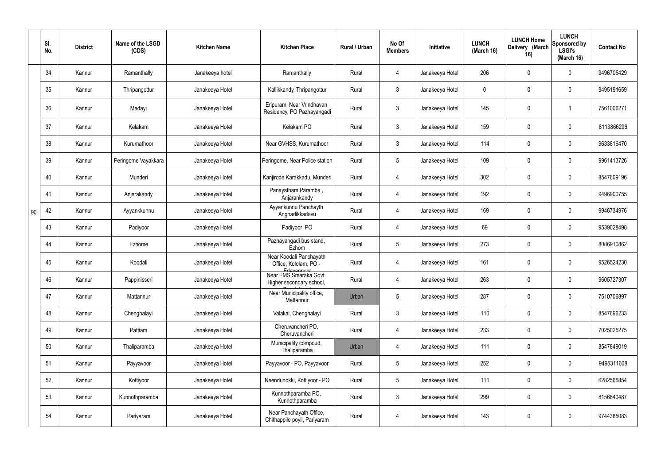|    | SI.<br>No. | <b>District</b> | Name of the LSGD<br>(CDS) | <b>Kitchen Name</b> | <b>Kitchen Place</b>                                           | Rural / Urban | No Of<br><b>Members</b> | Initiative      | <b>LUNCH</b><br>(March 16) | <b>LUNCH Home</b><br>Delivery (March<br>16) | <b>LUNCH</b><br>Sponsored by<br><b>LSGI's</b><br>(March 16) | <b>Contact No</b> |
|----|------------|-----------------|---------------------------|---------------------|----------------------------------------------------------------|---------------|-------------------------|-----------------|----------------------------|---------------------------------------------|-------------------------------------------------------------|-------------------|
|    | 34         | Kannur          | Ramanthally               | Janakeeya hotel     | Ramanthally                                                    | Rural         | 4                       | Janakeeya Hotel | 206                        | $\mathbf 0$                                 | $\mathbf 0$                                                 | 9496705429        |
|    | 35         | Kannur          | Thripangottur             | Janakeeya Hotel     | Kallikkandy, Thripangottur                                     | Rural         | $\mathbf{3}$            | Janakeeya Hotel | $\mathbf 0$                | $\mathbf 0$                                 | $\mathbf 0$                                                 | 9495191659        |
|    | 36         | Kannur          | Madayi                    | Janakeeya Hotel     | Eripuram, Near Vrindhavan<br>Residency, PO Pazhayangadi        | Rural         | $\mathbf{3}$            | Janakeeya Hotel | 145                        | 0                                           |                                                             | 7561006271        |
|    | 37         | Kannur          | Kelakam                   | Janakeeya Hotel     | Kelakam PO                                                     | Rural         | $\mathbf{3}$            | Janakeeya Hotel | 159                        | 0                                           | $\mathbf 0$                                                 | 8113866296        |
|    | 38         | Kannur          | Kurumathoor               | Janakeeya Hotel     | Near GVHSS, Kurumathoor                                        | Rural         | $\mathbf{3}$            | Janakeeya Hotel | 114                        | 0                                           | $\overline{0}$                                              | 9633816470        |
|    | 39         | Kannur          | Peringome Vayakkara       | Janakeeya Hotel     | Peringome, Near Police station                                 | Rural         | $5\phantom{.0}$         | Janakeeya Hotel | 109                        | 0                                           | $\mathbf 0$                                                 | 9961413726        |
|    | 40         | Kannur          | Munderi                   | Janakeeya Hotel     | Kanjirode Karakkadu, Munderi                                   | Rural         | 4                       | Janakeeya Hotel | 302                        | 0                                           | $\overline{0}$                                              | 8547609196        |
|    | 41         | Kannur          | Anjarakandy               | Janakeeya Hotel     | Panayatham Paramba,<br>Anjarankandy                            | Rural         | 4                       | Janakeeya Hotel | 192                        | 0                                           | $\mathbf 0$                                                 | 9496900755        |
| 90 | 42         | Kannur          | Ayyankkunnu               | Janakeeya Hotel     | Ayyankunnu Panchayth<br>Anghadikkadavu                         | Rural         | $\overline{4}$          | Janakeeya Hotel | 169                        | 0                                           | $\mathbf 0$                                                 | 9946734976        |
|    | 43         | Kannur          | Padiyoor                  | Janakeeya Hotel     | Padiyoor PO                                                    | Rural         | 4                       | Janakeeya Hotel | 69                         | 0                                           | $\mathbf 0$                                                 | 9539028498        |
|    | 44         | Kannur          | Ezhome                    | Janakeeya Hotel     | Pazhayangadi bus stand,<br>Ezhom                               | Rural         | $5\overline{)}$         | Janakeeya Hotel | 273                        | 0                                           | $\mathbf 0$                                                 | 8086910862        |
|    | 45         | Kannur          | Koodali                   | Janakeeya Hotel     | Near Koodali Panchayath<br>Office, Kololam, PO -<br>Edayannoor | Rural         | 4                       | Janakeeya Hotel | 161                        | $\mathbf 0$                                 | $\mathbf 0$                                                 | 9526524230        |
|    | 46         | Kannur          | Pappinisseri              | Janakeeya Hotel     | Near EMS Smaraka Govt.<br>Higher secondary school,             | Rural         | $\overline{4}$          | Janakeeya Hotel | 263                        | $\mathbf 0$                                 | $\boldsymbol{0}$                                            | 9605727307        |
|    | 47         | Kannur          | Mattannur                 | Janakeeya Hotel     | Near Municipality office,<br>Mattannur                         | Urban         | $5\phantom{.0}$         | Janakeeya Hotel | 287                        | $\pmb{0}$                                   | $\mathbf 0$                                                 | 7510706897        |
|    | 48         | Kannur          | Chenghalayi               | Janakeeya Hotel     | Valakai, Chenghalayi                                           | Rural         | $\mathbf{3}$            | Janakeeya Hotel | 110                        | $\pmb{0}$                                   | $\pmb{0}$                                                   | 8547696233        |
|    | 49         | Kannur          | Pattiam                   | Janakeeya Hotel     | Cheruvancheri PO,<br>Cheruvancheri                             | Rural         | $\overline{4}$          | Janakeeya Hotel | 233                        | $\pmb{0}$                                   | $\mathbf 0$                                                 | 7025025275        |
|    | 50         | Kannur          | Thaliparamba              | Janakeeya Hotel     | Municipality compoud,<br>Thaliparamba                          | Urban         | $\overline{4}$          | Janakeeya Hotel | 111                        | $\pmb{0}$                                   | $\pmb{0}$                                                   | 8547849019        |
|    | 51         | Kannur          | Payyavoor                 | Janakeeya Hotel     | Payyavoor - PO, Payyavoor                                      | Rural         | $5\phantom{.0}$         | Janakeeya Hotel | 252                        | $\pmb{0}$                                   | $\mathbf 0$                                                 | 9495311608        |
|    | 52         | Kannur          | Kottiyoor                 | Janakeeya Hotel     | Neendunokki, Kottiyoor - PO                                    | Rural         | $5\phantom{.0}$         | Janakeeya Hotel | 111                        | $\pmb{0}$                                   | $\mathbf 0$                                                 | 6282565854        |
|    | 53         | Kannur          | Kunnothparamba            | Janakeeya Hotel     | Kunnothparamba PO,<br>Kunnothparamba                           | Rural         | $\mathbf{3}$            | Janakeeya Hotel | 299                        | $\pmb{0}$                                   | $\mathbf 0$                                                 | 8156840487        |
|    | 54         | Kannur          | Pariyaram                 | Janakeeya Hotel     | Near Panchayath Office,<br>Chithappile poyil, Pariyaram        | Rural         | $\overline{4}$          | Janakeeya Hotel | 143                        | 0                                           | $\boldsymbol{0}$                                            | 9744385083        |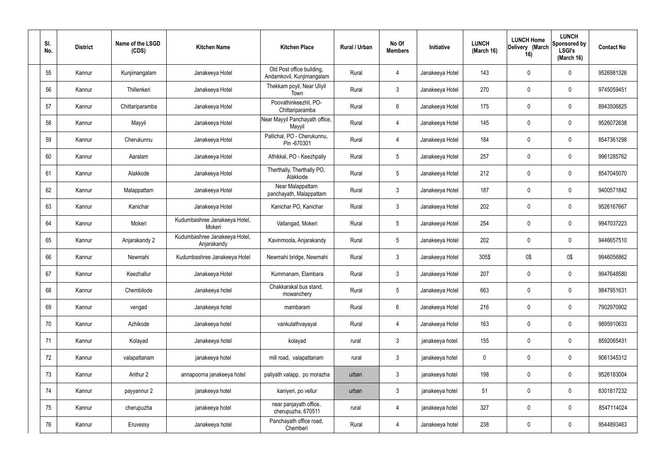| SI.<br>No. | <b>District</b> | Name of the LSGD<br>(CDS) | <b>Kitchen Name</b>                          | <b>Kitchen Place</b>                                   | Rural / Urban | No Of<br><b>Members</b> | Initiative      | <b>LUNCH</b><br>(March 16) | <b>LUNCH Home</b><br>Delivery (March<br>16) | <b>LUNCH</b><br>Sponsored by<br><b>LSGI's</b><br>(March 16) | <b>Contact No</b> |
|------------|-----------------|---------------------------|----------------------------------------------|--------------------------------------------------------|---------------|-------------------------|-----------------|----------------------------|---------------------------------------------|-------------------------------------------------------------|-------------------|
| 55         | Kannur          | Kunjimangalam             | Janakeeya Hotel                              | Old Post office building,<br>Andamkovil, Kunjimangalam | Rural         | 4                       | Janakeeya Hotel | 143                        | $\mathbf 0$                                 | $\mathbf 0$                                                 | 9526981326        |
| 56         | Kannur          | Thillenkeri               | Janakeeya Hotel                              | Thekkam poyil, Near Uliyil<br>Town                     | Rural         | $\mathbf{3}$            | Janakeeya Hotel | 270                        | $\mathbf 0$                                 | $\mathbf 0$                                                 | 9745059451        |
| 57         | Kannur          | Chittariparamba           | Janakeeya Hotel                              | Poovathinkeezhil, PO-<br>Chittariparamba               | Rural         | $6\overline{6}$         | Janakeeya Hotel | 175                        | $\mathbf 0$                                 | $\mathbf 0$                                                 | 8943506825        |
| 58         | Kannur          | Mayyil                    | Janakeeya Hotel                              | Near Mayyil Panchayath office,<br>Mayyil               | Rural         | 4                       | Janakeeya Hotel | 145                        | $\mathbf 0$                                 | $\mathbf 0$                                                 | 9526072638        |
| 59         | Kannur          | Cherukunnu                | Janakeeya Hotel                              | Pallichal, PO - Cherukunnu,<br>Pin -670301             | Rural         | $\overline{4}$          | Janakeeya Hotel | 184                        | $\mathbf 0$                                 | $\mathbf 0$                                                 | 8547361298        |
| 60         | Kannur          | Aaralam                   | Janakeeya Hotel                              | Athikkal, PO - Keezhpally                              | Rural         | $5\phantom{.0}$         | Janakeeya Hotel | 257                        | $\mathbf 0$                                 | $\mathbf 0$                                                 | 9961285762        |
| 61         | Kannur          | Alakkode                  | Janakeeya Hotel                              | Therthally, Therthally PO,<br>Alakkode                 | Rural         | $5\overline{)}$         | Janakeeya Hotel | 212                        | $\mathbf 0$                                 | $\mathbf 0$                                                 | 8547045070        |
| 62         | Kannur          | Malappattam               | Janakeeya Hotel                              | Near Malappattam<br>panchayath, Malappattam            | Rural         | $\mathbf{3}$            | Janakeeya Hotel | 187                        | $\mathbf 0$                                 | $\mathbf 0$                                                 | 9400571842        |
| 63         | Kannur          | Kanichar                  | Janakeeya Hotel                              | Kanichar PO, Kanichar                                  | Rural         | $\mathbf{3}$            | Janakeeya Hotel | 202                        | $\mathbf 0$                                 | $\mathbf 0$                                                 | 9526167667        |
| 64         | Kannur          | Mokeri                    | Kudumbashree Janakeeya Hotel,<br>Mokeri      | Vallangad, Mokeri                                      | Rural         | $5\overline{)}$         | Janakeeya Hotel | 254                        | $\mathbf 0$                                 | $\mathbf 0$                                                 | 9947037223        |
| 65         | Kannur          | Anjarakandy 2             | Kudumbashree Janakeeya Hotel,<br>Anjarakandy | Kavinmoola, Anjarakandy                                | Rural         | $5\phantom{.0}$         | Janakeeya Hotel | 202                        | $\mathbf 0$                                 | $\mathbf 0$                                                 | 9446657510        |
| 66         | Kannur          | Newmahi                   | Kudumbashree Janakeeya Hotel                 | Newmahi bridge, Newmahi                                | Rural         | $\mathbf{3}$            | Janakeeya Hotel | 305\$                      | 0\$                                         | 0\$                                                         | 9946056862        |
| 67         | Kannur          | Keezhallur                | Janakeeya Hotel                              | Kummanam, Elambara                                     | Rural         | $\mathfrak{Z}$          | Janakeeya Hotel | 207                        | $\mathbf 0$                                 | $\mathbf 0$                                                 | 9947648580        |
| 68         | Kannur          | Chembilode                | Janakeeya hotel                              | Chakkarakal bus stand,<br>mowanchery                   | Rural         | $5\phantom{.0}$         | Janakeeya Hotel | 663                        | $\pmb{0}$                                   | $\mathbf 0$                                                 | 9847951631        |
| 69         | Kannur          | vengad                    | Janakeeya hotel                              | mambaram                                               | Rural         | $6\phantom{.}6$         | Janakeeya Hotel | 216                        | $\pmb{0}$                                   | $\mathbf 0$                                                 | 7902970902        |
| 70         | Kannur          | Azhikode                  | Janakeeya hotel                              | vankulathvayayal                                       | Rural         | $\overline{4}$          | Janakeeya Hotel | 163                        | $\pmb{0}$                                   | $\mathbf 0$                                                 | 9895910633        |
| 71         | Kannur          | Kolayad                   | Janakeeya hotel                              | kolayad                                                | rural         | $\mathbf{3}$            | janakeeya hotel | 155                        | $\pmb{0}$                                   | $\mathbf 0$                                                 | 8592065431        |
| 72         | Kannur          | valapattanam              | janakeeya hotel                              | mill road, valapattanam                                | rural         | $\mathbf{3}$            | janakeeya hotel | $\pmb{0}$                  | $\pmb{0}$                                   | $\mathbf 0$                                                 | 9061345312        |
| 73         | Kannur          | Anthur 2                  | annapoorna janakeeya hotel                   | paliyath valapp, po morazha                            | urban         | $\mathbf{3}$            | janakeeya hotel | 198                        | $\pmb{0}$                                   | $\mathbf 0$                                                 | 9526183004        |
| 74         | Kannur          | payyannur 2               | janakeeya hotel                              | kaniyeri, po vellur                                    | urban         | $\mathbf{3}$            | janakeeya hotel | 51                         | $\pmb{0}$                                   | $\pmb{0}$                                                   | 8301817232        |
| 75         | Kannur          | cherupuzha                | janakeeya hotel                              | near panjayath office,<br>cherupuzha, 670511           | rural         | $\overline{4}$          | janakeeya hotel | 327                        | $\pmb{0}$                                   | $\mathbf 0$                                                 | 8547114024        |
| 76         | Kannur          | Eruvessy                  | Janakeeya hotel                              | Panchayath office road,<br>Chemberi                    | Rural         | $\overline{4}$          | Janakeeya hotel | 238                        | $\pmb{0}$                                   | $\pmb{0}$                                                   | 9544893463        |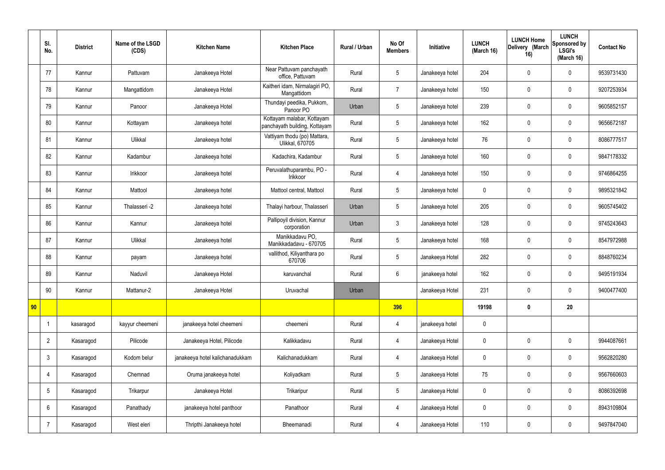|    | SI.<br>No.     | <b>District</b> | Name of the LSGD<br>(CDS) | <b>Kitchen Name</b>             | <b>Kitchen Place</b>                                        | <b>Rural / Urban</b> | No Of<br><b>Members</b> | Initiative      | <b>LUNCH</b><br>(March 16) | <b>LUNCH Home</b><br>Delivery (March<br>16) | <b>LUNCH</b><br>Sponsored by<br><b>LSGI's</b><br>(March 16) | <b>Contact No</b> |
|----|----------------|-----------------|---------------------------|---------------------------------|-------------------------------------------------------------|----------------------|-------------------------|-----------------|----------------------------|---------------------------------------------|-------------------------------------------------------------|-------------------|
|    | 77             | Kannur          | Pattuvam                  | Janakeeya Hotel                 | Near Pattuvam panchayath<br>office, Pattuvam                | Rural                | 5                       | Janakeeya hotel | 204                        | $\pmb{0}$                                   | $\mathbf 0$                                                 | 9539731430        |
|    | 78             | Kannur          | Mangattidom               | Janakeeya Hotel                 | Kaitheri idam, Nirmalagiri PO,<br>Mangattidom               | Rural                | $\overline{7}$          | Janakeeya hotel | 150                        | $\mathbf 0$                                 | $\mathbf 0$                                                 | 9207253934        |
|    | 79             | Kannur          | Panoor                    | Janakeeya Hotel                 | Thundayi peedika, Pukkom,<br>Panoor PO                      | Urban                | 5                       | Janakeeya hotel | 239                        | $\pmb{0}$                                   | $\mathbf 0$                                                 | 9605852157        |
|    | 80             | Kannur          | Kottayam                  | Janakeeya hotel                 | Kottayam malabar, Kottayam<br>panchayath building, Kottayam | Rural                | 5                       | Janakeeya hotel | 162                        | $\mathbf 0$                                 | $\mathbf 0$                                                 | 9656672187        |
|    | 81             | Kannur          | Ulikkal                   | Janakeeya hotel                 | Vattiyam thodu (po) Mattara,<br>Ulikkal, 670705             | Rural                | 5                       | Janakeeya hotel | 76                         | $\mathbf 0$                                 | $\mathbf 0$                                                 | 8086777517        |
|    | 82             | Kannur          | Kadambur                  | Janakeeya hotel                 | Kadachira, Kadambur                                         | Rural                | 5                       | Janakeeya hotel | 160                        | $\mathbf 0$                                 | $\mathbf 0$                                                 | 9847178332        |
|    | 83             | Kannur          | Irikkoor                  | Janakeeya hotel                 | Peruvalathuparambu, PO -<br>Irikkoor                        | Rural                | $\overline{4}$          | Janakeeya hotel | 150                        | $\pmb{0}$                                   | $\mathbf 0$                                                 | 9746864255        |
|    | 84             | Kannur          | Mattool                   | Janakeeya hotel                 | Mattool central, Mattool                                    | Rural                | 5                       | Janakeeya hotel | $\boldsymbol{0}$           | $\mathbf 0$                                 | $\mathbf 0$                                                 | 9895321842        |
|    | 85             | Kannur          | Thalasseri -2             | Janakeeya hotel                 | Thalayi harbour, Thalasseri                                 | Urban                | 5                       | Janakeeya hotel | 205                        | $\pmb{0}$                                   | $\mathbf 0$                                                 | 9605745402        |
|    | 86             | Kannur          | Kannur                    | Janakeeya hotel                 | Pallipoyil division, Kannur<br>corporation                  | Urban                | $\mathbf{3}$            | Janakeeya hotel | 128                        | $\pmb{0}$                                   | $\mathbf 0$                                                 | 9745243643        |
|    | 87             | Kannur          | Ulikkal                   | Janakeeya hotel                 | Manikkadavu PO,<br>Manikkadadavu - 670705                   | Rural                | 5                       | Janakeeya hotel | 168                        | $\pmb{0}$                                   | $\mathbf 0$                                                 | 8547972988        |
|    | 88             | Kannur          | payam                     | Janakeeya hotel                 | vallithod, Kiliyanthara po<br>670706                        | Rural                | 5                       | Janakeeya Hotel | 282                        | $\pmb{0}$                                   | $\pmb{0}$                                                   | 8848760234        |
|    | 89             | Kannur          | Naduvil                   | Janakeeya Hotel                 | karuvanchal                                                 | Rural                | 6                       | janakeeya hotel | 162                        | $\mathbf 0$                                 | $\mathbf 0$                                                 | 9495191934        |
|    | 90             | Kannur          | Mattanur-2                | Janakeeya Hotel                 | Uruvachal                                                   | Urban                |                         | Janakeeya Hotel | 231                        | $\pmb{0}$                                   | $\mathbf 0$                                                 | 9400477400        |
| 90 |                |                 |                           |                                 |                                                             |                      | 396                     |                 | 19198                      | $\pmb{0}$                                   | 20                                                          |                   |
|    |                | kasaragod       | kayyur cheemeni           | janakeeya hotel cheemeni        | cheemeni                                                    | Rural                | 4                       | janakeeya hotel | $\pmb{0}$                  |                                             |                                                             |                   |
|    | $\overline{2}$ | Kasaragod       | Pilicode                  | Janakeeya Hotel, Pilicode       | Kalikkadavu                                                 | Rural                | $\overline{4}$          | Janakeeya Hotel | $\pmb{0}$                  | $\pmb{0}$                                   | $\mathbf 0$                                                 | 9944087661        |
|    | $\mathbf{3}$   | Kasaragod       | Kodom belur               | janakeeya hotel kalichanadukkam | Kalichanadukkam                                             | Rural                | $\overline{4}$          | Janakeeya Hotel | $\pmb{0}$                  | $\pmb{0}$                                   | $\mathbf 0$                                                 | 9562820280        |
|    | $\overline{4}$ | Kasaragod       | Chemnad                   | Oruma janakeeya hotel           | Koliyadkam                                                  | Rural                | 5                       | Janakeeya Hotel | 75                         | $\pmb{0}$                                   | $\mathbf 0$                                                 | 9567660603        |
|    | 5              | Kasaragod       | Trikarpur                 | Janakeeya Hotel                 | Trikaripur                                                  | Rural                | $5\phantom{.0}$         | Janakeeya Hotel | $\pmb{0}$                  | $\pmb{0}$                                   | $\mathbf 0$                                                 | 8086392698        |
|    | 6              | Kasaragod       | Panathady                 | janakeeya hotel panthoor        | Panathoor                                                   | Rural                | $\overline{4}$          | Janakeeya Hotel | $\pmb{0}$                  | $\pmb{0}$                                   | $\mathbf 0$                                                 | 8943109804        |
|    |                | Kasaragod       | West eleri                | Thripthi Janakeeya hotel        | Bheemanadi                                                  | Rural                | 4                       | Janakeeya Hotel | 110                        | $\pmb{0}$                                   | $\pmb{0}$                                                   | 9497847040        |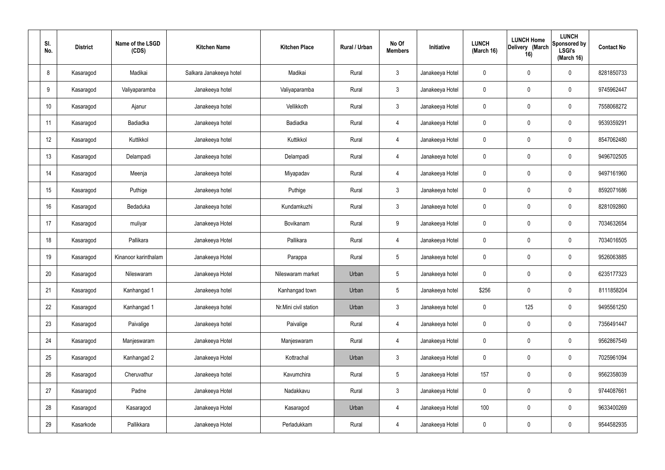| SI.<br>No. | <b>District</b> | Name of the LSGD<br>(CDS) | <b>Kitchen Name</b>     | <b>Kitchen Place</b>  | Rural / Urban | No Of<br><b>Members</b> | Initiative      | <b>LUNCH</b><br>(March 16) | <b>LUNCH Home</b><br>Delivery (March<br>16) | <b>LUNCH</b><br>Sponsored by<br><b>LSGI's</b><br>(March 16) | <b>Contact No</b> |
|------------|-----------------|---------------------------|-------------------------|-----------------------|---------------|-------------------------|-----------------|----------------------------|---------------------------------------------|-------------------------------------------------------------|-------------------|
| 8          | Kasaragod       | Madikai                   | Salkara Janakeeya hotel | Madikai               | Rural         | $\mathbf{3}$            | Janakeeya Hotel | $\mathbf 0$                | $\mathbf 0$                                 | $\mathbf 0$                                                 | 8281850733        |
| 9          | Kasaragod       | Valiyaparamba             | Janakeeya hotel         | Valiyaparamba         | Rural         | $\mathbf{3}$            | Janakeeya Hotel | $\mathbf 0$                | $\mathbf 0$                                 | $\mathbf 0$                                                 | 9745962447        |
| 10         | Kasaragod       | Ajanur                    | Janakeeya hotel         | Vellikkoth            | Rural         | $\mathbf{3}$            | Janakeeya Hotel | $\mathbf 0$                | $\mathbf 0$                                 | $\mathbf 0$                                                 | 7558068272        |
| 11         | Kasaragod       | Badiadka                  | Janakeeya hotel         | Badiadka              | Rural         | $\overline{4}$          | Janakeeya Hotel | $\mathbf 0$                | $\mathbf 0$                                 | $\mathbf 0$                                                 | 9539359291        |
| 12         | Kasaragod       | Kuttikkol                 | Janakeeya hotel         | Kuttikkol             | Rural         | $\overline{4}$          | Janakeeya Hotel | $\mathbf 0$                | $\mathbf 0$                                 | $\mathbf 0$                                                 | 8547062480        |
| 13         | Kasaragod       | Delampadi                 | Janakeeya hotel         | Delampadi             | Rural         | $\overline{4}$          | Janakeeya hotel | $\mathbf 0$                | $\mathbf 0$                                 | $\mathbf 0$                                                 | 9496702505        |
| 14         | Kasaragod       | Meenja                    | Janakeeya hotel         | Miyapadav             | Rural         | $\overline{4}$          | Janakeeya Hotel | $\mathbf 0$                | $\mathbf 0$                                 | $\mathbf 0$                                                 | 9497161960        |
| 15         | Kasaragod       | Puthige                   | Janakeeya hotel         | Puthige               | Rural         | $\mathbf{3}$            | Janakeeya hotel | $\mathbf 0$                | $\mathbf 0$                                 | $\mathbf 0$                                                 | 8592071686        |
| 16         | Kasaragod       | Bedaduka                  | Janakeeya hotel         | Kundamkuzhi           | Rural         | $\mathbf{3}$            | Janakeeya hotel | $\mathbf 0$                | $\pmb{0}$                                   | $\mathbf 0$                                                 | 8281092860        |
| 17         | Kasaragod       | muliyar                   | Janakeeya Hotel         | Bovikanam             | Rural         | 9                       | Janakeeya Hotel | $\mathbf 0$                | $\mathbf 0$                                 | $\mathbf 0$                                                 | 7034632654        |
| 18         | Kasaragod       | Pallikara                 | Janakeeya Hotel         | Pallikara             | Rural         | $\overline{4}$          | Janakeeya Hotel | $\mathbf 0$                | $\mathbf 0$                                 | $\mathbf 0$                                                 | 7034016505        |
| 19         | Kasaragod       | Kinanoor karinthalam      | Janakeeya Hotel         | Parappa               | Rural         | $5\overline{)}$         | Janakeeya hotel | $\mathbf 0$                | $\pmb{0}$                                   | $\mathbf 0$                                                 | 9526063885        |
| 20         | Kasaragod       | Nileswaram                | Janakeeya Hotel         | Nileswaram market     | Urban         | 5                       | Janakeeya hotel | $\mathbf 0$                | 0                                           | $\mathbf 0$                                                 | 6235177323        |
| 21         | Kasaragod       | Kanhangad 1               | Janakeeya hotel         | Kanhangad town        | Urban         | 5                       | Janakeeya hotel | \$256                      | $\pmb{0}$                                   | $\mathbf 0$                                                 | 8111858204        |
| 22         | Kasaragod       | Kanhangad 1               | Janakeeya hotel         | Nr.Mini civil station | Urban         | $\mathbf{3}$            | Janakeeya hotel | $\pmb{0}$                  | 125                                         | $\mathbf 0$                                                 | 9495561250        |
| 23         | Kasaragod       | Paivalige                 | Janakeeya hotel         | Paivalige             | Rural         | $\overline{4}$          | Janakeeya hotel | $\pmb{0}$                  | $\pmb{0}$                                   | $\mathbf 0$                                                 | 7356491447        |
| 24         | Kasaragod       | Manjeswaram               | Janakeeya Hotel         | Manjeswaram           | Rural         | $\overline{4}$          | Janakeeya Hotel | $\pmb{0}$                  | $\pmb{0}$                                   | $\mathbf 0$                                                 | 9562867549        |
| 25         | Kasaragod       | Kanhangad 2               | Janakeeya Hotel         | Kottrachal            | Urban         | $\mathbf{3}$            | Janakeeya Hotel | $\pmb{0}$                  | $\pmb{0}$                                   | $\mathbf 0$                                                 | 7025961094        |
| 26         | Kasaragod       | Cheruvathur               | Janakeeya hotel         | Kavumchira            | Rural         | $5\phantom{.0}$         | Janakeeya Hotel | 157                        | $\pmb{0}$                                   | $\mathbf 0$                                                 | 9562358039        |
| 27         | Kasaragod       | Padne                     | Janakeeya Hotel         | Nadakkavu             | Rural         | $\mathbf{3}$            | Janakeeya Hotel | $\pmb{0}$                  | $\pmb{0}$                                   | $\mathbf 0$                                                 | 9744087661        |
| 28         | Kasaragod       | Kasaragod                 | Janakeeya Hotel         | Kasaragod             | Urban         | 4                       | Janakeeya Hotel | 100                        | $\pmb{0}$                                   | $\mathbf 0$                                                 | 9633400269        |
| 29         | Kasarkode       | Pallikkara                | Janakeeya Hotel         | Perladukkam           | Rural         | 4                       | Janakeeya Hotel | $\pmb{0}$                  | $\pmb{0}$                                   | $\boldsymbol{0}$                                            | 9544582935        |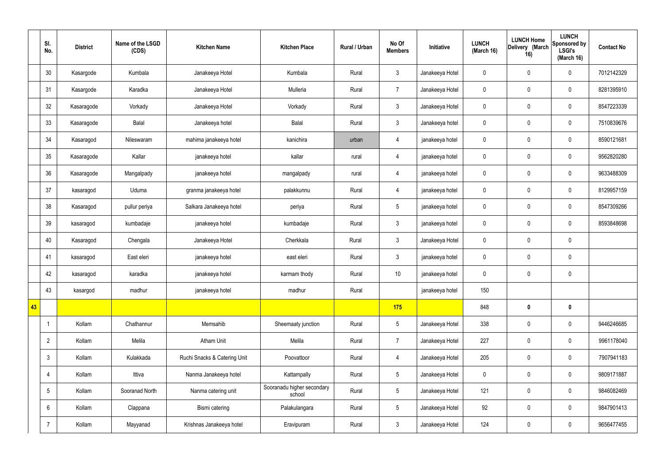|    | SI.<br>No.      | <b>District</b> | Name of the LSGD<br>(CDS) | <b>Kitchen Name</b>          | <b>Kitchen Place</b>                 | Rural / Urban | No Of<br><b>Members</b> | Initiative      | <b>LUNCH</b><br>(March 16) | <b>LUNCH Home</b><br>Delivery (March<br>16) | <b>LUNCH</b><br>Sponsored by<br><b>LSGI's</b><br>(March 16) | <b>Contact No</b> |
|----|-----------------|-----------------|---------------------------|------------------------------|--------------------------------------|---------------|-------------------------|-----------------|----------------------------|---------------------------------------------|-------------------------------------------------------------|-------------------|
|    | 30              | Kasargode       | Kumbala                   | Janakeeya Hotel              | Kumbala                              | Rural         | $\mathbf{3}$            | Janakeeya Hotel | $\mathbf 0$                | $\mathbf 0$                                 | $\mathbf 0$                                                 | 7012142329        |
|    | 31              | Kasargode       | Karadka                   | Janakeeya Hotel              | Mulleria                             | Rural         | $\overline{7}$          | Janakeeya Hotel | $\mathbf 0$                | $\mathbf 0$                                 | $\mathbf 0$                                                 | 8281395910        |
|    | 32              | Kasaragode      | Vorkady                   | Janakeeya Hotel              | Vorkady                              | Rural         | $\mathbf{3}$            | Janakeeya Hotel | $\mathbf 0$                | $\mathbf 0$                                 | $\mathbf 0$                                                 | 8547223339        |
|    | 33              | Kasaragode      | Balal                     | Janakeeya hotel              | Balal                                | Rural         | $\mathbf{3}$            | Janakeeya hotel | $\mathbf 0$                | $\mathbf 0$                                 | $\mathbf 0$                                                 | 7510839676        |
|    | 34              | Kasaragod       | Nileswaram                | mahima janakeeya hotel       | kanichira                            | urban         | $\overline{4}$          | janakeeya hotel | $\mathbf 0$                | $\pmb{0}$                                   | $\mathbf 0$                                                 | 8590121681        |
|    | 35              | Kasaragode      | Kallar                    | janakeeya hotel              | kallar                               | rural         | $\overline{4}$          | janakeeya hotel | $\mathbf 0$                | $\pmb{0}$                                   | $\mathbf 0$                                                 | 9562820280        |
|    | 36              | Kasaragode      | Mangalpady                | janakeeya hotel              | mangalpady                           | rural         | $\overline{4}$          | janakeeya hotel | $\mathbf 0$                | $\pmb{0}$                                   | $\mathbf 0$                                                 | 9633488309        |
|    | 37              | kasaragod       | Uduma                     | granma janakeeya hotel       | palakkunnu                           | Rural         | $\overline{4}$          | janakeeya hotel | $\mathbf 0$                | $\mathbf 0$                                 | $\mathbf 0$                                                 | 8129957159        |
|    | 38              | Kasaragod       | pullur periya             | Salkara Janakeeya hotel      | periya                               | Rural         | $5\phantom{.0}$         | janakeeya hotel | $\mathbf 0$                | $\pmb{0}$                                   | $\mathbf 0$                                                 | 8547309266        |
|    | 39              | kasaragod       | kumbadaje                 | janakeeya hotel              | kumbadaje                            | Rural         | $\mathbf{3}$            | janakeeya hotel | $\mathbf 0$                | $\mathbf 0$                                 | $\mathbf 0$                                                 | 8593848698        |
|    | 40              | Kasaragod       | Chengala                  | Janakeeya Hotel              | Cherkkala                            | Rural         | $\mathbf{3}$            | Janakeeya Hotel | $\mathbf 0$                | $\pmb{0}$                                   | $\mathbf 0$                                                 |                   |
|    | 41              | kasaragod       | East eleri                | janakeeya hotel              | east eleri                           | Rural         | $\mathbf{3}$            | janakeeya hotel | $\mathbf 0$                | $\pmb{0}$                                   | $\mathbf 0$                                                 |                   |
|    | 42              | kasaragod       | karadka                   | janakeeya hotel              | karmam thody                         | Rural         | 10                      | janakeeya hotel | $\mathbf 0$                | $\mathbf 0$                                 | $\mathbf 0$                                                 |                   |
|    | 43              | kasargod        | madhur                    | janakeeya hotel              | madhur                               | Rural         |                         | janakeeya hotel | 150                        |                                             |                                                             |                   |
| 43 |                 |                 |                           |                              |                                      |               | 175                     |                 | 848                        | $\pmb{0}$                                   | $\mathbf 0$                                                 |                   |
|    |                 | Kollam          | Chathannur                | Memsahib                     | Sheemaaty junction                   | Rural         | $5\overline{)}$         | Janakeeya Hotel | 338                        | $\pmb{0}$                                   | $\mathbf 0$                                                 | 9446246685        |
|    | $\overline{2}$  | Kollam          | Melila                    | Atham Unit                   | Melila                               | Rural         | $\overline{7}$          | Janakeeya Hotel | 227                        | $\pmb{0}$                                   | $\mathbf 0$                                                 | 9961178040        |
|    | $\mathfrak{Z}$  | Kollam          | Kulakkada                 | Ruchi Snacks & Catering Unit | Poovattoor                           | Rural         | $\overline{4}$          | Janakeeya Hotel | 205                        | $\pmb{0}$                                   | $\mathbf 0$                                                 | 7907941183        |
|    | $\overline{4}$  | Kollam          | Ittiva                    | Nanma Janakeeya hotel        | Kattampally                          | Rural         | $5\overline{)}$         | Janakeeya Hotel | $\mathbf 0$                | $\pmb{0}$                                   | $\mathbf 0$                                                 | 9809171887        |
|    | $5\phantom{.0}$ | Kollam          | Sooranad North            | Nanma catering unit          | Sooranadu higher secondary<br>school | Rural         | $5\phantom{.0}$         | Janakeeya Hotel | 121                        | $\pmb{0}$                                   | $\mathbf 0$                                                 | 9846082469        |
|    | $6\phantom{.}$  | Kollam          | Clappana                  | Bismi catering               | Palakulangara                        | Rural         | $5\overline{)}$         | Janakeeya Hotel | 92                         | $\pmb{0}$                                   | $\mathbf 0$                                                 | 9847901413        |
|    | $\overline{7}$  | Kollam          | Mayyanad                  | Krishnas Janakeeya hotel     | Eravipuram                           | Rural         | $3\phantom{a}$          | Janakeeya Hotel | 124                        | $\pmb{0}$                                   | $\boldsymbol{0}$                                            | 9656477455        |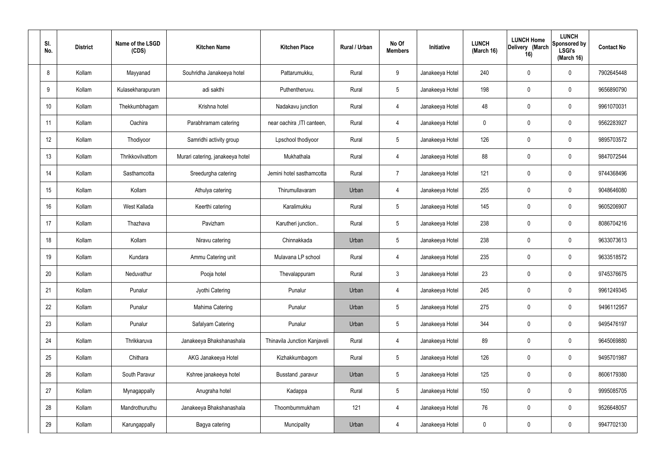| SI.<br>No. | <b>District</b> | Name of the LSGD<br>(CDS) | <b>Kitchen Name</b>              | <b>Kitchen Place</b>         | Rural / Urban | No Of<br><b>Members</b> | Initiative      | <b>LUNCH</b><br>(March 16) | <b>LUNCH Home</b><br>Delivery (March<br>16) | <b>LUNCH</b><br>Sponsored by<br><b>LSGI's</b><br>(March 16) | <b>Contact No</b> |
|------------|-----------------|---------------------------|----------------------------------|------------------------------|---------------|-------------------------|-----------------|----------------------------|---------------------------------------------|-------------------------------------------------------------|-------------------|
| 8          | Kollam          | Mayyanad                  | Souhridha Janakeeya hotel        | Pattarumukku,                | Rural         | 9                       | Janakeeya Hotel | 240                        | 0                                           | $\mathbf 0$                                                 | 7902645448        |
| 9          | Kollam          | Kulasekharapuram          | adi sakthi                       | Puthentheruvu.               | Rural         | $5\phantom{.0}$         | Janakeeya Hotel | 198                        | $\mathbf 0$                                 | $\mathbf 0$                                                 | 9656890790        |
| 10         | Kollam          | Thekkumbhagam             | Krishna hotel                    | Nadakavu junction            | Rural         | $\overline{4}$          | Janakeeya Hotel | 48                         | $\mathbf 0$                                 | $\mathbf 0$                                                 | 9961070031        |
| 11         | Kollam          | Oachira                   | Parabhramam catering             | near oachira , ITI canteen,  | Rural         | 4                       | Janakeeya Hotel | $\mathbf 0$                | 0                                           | $\mathbf 0$                                                 | 9562283927        |
| 12         | Kollam          | Thodiyoor                 | Samridhi activity group          | Lpschool thodiyoor           | Rural         | $5\phantom{.0}$         | Janakeeya Hotel | 126                        | $\mathbf 0$                                 | $\mathbf 0$                                                 | 9895703572        |
| 13         | Kollam          | Thrikkovilvattom          | Murari catering, janakeeya hotel | Mukhathala                   | Rural         | $\overline{4}$          | Janakeeya Hotel | 88                         | 0                                           | $\mathbf 0$                                                 | 9847072544        |
| 14         | Kollam          | Sasthamcotta              | Sreedurgha catering              | Jemini hotel sasthamcotta    | Rural         | $\overline{7}$          | Janakeeya Hotel | 121                        | $\mathbf 0$                                 | $\mathbf 0$                                                 | 9744368496        |
| 15         | Kollam          | Kollam                    | Athulya catering                 | Thirumullavaram              | Urban         | 4                       | Janakeeya Hotel | 255                        | 0                                           | $\mathbf 0$                                                 | 9048646080        |
| 16         | Kollam          | West Kallada              | Keerthi catering                 | Karalimukku                  | Rural         | $5\phantom{.0}$         | Janakeeya Hotel | 145                        | $\mathbf 0$                                 | $\mathbf 0$                                                 | 9605206907        |
| 17         | Kollam          | Thazhava                  | Pavizham                         | Karutheri junction           | Rural         | $5\phantom{.0}$         | Janakeeya Hotel | 238                        | 0                                           | $\mathbf 0$                                                 | 8086704216        |
| 18         | Kollam          | Kollam                    | Niravu catering                  | Chinnakkada                  | Urban         | $5\phantom{.0}$         | Janakeeya Hotel | 238                        | 0                                           | $\mathbf 0$                                                 | 9633073613        |
| 19         | Kollam          | Kundara                   | Ammu Catering unit               | Mulavana LP school           | Rural         | 4                       | Janakeeya Hotel | 235                        | 0                                           | $\mathbf 0$                                                 | 9633518572        |
| 20         | Kollam          | Neduvathur                | Pooja hotel                      | Thevalappuram                | Rural         | $\mathbf{3}$            | Janakeeya Hotel | 23                         | 0                                           | $\mathbf 0$                                                 | 9745376675        |
| 21         | Kollam          | Punalur                   | Jyothi Catering                  | Punalur                      | Urban         | 4                       | Janakeeya Hotel | 245                        | $\mathbf 0$                                 | $\mathbf 0$                                                 | 9961249345        |
| 22         | Kollam          | Punalur                   | Mahima Catering                  | Punalur                      | Urban         | $5\phantom{.0}$         | Janakeeya Hotel | 275                        | 0                                           | $\mathbf 0$                                                 | 9496112957        |
| 23         | Kollam          | Punalur                   | Safalyam Catering                | Punalur                      | Urban         | $5\phantom{.0}$         | Janakeeya Hotel | 344                        | 0                                           | $\mathbf 0$                                                 | 9495476197        |
| 24         | Kollam          | Thrikkaruva               | Janakeeya Bhakshanashala         | Thinavila Junction Kanjaveli | Rural         | $\overline{4}$          | Janakeeya Hotel | 89                         | 0                                           | $\mathbf 0$                                                 | 9645069880        |
| 25         | Kollam          | Chithara                  | AKG Janakeeya Hotel              | Kizhakkumbagom               | Rural         | $5\phantom{.0}$         | Janakeeya Hotel | 126                        | 0                                           | $\mathbf 0$                                                 | 9495701987        |
| 26         | Kollam          | South Paravur             | Kshree janakeeya hotel           | Busstand , paravur           | Urban         | $5\phantom{.0}$         | Janakeeya Hotel | 125                        | 0                                           | $\mathbf 0$                                                 | 8606179380        |
| 27         | Kollam          | Mynagappally              | Anugraha hotel                   | Kadappa                      | Rural         | $5\phantom{.0}$         | Janakeeya Hotel | 150                        | 0                                           | $\mathbf 0$                                                 | 9995085705        |
| 28         | Kollam          | Mandrothuruthu            | Janakeeya Bhakshanashala         | Thoombummukham               | 121           | $\overline{4}$          | Janakeeya Hotel | 76                         | 0                                           | $\mathbf 0$                                                 | 9526648057        |
| 29         | Kollam          | Karungappally             | Bagya catering                   | Muncipality                  | Urban         | 4                       | Janakeeya Hotel | 0                          | 0                                           | $\mathbf 0$                                                 | 9947702130        |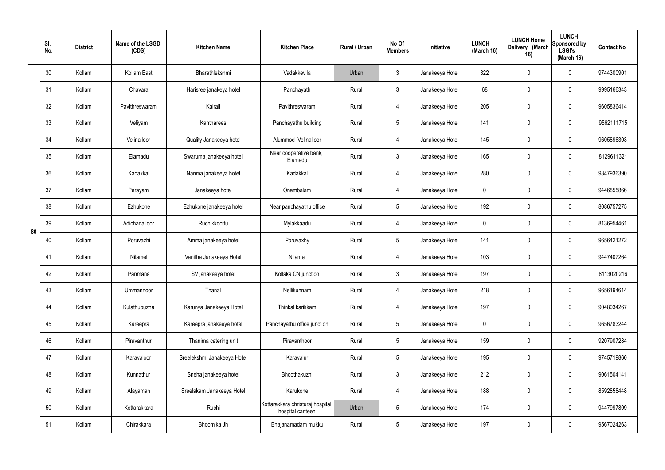|    | SI.<br>No. | <b>District</b> | Name of the LSGD<br>(CDS) | <b>Kitchen Name</b>         | <b>Kitchen Place</b>                                 | Rural / Urban | No Of<br><b>Members</b> | <b>Initiative</b> | <b>LUNCH</b><br>(March 16) | <b>LUNCH Home</b><br>Delivery (March<br>16) | <b>LUNCH</b><br>Sponsored by<br><b>LSGI's</b><br>(March 16) | <b>Contact No</b> |
|----|------------|-----------------|---------------------------|-----------------------------|------------------------------------------------------|---------------|-------------------------|-------------------|----------------------------|---------------------------------------------|-------------------------------------------------------------|-------------------|
|    | 30         | Kollam          | Kollam East               | Bharathlekshmi              | Vadakkevila                                          | Urban         | $\mathbf{3}$            | Janakeeya Hotel   | 322                        | 0                                           | $\mathbf 0$                                                 | 9744300901        |
|    | 31         | Kollam          | Chavara                   | Harisree janakeya hotel     | Panchayath                                           | Rural         | $\mathbf{3}$            | Janakeeya Hotel   | 68                         | 0                                           | $\mathbf 0$                                                 | 9995166343        |
|    | 32         | Kollam          | Pavithreswaram            | Kairali                     | Pavithreswaram                                       | Rural         | $\overline{4}$          | Janakeeya Hotel   | 205                        | 0                                           | $\mathbf 0$                                                 | 9605836414        |
|    | 33         | Kollam          | Veliyam                   | Kantharees                  | Panchayathu building                                 | Rural         | $5\phantom{.0}$         | Janakeeya Hotel   | 141                        | 0                                           | $\mathbf 0$                                                 | 9562111715        |
|    | 34         | Kollam          | Velinalloor               | Quality Janakeeya hotel     | Alummod, Velinalloor                                 | Rural         | $\overline{4}$          | Janakeeya Hotel   | 145                        | $\mathbf 0$                                 | $\mathbf 0$                                                 | 9605896303        |
|    | 35         | Kollam          | Elamadu                   | Swaruma janakeeya hotel     | Near cooperative bank,<br>Elamadu                    | Rural         | $\mathbf{3}$            | Janakeeya Hotel   | 165                        | 0                                           | $\mathbf 0$                                                 | 8129611321        |
|    | 36         | Kollam          | Kadakkal                  | Nanma janakeeya hotel       | Kadakkal                                             | Rural         | $\overline{4}$          | Janakeeya Hotel   | 280                        | $\mathbf 0$                                 | $\mathbf 0$                                                 | 9847936390        |
|    | 37         | Kollam          | Perayam                   | Janakeeya hotel             | Onambalam                                            | Rural         | $\overline{4}$          | Janakeeya Hotel   | $\mathbf 0$                | 0                                           | $\mathbf 0$                                                 | 9446855866        |
|    | 38         | Kollam          | Ezhukone                  | Ezhukone janakeeya hotel    | Near panchayathu office                              | Rural         | $5\phantom{.0}$         | Janakeeya Hotel   | 192                        | $\mathbf 0$                                 | $\mathbf 0$                                                 | 8086757275        |
| 80 | 39         | Kollam          | Adichanalloor             | Ruchikkoottu                | Mylakkaadu                                           | Rural         | 4                       | Janakeeya Hotel   | $\mathbf 0$                | 0                                           | $\mathbf 0$                                                 | 8136954461        |
|    | 40         | Kollam          | Poruvazhi                 | Amma janakeeya hotel        | Poruvaxhy                                            | Rural         | $5\phantom{.0}$         | Janakeeya Hotel   | 141                        | 0                                           | $\mathbf 0$                                                 | 9656421272        |
|    | 41         | Kollam          | Nilamel                   | Vanitha Janakeeya Hotel     | Nilamel                                              | Rural         | 4                       | Janakeeya Hotel   | 103                        | 0                                           | $\mathbf 0$                                                 | 9447407264        |
|    | 42         | Kollam          | Panmana                   | SV janakeeya hotel          | Kollaka CN junction                                  | Rural         | $\mathbf{3}$            | Janakeeya Hotel   | 197                        | 0                                           | $\mathbf 0$                                                 | 8113020216        |
|    | 43         | Kollam          | Ummannoor                 | Thanal                      | Nellikunnam                                          | Rural         | $\overline{4}$          | Janakeeya Hotel   | 218                        | $\mathbf 0$                                 | $\mathbf 0$                                                 | 9656194614        |
|    | 44         | Kollam          | Kulathupuzha              | Karunya Janakeeya Hotel     | Thinkal karikkam                                     | Rural         | $\overline{4}$          | Janakeeya Hotel   | 197                        | $\mathbf 0$                                 | $\mathbf 0$                                                 | 9048034267        |
|    | 45         | Kollam          | Kareepra                  | Kareepra janakeeya hotel    | Panchayathu office junction                          | Rural         | $5\phantom{.0}$         | Janakeeya Hotel   | $\mathbf 0$                | $\mathbf 0$                                 | $\mathbf 0$                                                 | 9656783244        |
|    | 46         | Kollam          | Piravanthur               | Thanima catering unit       | Piravanthoor                                         | Rural         | $5\phantom{.0}$         | Janakeeya Hotel   | 159                        | 0                                           | $\mathbf 0$                                                 | 9207907284        |
|    | 47         | Kollam          | Karavaloor                | Sreelekshmi Janakeeya Hotel | Karavalur                                            | Rural         | $5\phantom{.0}$         | Janakeeya Hotel   | 195                        | 0                                           | $\mathbf 0$                                                 | 9745719860        |
|    | 48         | Kollam          | Kunnathur                 | Sneha janakeeya hotel       | Bhoothakuzhi                                         | Rural         | $\mathfrak{Z}$          | Janakeeya Hotel   | 212                        | 0                                           | $\mathbf 0$                                                 | 9061504141        |
|    | 49         | Kollam          | Alayaman                  | Sreelakam Janakeeya Hotel   | Karukone                                             | Rural         | $\overline{4}$          | Janakeeya Hotel   | 188                        | 0                                           | $\mathbf 0$                                                 | 8592858448        |
|    | 50         | Kollam          | Kottarakkara              | Ruchi                       | Kottarakkara christuraj hospital<br>hospital canteen | Urban         | $5\,$                   | Janakeeya Hotel   | 174                        | 0                                           | $\mathbf 0$                                                 | 9447997809        |
|    | 51         | Kollam          | Chirakkara                | Bhoomika Jh                 | Bhajanamadam mukku                                   | Rural         | $5\,$                   | Janakeeya Hotel   | 197                        | 0                                           | $\mathbf 0$                                                 | 9567024263        |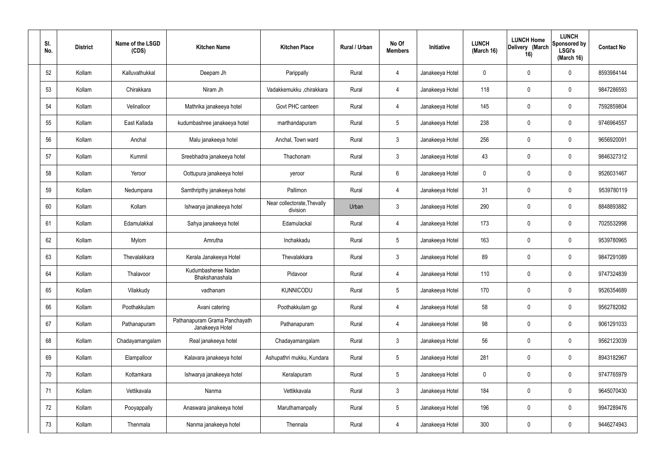| SI.<br>No. | <b>District</b> | Name of the LSGD<br>(CDS) | <b>Kitchen Name</b>                              | <b>Kitchen Place</b>                    | Rural / Urban | No Of<br><b>Members</b> | Initiative      | <b>LUNCH</b><br>(March 16) | <b>LUNCH Home</b><br>Delivery (March<br>16) | <b>LUNCH</b><br>Sponsored by<br><b>LSGI's</b><br>(March 16) | <b>Contact No</b> |
|------------|-----------------|---------------------------|--------------------------------------------------|-----------------------------------------|---------------|-------------------------|-----------------|----------------------------|---------------------------------------------|-------------------------------------------------------------|-------------------|
| 52         | Kollam          | Kalluvathukkal            | Deepam Jh                                        | Parippally                              | Rural         | 4                       | Janakeeya Hotel | 0                          | 0                                           | $\mathbf 0$                                                 | 8593984144        |
| 53         | Kollam          | Chirakkara                | Niram Jh                                         | Vadakkemukku ,chirakkara                | Rural         | 4                       | Janakeeya Hotel | 118                        | $\mathbf 0$                                 | $\mathbf 0$                                                 | 9847286593        |
| 54         | Kollam          | Velinalloor               | Mathrika janakeeya hotel                         | Govt PHC canteen                        | Rural         | 4                       | Janakeeya Hotel | 145                        | 0                                           | $\mathbf 0$                                                 | 7592859804        |
| 55         | Kollam          | East Kallada              | kudumbashree janakeeya hotel                     | marthandapuram                          | Rural         | $5\phantom{.0}$         | Janakeeya Hotel | 238                        | $\mathbf 0$                                 | $\mathbf 0$                                                 | 9746964557        |
| 56         | Kollam          | Anchal                    | Malu janakeeya hotel                             | Anchal, Town ward                       | Rural         | $\mathbf{3}$            | Janakeeya Hotel | 256                        | $\mathbf 0$                                 | $\mathbf 0$                                                 | 9656920091        |
| 57         | Kollam          | Kummil                    | Sreebhadra janakeeya hotel                       | Thachonam                               | Rural         | $\mathbf{3}$            | Janakeeya Hotel | 43                         | $\mathbf 0$                                 | $\mathbf 0$                                                 | 9846327312        |
| 58         | Kollam          | Yeroor                    | Oottupura janakeeya hotel                        | yeroor                                  | Rural         | $6\overline{6}$         | Janakeeya Hotel | 0                          | $\mathbf 0$                                 | $\mathbf 0$                                                 | 9526031467        |
| 59         | Kollam          | Nedumpana                 | Samthripthy janakeeya hotel                      | Pallimon                                | Rural         | 4                       | Janakeeya Hotel | 31                         | $\mathbf 0$                                 | $\mathbf 0$                                                 | 9539780119        |
| 60         | Kollam          | Kollam                    | Ishwarya janakeeya hotel                         | Near collectorate, Thevally<br>division | Urban         | $\mathbf{3}$            | Janakeeya Hotel | 290                        | $\mathbf 0$                                 | $\mathbf 0$                                                 | 8848893882        |
| 61         | Kollam          | Edamulakkal               | Sahya janakeeya hotel                            | Edamulackal                             | Rural         | 4                       | Janakeeya Hotel | 173                        | $\mathbf 0$                                 | $\mathbf 0$                                                 | 7025532998        |
| 62         | Kollam          | Mylom                     | Amrutha                                          | Inchakkadu                              | Rural         | $5\phantom{.0}$         | Janakeeya Hotel | 163                        | 0                                           | $\mathbf 0$                                                 | 9539780965        |
| 63         | Kollam          | Thevalakkara              | Kerala Janakeeya Hotel                           | Thevalakkara                            | Rural         | $\mathbf{3}$            | Janakeeya Hotel | 89                         | 0                                           | $\mathbf 0$                                                 | 9847291089        |
| 64         | Kollam          | Thalavoor                 | Kudumbasheree Nadan<br>Bhakshanashala            | Pidavoor                                | Rural         | 4                       | Janakeeya Hotel | 110                        | 0                                           | $\mathbf 0$                                                 | 9747324839        |
| 65         | Kollam          | Vilakkudy                 | vadhanam                                         | <b>KUNNICODU</b>                        | Rural         | $5\phantom{.0}$         | Janakeeya Hotel | 170                        | $\mathbf 0$                                 | $\mathbf 0$                                                 | 9526354689        |
| 66         | Kollam          | Poothakkulam              | Avani catering                                   | Poothakkulam gp                         | Rural         | $\overline{4}$          | Janakeeya Hotel | 58                         | $\mathbf 0$                                 | $\mathbf 0$                                                 | 9562782082        |
| 67         | Kollam          | Pathanapuram              | Pathanapuram Grama Panchayath<br>Janakeeya Hotel | Pathanapuram                            | Rural         | $\overline{4}$          | Janakeeya Hotel | 98                         | $\mathbf 0$                                 | $\mathbf 0$                                                 | 9061291033        |
| 68         | Kollam          | Chadayamangalam           | Real janakeeya hotel                             | Chadayamangalam                         | Rural         | $\mathbf{3}$            | Janakeeya Hotel | 56                         | 0                                           | $\mathbf 0$                                                 | 9562123039        |
| 69         | Kollam          | Elampalloor               | Kalavara janakeeya hotel                         | Ashupathri mukku, Kundara               | Rural         | $5\overline{)}$         | Janakeeya Hotel | 281                        | 0                                           | $\mathbf 0$                                                 | 8943182967        |
| 70         | Kollam          | Kottamkara                | Ishwarya janakeeya hotel                         | Keralapuram                             | Rural         | $5\phantom{.0}$         | Janakeeya Hotel | $\mathbf 0$                | 0                                           | $\mathbf 0$                                                 | 9747765979        |
| 71         | Kollam          | Vettikavala               | Nanma                                            | Vettikkavala                            | Rural         | $\mathfrak{Z}$          | Janakeeya Hotel | 184                        | 0                                           | $\mathbf 0$                                                 | 9645070430        |
| 72         | Kollam          | Pooyappally               | Anaswara janakeeya hotel                         | Maruthamanpally                         | Rural         | $5\phantom{.0}$         | Janakeeya Hotel | 196                        | 0                                           | $\mathbf 0$                                                 | 9947289476        |
| 73         | Kollam          | Thenmala                  | Nanma janakeeya hotel                            | Thennala                                | Rural         | 4                       | Janakeeya Hotel | 300                        | 0                                           | $\overline{0}$                                              | 9446274943        |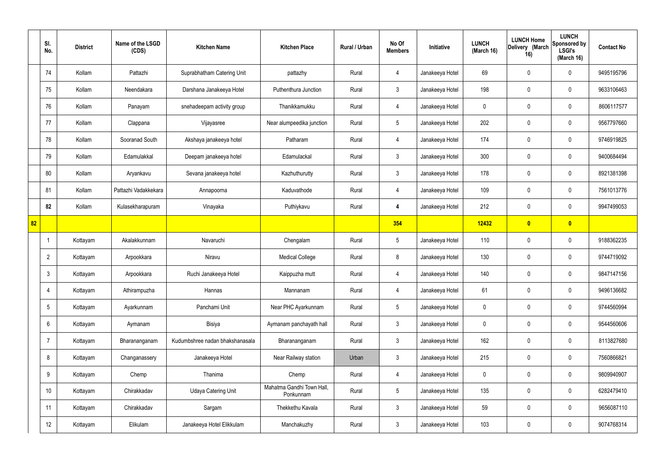|    | SI.<br>No.      | <b>District</b> | Name of the LSGD<br>(CDS) | <b>Kitchen Name</b>             | <b>Kitchen Place</b>                   | Rural / Urban | No Of<br><b>Members</b> | Initiative      | <b>LUNCH</b><br>(March 16) | <b>LUNCH Home</b><br>Delivery (March<br>16) | <b>LUNCH</b><br>Sponsored by<br><b>LSGI's</b><br>(March 16) | <b>Contact No</b> |
|----|-----------------|-----------------|---------------------------|---------------------------------|----------------------------------------|---------------|-------------------------|-----------------|----------------------------|---------------------------------------------|-------------------------------------------------------------|-------------------|
|    | 74              | Kollam          | Pattazhi                  | Suprabhatham Catering Unit      | pattazhy                               | Rural         | $\overline{4}$          | Janakeeya Hotel | 69                         | 0                                           | $\mathbf 0$                                                 | 9495195796        |
|    | 75              | Kollam          | Neendakara                | Darshana Janakeeya Hotel        | Puthenthura Junction                   | Rural         | $\mathbf{3}$            | Janakeeya Hotel | 198                        | $\mathbf 0$                                 | $\mathbf 0$                                                 | 9633106463        |
|    | 76              | Kollam          | Panayam                   | snehadeepam activity group      | Thanikkamukku                          | Rural         | $\overline{4}$          | Janakeeya Hotel | $\mathbf 0$                | 0                                           | $\mathbf 0$                                                 | 8606117577        |
|    | 77              | Kollam          | Clappana                  | Vijayasree                      | Near alumpeedika junction              | Rural         | $5\phantom{.0}$         | Janakeeya Hotel | 202                        | 0                                           | $\mathbf 0$                                                 | 9567797660        |
|    | 78              | Kollam          | Sooranad South            | Akshaya janakeeya hotel         | Patharam                               | Rural         | $\overline{4}$          | Janakeeya Hotel | 174                        | $\mathbf 0$                                 | $\mathbf 0$                                                 | 9746919825        |
|    | 79              | Kollam          | Edamulakkal               | Deepam janakeeya hotel          | Edamulackal                            | Rural         | $\mathbf{3}$            | Janakeeya Hotel | 300                        | 0                                           | $\mathbf 0$                                                 | 9400684494        |
|    | 80              | Kollam          | Aryankavu                 | Sevana janakeeya hotel          | Kazhuthurutty                          | Rural         | $\mathbf{3}$            | Janakeeya Hotel | 178                        | $\mathbf 0$                                 | $\mathbf 0$                                                 | 8921381398        |
|    | 81              | Kollam          | Pattazhi Vadakkekara      | Annapoorna                      | Kaduvathode                            | Rural         | $\overline{4}$          | Janakeeya Hotel | 109                        | 0                                           | $\mathbf 0$                                                 | 7561013776        |
|    | 82              | Kollam          | Kulasekharapuram          | Vinayaka                        | Puthiykavu                             | Rural         | 4                       | Janakeeya Hotel | 212                        | $\mathbf 0$                                 | $\mathbf 0$                                                 | 9947499053        |
| 82 |                 |                 |                           |                                 |                                        |               | 354                     |                 | 12432                      | $\bullet$                                   | $\bullet$                                                   |                   |
|    | - 1             | Kottayam        | Akalakkunnam              | Navaruchi                       | Chengalam                              | Rural         | $5\phantom{.0}$         | Janakeeya Hotel | 110                        | 0                                           | $\mathbf 0$                                                 | 9188362235        |
|    | $\overline{2}$  | Kottayam        | Arpookkara                | Niravu                          | <b>Medical College</b>                 | Rural         | 8                       | Janakeeya Hotel | 130                        | 0                                           | $\mathbf 0$                                                 | 9744719092        |
|    | $\mathbf{3}$    | Kottayam        | Arpookkara                | Ruchi Janakeeya Hotel           | Kaippuzha mutt                         | Rural         | 4                       | Janakeeya Hotel | 140                        | 0                                           | $\mathbf 0$                                                 | 9847147156        |
|    | $\overline{4}$  | Kottayam        | Athirampuzha              | Hannas                          | Mannanam                               | Rural         | $\overline{4}$          | Janakeeya Hotel | 61                         | $\mathbf 0$                                 | $\mathbf 0$                                                 | 9496136682        |
|    | $5\overline{)}$ | Kottayam        | Ayarkunnam                | Panchami Unit                   | Near PHC Ayarkunnam                    | Rural         | $5\overline{)}$         | Janakeeya Hotel | $\mathbf 0$                | $\mathbf 0$                                 | $\mathbf 0$                                                 | 9744560994        |
|    | $6\overline{6}$ | Kottayam        | Aymanam                   | Bisiya                          | Aymanam panchayath hall                | Rural         | $\mathbf{3}$            | Janakeeya Hotel | $\mathbf 0$                | $\mathbf 0$                                 | $\mathbf 0$                                                 | 9544560606        |
|    | $\overline{7}$  | Kottayam        | Bharananganam             | Kudumbshree nadan bhakshanasala | Bharananganam                          | Rural         | $\mathbf{3}$            | Janakeeya Hotel | 162                        | 0                                           | $\mathbf 0$                                                 | 8113827680        |
|    | 8               | Kottayam        | Changanassery             | Janakeeya Hotel                 | Near Railway station                   | Urban         | $\mathbf{3}$            | Janakeeya Hotel | 215                        | 0                                           | $\mathbf 0$                                                 | 7560866821        |
|    | 9               | Kottayam        | Chemp                     | Thanima                         | Chemp                                  | Rural         | $\overline{4}$          | Janakeeya Hotel | $\mathbf 0$                | 0                                           | $\mathbf 0$                                                 | 9809940907        |
|    | 10 <sup>°</sup> | Kottayam        | Chirakkadav               | <b>Udaya Catering Unit</b>      | Mahatma Gandhi Town Hall,<br>Ponkunnam | Rural         | $5\phantom{.0}$         | Janakeeya Hotel | 135                        | 0                                           | $\mathbf 0$                                                 | 6282479410        |
|    | 11              | Kottayam        | Chirakkadav               | Sargam                          | Thekkethu Kavala                       | Rural         | $\mathbf{3}$            | Janakeeya Hotel | 59                         | 0                                           | $\mathbf 0$                                                 | 9656087110        |
|    | 12              | Kottayam        | Elikulam                  | Janakeeya Hotel Elikkulam       | Manchakuzhy                            | Rural         | $\mathbf{3}$            | Janakeeya Hotel | 103                        | 0                                           | $\mathbf 0$                                                 | 9074768314        |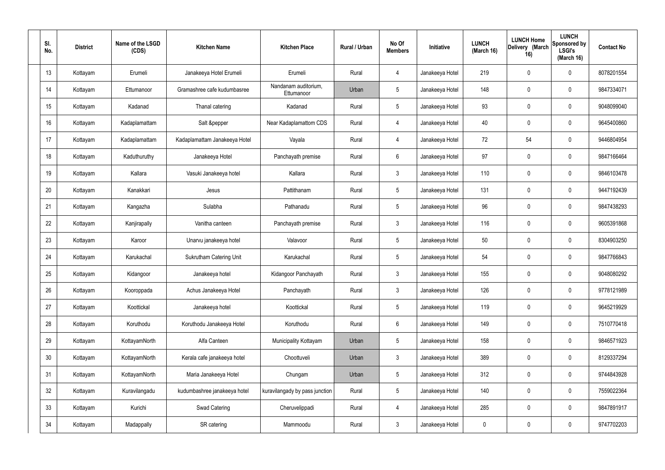| SI.<br>No. | <b>District</b> | Name of the LSGD<br>(CDS) | <b>Kitchen Name</b>           | <b>Kitchen Place</b>               | Rural / Urban | No Of<br><b>Members</b> | Initiative      | <b>LUNCH</b><br>(March 16) | <b>LUNCH Home</b><br>Delivery (March<br>16) | <b>LUNCH</b><br>Sponsored by<br><b>LSGI's</b><br>(March 16) | <b>Contact No</b> |
|------------|-----------------|---------------------------|-------------------------------|------------------------------------|---------------|-------------------------|-----------------|----------------------------|---------------------------------------------|-------------------------------------------------------------|-------------------|
| 13         | Kottayam        | Erumeli                   | Janakeeya Hotel Erumeli       | Erumeli                            | Rural         | 4                       | Janakeeya Hotel | 219                        | 0                                           | $\mathbf 0$                                                 | 8078201554        |
| 14         | Kottayam        | Ettumanoor                | Gramashree cafe kudumbasree   | Nandanam auditorium,<br>Ettumanoor | Urban         | $5\phantom{.0}$         | Janakeeya Hotel | 148                        | 0                                           | $\mathbf 0$                                                 | 9847334071        |
| 15         | Kottayam        | Kadanad                   | Thanal catering               | Kadanad                            | Rural         | $5\phantom{.0}$         | Janakeeya Hotel | 93                         | 0                                           | $\mathbf 0$                                                 | 9048099040        |
| 16         | Kottayam        | Kadaplamattam             | Salt &pepper                  | Near Kadaplamattom CDS             | Rural         | 4                       | Janakeeya Hotel | 40                         | 0                                           | $\mathbf 0$                                                 | 9645400860        |
| 17         | Kottayam        | Kadaplamattam             | Kadaplamattam Janakeeya Hotel | Vayala                             | Rural         | 4                       | Janakeeya Hotel | 72                         | 54                                          | $\mathbf 0$                                                 | 9446804954        |
| 18         | Kottayam        | Kaduthuruthy              | Janakeeya Hotel               | Panchayath premise                 | Rural         | $6\phantom{.}6$         | Janakeeya Hotel | 97                         | 0                                           | $\mathbf 0$                                                 | 9847166464        |
| 19         | Kottayam        | Kallara                   | Vasuki Janakeeya hotel        | Kallara                            | Rural         | $\mathfrak{Z}$          | Janakeeya Hotel | 110                        | 0                                           | $\mathbf 0$                                                 | 9846103478        |
| 20         | Kottayam        | Kanakkari                 | Jesus                         | Pattithanam                        | Rural         | $5\phantom{.0}$         | Janakeeya Hotel | 131                        | 0                                           | $\mathbf 0$                                                 | 9447192439        |
| 21         | Kottayam        | Kangazha                  | Sulabha                       | Pathanadu                          | Rural         | $5\phantom{.0}$         | Janakeeya Hotel | 96                         | 0                                           | $\mathbf 0$                                                 | 9847438293        |
| 22         | Kottayam        | Kanjirapally              | Vanitha canteen               | Panchayath premise                 | Rural         | $\mathbf{3}$            | Janakeeya Hotel | 116                        | 0                                           | $\mathbf 0$                                                 | 9605391868        |
| 23         | Kottayam        | Karoor                    | Unarvu janakeeya hotel        | Valavoor                           | Rural         | $5\phantom{.0}$         | Janakeeya Hotel | 50                         | 0                                           | $\mathbf 0$                                                 | 8304903250        |
| 24         | Kottayam        | Karukachal                | Sukrutham Catering Unit       | Karukachal                         | Rural         | $5\,$                   | Janakeeya Hotel | 54                         | $\boldsymbol{0}$                            | $\mathbf 0$                                                 | 9847766843        |
| 25         | Kottayam        | Kidangoor                 | Janakeeya hotel               | Kidangoor Panchayath               | Rural         | $\mathbf{3}$            | Janakeeya Hotel | 155                        | $\mathbf 0$                                 | $\mathbf 0$                                                 | 9048080292        |
| 26         | Kottayam        | Kooroppada                | Achus Janakeeya Hotel         | Panchayath                         | Rural         | $\mathbf{3}$            | Janakeeya Hotel | 126                        | 0                                           | $\mathbf 0$                                                 | 9778121989        |
| 27         | Kottayam        | Koottickal                | Janakeeya hotel               | Koottickal                         | Rural         | $5\phantom{.0}$         | Janakeeya Hotel | 119                        | 0                                           | $\mathbf 0$                                                 | 9645219929        |
| 28         | Kottayam        | Koruthodu                 | Koruthodu Janakeeya Hotel     | Koruthodu                          | Rural         | $6\overline{6}$         | Janakeeya Hotel | 149                        | 0                                           | $\mathbf 0$                                                 | 7510770418        |
| 29         | Kottayam        | KottayamNorth             | Alfa Canteen                  | Municipality Kottayam              | Urban         | $5\phantom{.0}$         | Janakeeya Hotel | 158                        | 0                                           | $\mathbf 0$                                                 | 9846571923        |
| 30         | Kottayam        | KottayamNorth             | Kerala cafe janakeeya hotel   | Choottuveli                        | Urban         | $\mathfrak{Z}$          | Janakeeya Hotel | 389                        | 0                                           | $\mathbf 0$                                                 | 8129337294        |
| 31         | Kottayam        | KottayamNorth             | Maria Janakeeya Hotel         | Chungam                            | Urban         | $5\,$                   | Janakeeya Hotel | 312                        | 0                                           | $\mathbf 0$                                                 | 9744843928        |
| 32         | Kottayam        | Kuravilangadu             | kudumbashree janakeeya hotel  | kuravilangady by pass junction     | Rural         | $5\phantom{.0}$         | Janakeeya Hotel | 140                        | 0                                           | $\mathbf 0$                                                 | 7559022364        |
| 33         | Kottayam        | Kurichi                   | <b>Swad Catering</b>          | Cheruvelippadi                     | Rural         | $\overline{4}$          | Janakeeya Hotel | 285                        | $\pmb{0}$                                   | $\mathbf 0$                                                 | 9847891917        |
| 34         | Kottayam        | Madappally                | SR catering                   | Mammoodu                           | Rural         | $\mathfrak{Z}$          | Janakeeya Hotel | 0                          | $\pmb{0}$                                   | $\boldsymbol{0}$                                            | 9747702203        |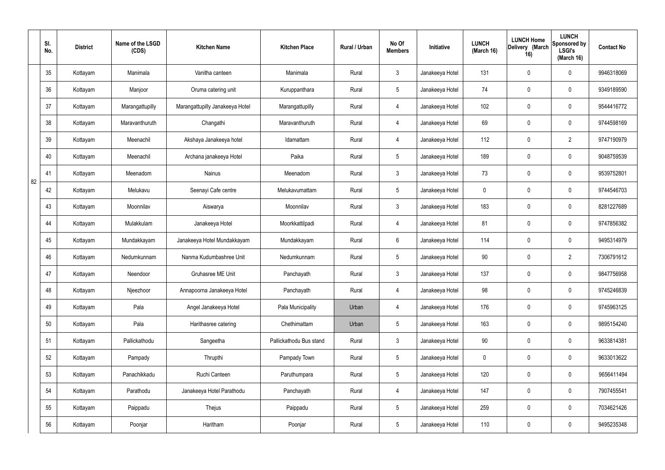|    | SI.<br>No. | <b>District</b> | Name of the LSGD<br>(CDS) | <b>Kitchen Name</b>             | <b>Kitchen Place</b>    | Rural / Urban | No Of<br><b>Members</b> | Initiative      | <b>LUNCH</b><br>(March 16) | <b>LUNCH Home</b><br>Delivery (March<br>16) | <b>LUNCH</b><br>Sponsored by<br><b>LSGI's</b><br>(March 16) | <b>Contact No</b> |
|----|------------|-----------------|---------------------------|---------------------------------|-------------------------|---------------|-------------------------|-----------------|----------------------------|---------------------------------------------|-------------------------------------------------------------|-------------------|
|    | 35         | Kottayam        | Manimala                  | Vanitha canteen                 | Manimala                | Rural         | $\mathbf{3}$            | Janakeeya Hotel | 131                        | 0                                           | $\mathbf 0$                                                 | 9946318069        |
|    | 36         | Kottayam        | Manjoor                   | Oruma catering unit             | Kuruppanthara           | Rural         | $5\phantom{.0}$         | Janakeeya Hotel | 74                         | $\mathbf 0$                                 | $\mathbf 0$                                                 | 9349189590        |
|    | 37         | Kottayam        | Marangattupilly           | Marangattupilly Janakeeya Hotel | Marangattupilly         | Rural         | $\overline{4}$          | Janakeeya Hotel | 102                        | 0                                           | $\mathbf 0$                                                 | 9544416772        |
|    | 38         | Kottayam        | Maravanthuruth            | Changathi                       | Maravanthuruth          | Rural         | $\overline{4}$          | Janakeeya Hotel | 69                         | $\mathbf 0$                                 | $\mathbf 0$                                                 | 9744598169        |
|    | 39         | Kottayam        | Meenachil                 | Akshaya Janakeeya hotel         | Idamattam               | Rural         | $\overline{4}$          | Janakeeya Hotel | 112                        | $\mathbf 0$                                 | $\overline{2}$                                              | 9747190979        |
|    | 40         | Kottayam        | Meenachil                 | Archana janakeeya Hotel         | Paika                   | Rural         | $5\phantom{.0}$         | Janakeeya Hotel | 189                        | $\mathbf 0$                                 | $\mathbf 0$                                                 | 9048759539        |
| 82 | 41         | Kottayam        | Meenadom                  | <b>Nainus</b>                   | Meenadom                | Rural         | 3 <sup>1</sup>          | Janakeeya Hotel | 73                         | $\mathbf 0$                                 | $\mathbf 0$                                                 | 9539752801        |
|    | 42         | Kottayam        | Melukavu                  | Seenayi Cafe centre             | Melukavumattam          | Rural         | $5\phantom{.0}$         | Janakeeya Hotel | $\mathbf 0$                | 0                                           | $\mathbf 0$                                                 | 9744546703        |
|    | 43         | Kottayam        | Moonnilav                 | Aiswarya                        | Moonnilav               | Rural         | 3 <sup>1</sup>          | Janakeeya Hotel | 183                        | $\mathbf 0$                                 | $\mathbf 0$                                                 | 8281227689        |
|    | 44         | Kottayam        | Mulakkulam                | Janakeeya Hotel                 | Moorkkattilpadi         | Rural         | 4                       | Janakeeya Hotel | 81                         | 0                                           | $\mathbf 0$                                                 | 9747856382        |
|    | 45         | Kottayam        | Mundakkayam               | Janakeeya Hotel Mundakkayam     | Mundakkayam             | Rural         | $6\overline{6}$         | Janakeeya Hotel | 114                        | 0                                           | $\mathbf 0$                                                 | 9495314979        |
|    | 46         | Kottayam        | Nedumkunnam               | Nanma Kudumbashree Unit         | Nedumkunnam             | Rural         | $5\phantom{.0}$         | Janakeeya Hotel | 90                         | 0                                           | $\overline{2}$                                              | 7306791612        |
|    | 47         | Kottayam        | Neendoor                  | Gruhasree ME Unit               | Panchayath              | Rural         | $\mathbf{3}$            | Janakeeya Hotel | 137                        | 0                                           | $\mathbf 0$                                                 | 9847756958        |
|    | 48         | Kottayam        | Njeezhoor                 | Annapoorna Janakeeya Hotel      | Panchayath              | Rural         | $\overline{4}$          | Janakeeya Hotel | 98                         | $\mathbf 0$                                 | $\mathbf 0$                                                 | 9745246839        |
|    | 49         | Kottayam        | Pala                      | Angel Janakeeya Hotel           | Pala Municipality       | Urban         | $\overline{4}$          | Janakeeya Hotel | 176                        | 0                                           | $\mathbf 0$                                                 | 9745963125        |
|    | 50         | Kottayam        | Pala                      | Harithasree catering            | Chethimattam            | Urban         | $5\phantom{.0}$         | Janakeeya Hotel | 163                        | 0                                           | $\mathbf 0$                                                 | 9895154240        |
|    | 51         | Kottayam        | Pallickathodu             | Sangeetha                       | Pallickathodu Bus stand | Rural         | $\mathbf{3}$            | Janakeeya Hotel | 90                         | 0                                           | $\mathbf 0$                                                 | 9633814381        |
|    | 52         | Kottayam        | Pampady                   | Thrupthi                        | Pampady Town            | Rural         | $5\overline{)}$         | Janakeeya Hotel | $\pmb{0}$                  | 0                                           | $\mathbf 0$                                                 | 9633013622        |
|    | 53         | Kottayam        | Panachikkadu              | Ruchi Canteen                   | Paruthumpara            | Rural         | $5\overline{)}$         | Janakeeya Hotel | 120                        | 0                                           | $\mathbf 0$                                                 | 9656411494        |
|    | 54         | Kottayam        | Parathodu                 | Janakeeya Hotel Parathodu       | Panchayath              | Rural         | $\overline{4}$          | Janakeeya Hotel | 147                        | 0                                           | $\mathbf 0$                                                 | 7907455541        |
|    | 55         | Kottayam        | Paippadu                  | Thejus                          | Paippadu                | Rural         | $5\phantom{.0}$         | Janakeeya Hotel | 259                        | 0                                           | $\mathbf 0$                                                 | 7034621426        |
|    | 56         | Kottayam        | Poonjar                   | Haritham                        | Poonjar                 | Rural         | $5\,$                   | Janakeeya Hotel | 110                        | 0                                           | $\mathbf 0$                                                 | 9495235348        |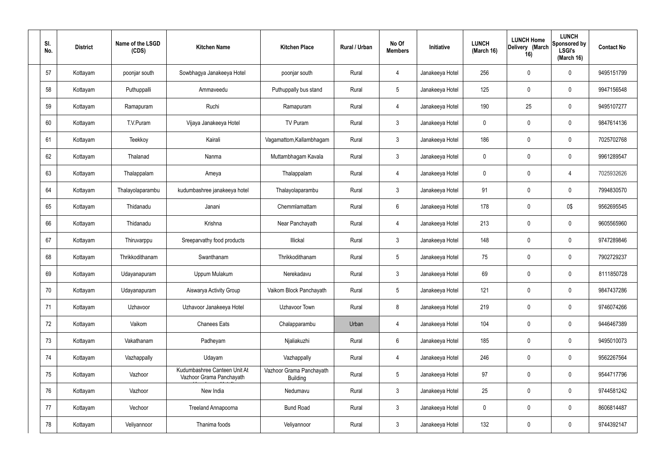| SI.<br>No. |    | <b>District</b> | Name of the LSGD<br>(CDS) | <b>Kitchen Name</b>                                      | <b>Kitchen Place</b>                        | Rural / Urban | No Of<br><b>Members</b> | Initiative      | <b>LUNCH</b><br>(March 16) | <b>LUNCH Home</b><br>Delivery (March<br>16) | <b>LUNCH</b><br>Sponsored by<br><b>LSGI's</b><br>(March 16) | <b>Contact No</b> |
|------------|----|-----------------|---------------------------|----------------------------------------------------------|---------------------------------------------|---------------|-------------------------|-----------------|----------------------------|---------------------------------------------|-------------------------------------------------------------|-------------------|
|            | 57 | Kottayam        | poonjar south             | Sowbhagya Janakeeya Hotel                                | poonjar south                               | Rural         | $\overline{4}$          | Janakeeya Hotel | 256                        | 0                                           | $\mathbf 0$                                                 | 9495151799        |
|            | 58 | Kottayam        | Puthuppalli               | Ammaveedu                                                | Puthuppally bus stand                       | Rural         | $5\phantom{.0}$         | Janakeeya Hotel | 125                        | 0                                           | $\mathbf 0$                                                 | 9947156548        |
|            | 59 | Kottayam        | Ramapuram                 | Ruchi                                                    | Ramapuram                                   | Rural         | $\overline{4}$          | Janakeeya Hotel | 190                        | 25                                          | $\mathbf 0$                                                 | 9495107277        |
| 60         |    | Kottayam        | T.V.Puram                 | Vijaya Janakeeya Hotel                                   | TV Puram                                    | Rural         | $\mathbf{3}$            | Janakeeya Hotel | $\mathbf 0$                | $\mathbf 0$                                 | $\mathbf 0$                                                 | 9847614136        |
| 61         |    | Kottayam        | Teekkoy                   | Kairali                                                  | Vagamattom, Kallambhagam                    | Rural         | $\mathbf{3}$            | Janakeeya Hotel | 186                        | $\mathbf 0$                                 | $\mathbf 0$                                                 | 7025702768        |
|            | 62 | Kottayam        | Thalanad                  | Nanma                                                    | Muttambhagam Kavala                         | Rural         | $\mathbf{3}$            | Janakeeya Hotel | $\mathbf 0$                | $\mathbf 0$                                 | $\mathbf 0$                                                 | 9961289547        |
|            | 63 | Kottayam        | Thalappalam               | Ameya                                                    | Thalappalam                                 | Rural         | $\overline{4}$          | Janakeeya Hotel | $\mathbf 0$                | $\mathbf 0$                                 | 4                                                           | 7025932626        |
|            | 64 | Kottayam        | Thalayolaparambu          | kudumbashree janakeeya hotel                             | Thalayolaparambu                            | Rural         | $\mathbf{3}$            | Janakeeya Hotel | 91                         | $\mathbf 0$                                 | $\mathbf 0$                                                 | 7994830570        |
|            | 65 | Kottayam        | Thidanadu                 | Janani                                                   | Chemmlamattam                               | Rural         | $6\overline{6}$         | Janakeeya Hotel | 178                        | 0                                           | 0\$                                                         | 9562695545        |
|            | 66 | Kottayam        | Thidanadu                 | Krishna                                                  | Near Panchayath                             | Rural         | 4                       | Janakeeya Hotel | 213                        | 0                                           | $\mathbf 0$                                                 | 9605565960        |
| 67         |    | Kottayam        | Thiruvarppu               | Sreeparvathy food products                               | Illickal                                    | Rural         | $\mathbf{3}$            | Janakeeya Hotel | 148                        | 0                                           | $\mathbf 0$                                                 | 9747289846        |
|            | 68 | Kottayam        | Thrikkodithanam           | Swanthanam                                               | Thrikkodithanam                             | Rural         | $5\phantom{.0}$         | Janakeeya Hotel | 75                         | $\mathbf 0$                                 | $\mathbf 0$                                                 | 7902729237        |
|            | 69 | Kottayam        | Udayanapuram              | Uppum Mulakum                                            | Nerekadavu                                  | Rural         | $\mathbf{3}$            | Janakeeya Hotel | 69                         | 0                                           | $\mathbf 0$                                                 | 8111850728        |
|            | 70 | Kottayam        | Udayanapuram              | Aiswarya Activity Group                                  | Vaikom Block Panchayath                     | Rural         | $5\phantom{.0}$         | Janakeeya Hotel | 121                        | $\mathsf{0}$                                | $\mathbf 0$                                                 | 9847437286        |
| 71         |    | Kottayam        | Uzhavoor                  | Uzhavoor Janakeeya Hotel                                 | Uzhavoor Town                               | Rural         | 8                       | Janakeeya Hotel | 219                        | $\mathsf{0}$                                | $\mathbf 0$                                                 | 9746074266        |
|            | 72 | Kottayam        | Vaikom                    | <b>Chanees Eats</b>                                      | Chalapparambu                               | Urban         | $\overline{4}$          | Janakeeya Hotel | 104                        | 0                                           | $\mathbf 0$                                                 | 9446467389        |
|            | 73 | Kottayam        | Vakathanam                | Padheyam                                                 | Njaliakuzhi                                 | Rural         | $6\overline{6}$         | Janakeeya Hotel | 185                        | 0                                           | $\mathbf 0$                                                 | 9495010073        |
|            | 74 | Kottayam        | Vazhappally               | Udayam                                                   | Vazhappally                                 | Rural         | $\overline{4}$          | Janakeeya Hotel | 246                        | 0                                           | $\mathbf 0$                                                 | 9562267564        |
|            | 75 | Kottayam        | Vazhoor                   | Kudumbashree Canteen Unit At<br>Vazhoor Grama Panchayath | Vazhoor Grama Panchayath<br><b>Building</b> | Rural         | $5\phantom{.0}$         | Janakeeya Hotel | 97                         | 0                                           | $\mathbf 0$                                                 | 9544717796        |
|            | 76 | Kottayam        | Vazhoor                   | New India                                                | Nedumavu                                    | Rural         | $\mathfrak{Z}$          | Janakeeya Hotel | $25\,$                     | 0                                           | $\mathbf 0$                                                 | 9744581242        |
| 77         |    | Kottayam        | Vechoor                   | Treeland Annapoorna                                      | <b>Bund Road</b>                            | Rural         | $\mathbf{3}$            | Janakeeya Hotel | $\mathbf 0$                | 0                                           | $\mathbf 0$                                                 | 8606814487        |
|            | 78 | Kottayam        | Veliyannoor               | Thanima foods                                            | Veliyannoor                                 | Rural         | $\mathbf{3}$            | Janakeeya Hotel | 132                        | 0                                           | $\mathbf 0$                                                 | 9744392147        |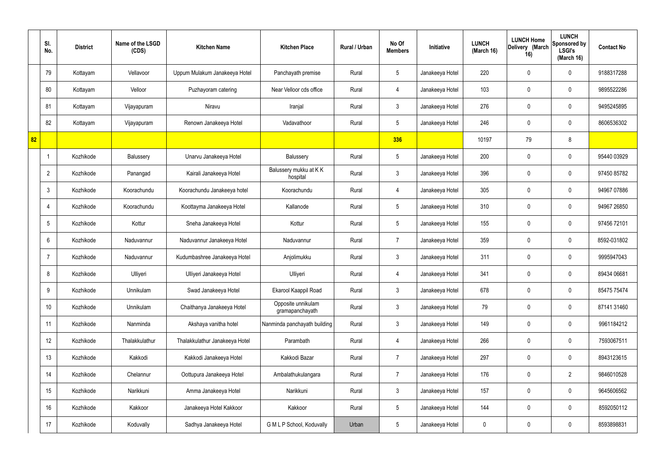|    | SI.<br>No.      | <b>District</b> | Name of the LSGD<br>(CDS) | <b>Kitchen Name</b>            | <b>Kitchen Place</b>                  | Rural / Urban | No Of<br><b>Members</b> | <b>Initiative</b> | <b>LUNCH</b><br>(March 16) | <b>LUNCH Home</b><br>Delivery (March<br>16) | <b>LUNCH</b><br>Sponsored by<br><b>LSGI's</b><br>(March 16) | <b>Contact No</b> |
|----|-----------------|-----------------|---------------------------|--------------------------------|---------------------------------------|---------------|-------------------------|-------------------|----------------------------|---------------------------------------------|-------------------------------------------------------------|-------------------|
|    | 79              | Kottayam        | Vellavoor                 | Uppum Mulakum Janakeeya Hotel  | Panchayath premise                    | Rural         | $5\phantom{.0}$         | Janakeeya Hotel   | 220                        | $\mathbf 0$                                 | $\mathbf 0$                                                 | 9188317288        |
|    | 80              | Kottayam        | Velloor                   | Puzhayoram catering            | Near Velloor cds office               | Rural         | $\overline{4}$          | Janakeeya Hotel   | 103                        | $\mathbf 0$                                 | $\mathbf 0$                                                 | 9895522286        |
|    | 81              | Kottayam        | Vijayapuram               | Niravu                         | Iranjal                               | Rural         | $\mathbf{3}$            | Janakeeya Hotel   | 276                        | $\mathbf 0$                                 | $\mathbf 0$                                                 | 9495245895        |
|    | 82              | Kottayam        | Vijayapuram               | Renown Janakeeya Hotel         | Vadavathoor                           | Rural         | $5\phantom{.0}$         | Janakeeya Hotel   | 246                        | $\mathbf 0$                                 | $\mathbf 0$                                                 | 8606536302        |
| 82 |                 |                 |                           |                                |                                       |               | 336                     |                   | 10197                      | 79                                          | 8                                                           |                   |
|    | -1              | Kozhikode       | Balussery                 | Unarvu Janakeeya Hotel         | Balussery                             | Rural         | $5\phantom{.0}$         | Janakeeya Hotel   | 200                        | $\mathbf 0$                                 | $\mathbf 0$                                                 | 95440 03929       |
|    | $\overline{2}$  | Kozhikode       | Panangad                  | Kairali Janakeeya Hotel        | Balussery mukku at KK<br>hospital     | Rural         | $\mathbf{3}$            | Janakeeya Hotel   | 396                        | $\mathbf 0$                                 | $\mathbf 0$                                                 | 97450 85782       |
|    | $\mathbf{3}$    | Kozhikode       | Koorachundu               | Koorachundu Janakeeya hotel    | Koorachundu                           | Rural         | $\overline{4}$          | Janakeeya Hotel   | 305                        | 0                                           | $\mathbf 0$                                                 | 94967 07886       |
|    | $\overline{4}$  | Kozhikode       | Koorachundu               | Koottayma Janakeeya Hotel      | Kallanode                             | Rural         | $5\phantom{.0}$         | Janakeeya Hotel   | 310                        | $\mathbf 0$                                 | $\mathbf 0$                                                 | 94967 26850       |
|    | $5\overline{)}$ | Kozhikode       | Kottur                    | Sneha Janakeeya Hotel          | Kottur                                | Rural         | $5\phantom{.0}$         | Janakeeya Hotel   | 155                        | 0                                           | $\mathbf 0$                                                 | 97456 72101       |
|    | $6\overline{6}$ | Kozhikode       | Naduvannur                | Naduvannur Janakeeya Hotel     | Naduvannur                            | Rural         | $\overline{7}$          | Janakeeya Hotel   | 359                        | 0                                           | $\mathbf 0$                                                 | 8592-031802       |
|    | $\overline{7}$  | Kozhikode       | Naduvannur                | Kudumbashree Janakeeya Hotel   | Anjolimukku                           | Rural         | $\mathbf{3}$            | Janakeeya Hotel   | 311                        | $\mathbf 0$                                 | $\mathbf 0$                                                 | 9995947043        |
|    | 8               | Kozhikode       | Ulliyeri                  | Ulliyeri Janakeeya Hotel       | Ulliyeri                              | Rural         | 4                       | Janakeeya Hotel   | 341                        | 0                                           | $\mathbf 0$                                                 | 89434 06681       |
|    | 9               | Kozhikode       | Unnikulam                 | Swad Janakeeya Hotel           | Ekarool Kaappil Road                  | Rural         | $\mathbf{3}$            | Janakeeya Hotel   | 678                        | $\mathbf 0$                                 | $\mathbf 0$                                                 | 85475 75474       |
|    | 10              | Kozhikode       | Unnikulam                 | Chaithanya Janakeeya Hotel     | Opposite unnikulam<br>gramapanchayath | Rural         | $\mathbf{3}$            | Janakeeya Hotel   | 79                         | $\mathbf 0$                                 | $\mathbf 0$                                                 | 87141 31460       |
|    | 11              | Kozhikode       | Nanminda                  | Akshaya vanitha hotel          | Nanminda panchayath building          | Rural         | $\mathbf{3}$            | Janakeeya Hotel   | 149                        | 0                                           | $\mathbf 0$                                                 | 9961184212        |
|    | 12              | Kozhikode       | Thalakkulathur            | Thalakkulathur Janakeeya Hotel | Parambath                             | Rural         | $\overline{4}$          | Janakeeya Hotel   | 266                        | 0                                           | $\mathbf 0$                                                 | 7593067511        |
|    | 13              | Kozhikode       | Kakkodi                   | Kakkodi Janakeeya Hotel        | Kakkodi Bazar                         | Rural         | $\overline{7}$          | Janakeeya Hotel   | 297                        | 0                                           | $\mathbf 0$                                                 | 8943123615        |
|    | 14              | Kozhikode       | Chelannur                 | Oottupura Janakeeya Hotel      | Ambalathukulangara                    | Rural         | $\overline{7}$          | Janakeeya Hotel   | 176                        | 0                                           | $\overline{2}$                                              | 9846010528        |
|    | 15              | Kozhikode       | Narikkuni                 | Amma Janakeeya Hotel           | Narikkuni                             | Rural         | $\mathfrak{Z}$          | Janakeeya Hotel   | 157                        | 0                                           | $\mathbf 0$                                                 | 9645606562        |
|    | 16              | Kozhikode       | Kakkoor                   | Janakeeya Hotel Kakkoor        | Kakkoor                               | Rural         | $5\phantom{.0}$         | Janakeeya Hotel   | 144                        | 0                                           | $\mathbf 0$                                                 | 8592050112        |
|    | 17              | Kozhikode       | Koduvally                 | Sadhya Janakeeya Hotel         | G M L P School, Koduvally             | Urban         | $5\phantom{.0}$         | Janakeeya Hotel   | 0                          | 0                                           | $\mathbf 0$                                                 | 8593898831        |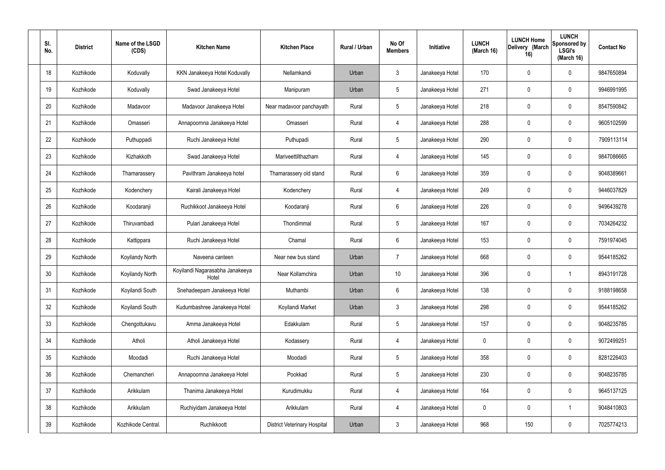| SI.<br>No. | <b>District</b> | Name of the LSGD<br>(CDS) | <b>Kitchen Name</b>                      | <b>Kitchen Place</b>                | Rural / Urban | No Of<br><b>Members</b> | Initiative      | <b>LUNCH</b><br>(March 16) | <b>LUNCH Home</b><br>Delivery (March<br>16) | <b>LUNCH</b><br><b>Sponsored by</b><br><b>LSGI's</b><br>(March 16) | <b>Contact No</b> |
|------------|-----------------|---------------------------|------------------------------------------|-------------------------------------|---------------|-------------------------|-----------------|----------------------------|---------------------------------------------|--------------------------------------------------------------------|-------------------|
| 18         | Kozhikode       | Koduvally                 | KKN Janakeeya Hotel Koduvally            | Nellamkandi                         | Urban         | $\mathbf{3}$            | Janakeeya Hotel | 170                        | $\mathbf 0$                                 | 0                                                                  | 9847650894        |
| 19         | Kozhikode       | Koduvally                 | Swad Janakeeya Hotel                     | Manipuram                           | Urban         | $5\phantom{.0}$         | Janakeeya Hotel | 271                        | $\mathbf 0$                                 | 0                                                                  | 9946991995        |
| 20         | Kozhikode       | Madavoor                  | Madavoor Janakeeya Hotel                 | Near madavoor panchayath            | Rural         | $5\phantom{.0}$         | Janakeeya Hotel | 218                        | 0                                           | 0                                                                  | 8547590842        |
| 21         | Kozhikode       | Omasseri                  | Annapoornna Janakeeya Hotel              | Omasseri                            | Rural         | $\overline{4}$          | Janakeeya Hotel | 288                        | $\mathbf 0$                                 | 0                                                                  | 9605102599        |
| 22         | Kozhikode       | Puthuppadi                | Ruchi Janakeeya Hotel                    | Puthupadi                           | Rural         | $5\phantom{.0}$         | Janakeeya Hotel | 290                        | $\mathbf 0$                                 | 0                                                                  | 7909113114        |
| 23         | Kozhikode       | Kizhakkoth                | Swad Janakeeya Hotel                     | Mariveettilthazham                  | Rural         | $\overline{4}$          | Janakeeya Hotel | 145                        | $\mathbf 0$                                 | 0                                                                  | 9847086665        |
| 24         | Kozhikode       | Thamarassery              | Pavithram Janakeeya hotel                | Thamarassery old stand              | Rural         | 6                       | Janakeeya Hotel | 359                        | 0                                           | 0                                                                  | 9048389661        |
| 25         | Kozhikode       | Kodenchery                | Kairali Janakeeya Hotel                  | Kodenchery                          | Rural         | $\overline{4}$          | Janakeeya Hotel | 249                        | $\mathbf 0$                                 | 0                                                                  | 9446037829        |
| 26         | Kozhikode       | Koodaranji                | Ruchikkoot Janakeeya Hotel               | Koodaranji                          | Rural         | 6                       | Janakeeya Hotel | 226                        | $\boldsymbol{0}$                            | 0                                                                  | 9496439278        |
| 27         | Kozhikode       | Thiruvambadi              | Pulari Janakeeya Hotel                   | Thondimmal                          | Rural         | $5\phantom{.0}$         | Janakeeya Hotel | 167                        | 0                                           | 0                                                                  | 7034264232        |
| 28         | Kozhikode       | Kattippara                | Ruchi Janakeeya Hotel                    | Chamal                              | Rural         | 6                       | Janakeeya Hotel | 153                        | 0                                           | 0                                                                  | 7591974045        |
| 29         | Kozhikode       | Koyilandy North           | Naveena canteen                          | Near new bus stand                  | Urban         | $\overline{7}$          | Janakeeya Hotel | 668                        | 0                                           | 0                                                                  | 9544185262        |
| 30         | Kozhikode       | Koyilandy North           | Koyilandi Nagarasabha Janakeeya<br>Hotel | Near Kollamchira                    | Urban         | 10 <sup>°</sup>         | Janakeeya Hotel | 396                        | 0                                           |                                                                    | 8943191728        |
| 31         | Kozhikode       | Koyilandi South           | Snehadeepam Janakeeya Hotel              | Muthambi                            | Urban         | $6\phantom{.}6$         | Janakeeya Hotel | 138                        | $\mathbf 0$                                 | 0                                                                  | 9188198658        |
| 32         | Kozhikode       | Koyilandi South           | Kudumbashree Janakeeya Hotel             | Koyilandi Market                    | Urban         | $\mathbf{3}$            | Janakeeya Hotel | 298                        | $\pmb{0}$                                   | 0                                                                  | 9544185262        |
| 33         | Kozhikode       | Chengottukavu             | Amma Janakeeya Hotel                     | Edakkulam                           | Rural         | $5\phantom{.0}$         | Janakeeya Hotel | 157                        | $\mathbf 0$                                 | 0                                                                  | 9048235785        |
| 34         | Kozhikode       | Atholi                    | Atholi Janakeeya Hotel                   | Kodassery                           | Rural         | $\overline{4}$          | Janakeeya Hotel | $\mathbf 0$                | $\mathbf 0$                                 | 0                                                                  | 9072499251        |
| 35         | Kozhikode       | Moodadi                   | Ruchi Janakeeya Hotel                    | Moodadi                             | Rural         | $5\phantom{.0}$         | Janakeeya Hotel | 358                        | $\pmb{0}$                                   | 0                                                                  | 8281226403        |
| 36         | Kozhikode       | Chemancheri               | Annapoornna Janakeeya Hotel              | Pookkad                             | Rural         | $5\phantom{.0}$         | Janakeeya Hotel | 230                        | $\pmb{0}$                                   | 0                                                                  | 9048235785        |
| 37         | Kozhikode       | Arikkulam                 | Thanima Janakeeya Hotel                  | Kurudimukku                         | Rural         | 4                       | Janakeeya Hotel | 164                        | $\pmb{0}$                                   | 0                                                                  | 9645137125        |
| 38         | Kozhikode       | Arikkulam                 | Ruchiyidam Janakeeya Hotel               | Arikkulam                           | Rural         | $\overline{4}$          | Janakeeya Hotel | $\mathbf 0$                | $\mathbf 0$                                 | $\overline{\phantom{a}}$                                           | 9048410803        |
| 39         | Kozhikode       | Kozhikode Central.        | Ruchikkoott                              | <b>District Veterinary Hospital</b> | Urban         | $\mathbf{3}$            | Janakeeya Hotel | 968                        | 150                                         | 0                                                                  | 7025774213        |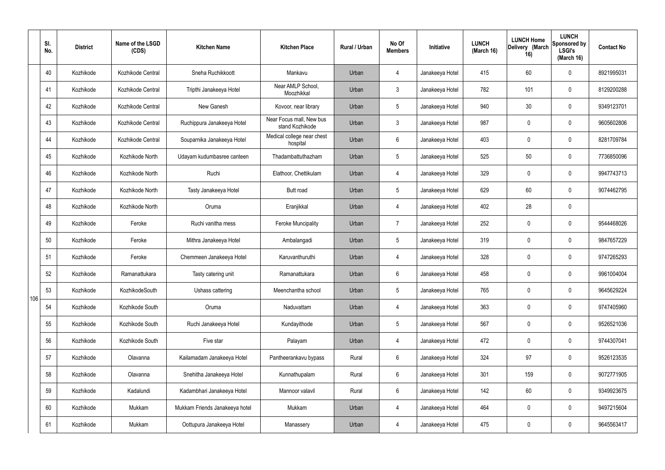|     | SI.<br>No. | <b>District</b> | Name of the LSGD<br>(CDS) | <b>Kitchen Name</b>            | <b>Kitchen Place</b>                        | <b>Rural / Urban</b> | No Of<br><b>Members</b> | Initiative      | <b>LUNCH</b><br>(March 16) | <b>LUNCH Home</b><br>Delivery (March<br>16) | <b>LUNCH</b><br>Sponsored by<br><b>LSGI's</b><br>(March 16) | <b>Contact No</b> |
|-----|------------|-----------------|---------------------------|--------------------------------|---------------------------------------------|----------------------|-------------------------|-----------------|----------------------------|---------------------------------------------|-------------------------------------------------------------|-------------------|
|     | 40         | Kozhikode       | Kozhikode Central         | Sneha Ruchikkoott              | Mankavu                                     | Urban                | $\overline{4}$          | Janakeeya Hotel | 415                        | 60                                          | $\mathbf 0$                                                 | 8921995031        |
|     | 41         | Kozhikode       | Kozhikode Central         | Tripthi Janakeeya Hotel        | Near AMLP School,<br>Moozhikkal             | Urban                | $\mathbf{3}$            | Janakeeya Hotel | 782                        | 101                                         | $\mathbf 0$                                                 | 8129200288        |
|     | 42         | Kozhikode       | Kozhikode Central         | New Ganesh                     | Kovoor, near library                        | Urban                | 5 <sup>5</sup>          | Janakeeya Hotel | 940                        | 30                                          | $\mathbf 0$                                                 | 9349123701        |
|     | 43         | Kozhikode       | Kozhikode Central         | Ruchippura Janakeeya Hotel     | Near Focus mall, New bus<br>stand Kozhikode | Urban                | 3 <sup>5</sup>          | Janakeeya Hotel | 987                        | $\mathbf 0$                                 | $\mathbf 0$                                                 | 9605602806        |
|     | 44         | Kozhikode       | Kozhikode Central         | Souparnika Janakeeya Hotel     | Medical college near chest<br>hospital      | Urban                | $6\overline{6}$         | Janakeeya Hotel | 403                        | $\mathbf 0$                                 | $\mathbf 0$                                                 | 8281709784        |
|     | 45         | Kozhikode       | Kozhikode North           | Udayam kudumbasree canteen     | Thadambattuthazham                          | Urban                | $5\overline{)}$         | Janakeeya Hotel | 525                        | 50                                          | $\mathbf 0$                                                 | 7736850096        |
|     | 46         | Kozhikode       | Kozhikode North           | Ruchi                          | Elathoor, Chettikulam                       | Urban                | $\overline{4}$          | Janakeeya Hotel | 329                        | $\mathbf 0$                                 | $\mathbf 0$                                                 | 9947743713        |
|     | 47         | Kozhikode       | Kozhikode North           | Tasty Janakeeya Hotel          | <b>Butt</b> road                            | Urban                | $5\overline{)}$         | Janakeeya Hotel | 629                        | 60                                          | $\mathbf 0$                                                 | 9074462795        |
|     | 48         | Kozhikode       | Kozhikode North           | Oruma                          | Eranjikkal                                  | Urban                | 4                       | Janakeeya Hotel | 402                        | 28                                          | $\mathbf 0$                                                 |                   |
|     | 49         | Kozhikode       | Feroke                    | Ruchi vanitha mess             | <b>Feroke Muncipality</b>                   | Urban                | $\overline{7}$          | Janakeeya Hotel | 252                        | $\mathbf 0$                                 | $\mathbf 0$                                                 | 9544468026        |
|     | 50         | Kozhikode       | Feroke                    | Mithra Janakeeya Hotel         | Ambalangadi                                 | Urban                | 5 <sup>5</sup>          | Janakeeya Hotel | 319                        | $\mathbf 0$                                 | $\mathbf 0$                                                 | 9847657229        |
|     | 51         | Kozhikode       | Feroke                    | Chemmeen Janakeeya Hotel       | Karuvanthuruthi                             | Urban                | 4                       | Janakeeya Hotel | 328                        | $\mathbf 0$                                 | $\mathbf 0$                                                 | 9747265293        |
|     | 52         | Kozhikode       | Ramanattukara             | Tasty catering unit            | Ramanattukara                               | Urban                | 6                       | Janakeeya Hotel | 458                        | $\mathbf 0$                                 | $\mathbf 0$                                                 | 9961004004        |
| 106 | 53         | Kozhikode       | KozhikodeSouth            | Ushass cattering               | Meenchantha school                          | Urban                | $5\phantom{.0}$         | Janakeeya Hotel | 765                        | $\mathbf 0$                                 | $\mathbf 0$                                                 | 9645629224        |
|     | 54         | Kozhikode       | Kozhikode South           | Oruma                          | Naduvattam                                  | Urban                | $\overline{4}$          | Janakeeya Hotel | 363                        | $\mathbf 0$                                 | $\mathbf 0$                                                 | 9747405960        |
|     | 55         | Kozhikode       | Kozhikode South           | Ruchi Janakeeya Hotel          | Kundayithode                                | Urban                | 5 <sup>5</sup>          | Janakeeya Hotel | 567                        | $\mathbf 0$                                 | $\mathbf 0$                                                 | 9526521036        |
|     | 56         | Kozhikode       | Kozhikode South           | Five star                      | Palayam                                     | Urban                | $\overline{4}$          | Janakeeya Hotel | 472                        | $\mathbf 0$                                 | $\mathbf 0$                                                 | 9744307041        |
|     | 57         | Kozhikode       | Olavanna                  | Kailamadam Janakeeya Hotel     | Pantheerankavu bypass                       | Rural                | $6\overline{6}$         | Janakeeya Hotel | 324                        | 97                                          | $\mathbf 0$                                                 | 9526123535        |
|     | 58         | Kozhikode       | Olavanna                  | Snehitha Janakeeya Hotel       | Kunnathupalam                               | Rural                | $6\overline{6}$         | Janakeeya Hotel | 301                        | 159                                         | $\mathbf 0$                                                 | 9072771905        |
|     | 59         | Kozhikode       | Kadalundi                 | Kadambhari Janakeeya Hotel     | Mannoor valavil                             | Rural                | $6\overline{6}$         | Janakeeya Hotel | 142                        | 60                                          | $\mathbf 0$                                                 | 9349923675        |
|     | 60         | Kozhikode       | Mukkam                    | Mukkam Friends Janakeeya hotel | Mukkam                                      | Urban                | $\overline{4}$          | Janakeeya Hotel | 464                        | $\mathbf 0$                                 | $\mathbf 0$                                                 | 9497215604        |
|     | 61         | Kozhikode       | Mukkam                    | Oottupura Janakeeya Hotel      | Manassery                                   | Urban                | 4                       | Janakeeya Hotel | 475                        | $\pmb{0}$                                   | $\boldsymbol{0}$                                            | 9645563417        |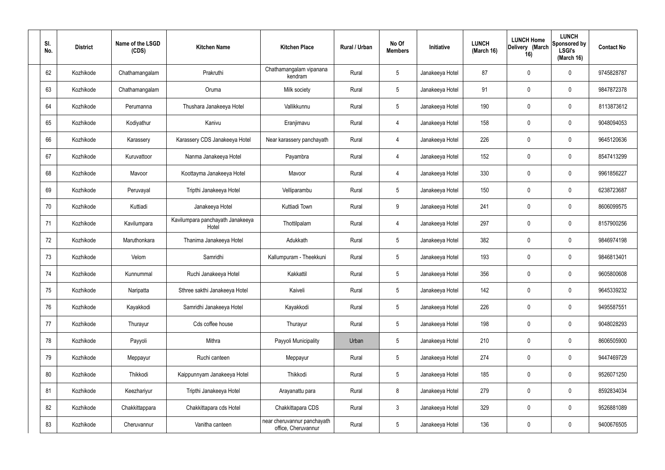| SI.<br>No. | <b>District</b> | Name of the LSGD<br>(CDS) | <b>Kitchen Name</b>                       | <b>Kitchen Place</b>                               | Rural / Urban | No Of<br><b>Members</b> | Initiative      | <b>LUNCH</b><br>(March 16) | <b>LUNCH Home</b><br>Delivery (March<br>16) | <b>LUNCH</b><br>Sponsored by<br><b>LSGI's</b><br>(March 16) | <b>Contact No</b> |
|------------|-----------------|---------------------------|-------------------------------------------|----------------------------------------------------|---------------|-------------------------|-----------------|----------------------------|---------------------------------------------|-------------------------------------------------------------|-------------------|
| 62         | Kozhikode       | Chathamangalam            | Prakruthi                                 | Chathamangalam vipanana<br>kendram                 | Rural         | $\sqrt{5}$              | Janakeeya Hotel | 87                         | 0                                           | $\mathbf 0$                                                 | 9745828787        |
| 63         | Kozhikode       | Chathamangalam            | Oruma                                     | Milk society                                       | Rural         | $5\phantom{.0}$         | Janakeeya Hotel | 91                         | 0                                           | $\mathbf 0$                                                 | 9847872378        |
| 64         | Kozhikode       | Perumanna                 | Thushara Janakeeya Hotel                  | Vallikkunnu                                        | Rural         | $5\phantom{.0}$         | Janakeeya Hotel | 190                        | 0                                           | $\mathbf 0$                                                 | 8113873612        |
| 65         | Kozhikode       | Kodiyathur                | Kanivu                                    | Eranjimavu                                         | Rural         | 4                       | Janakeeya Hotel | 158                        | 0                                           | $\mathbf 0$                                                 | 9048094053        |
| 66         | Kozhikode       | Karassery                 | Karassery CDS Janakeeya Hotel             | Near karassery panchayath                          | Rural         | 4                       | Janakeeya Hotel | 226                        | 0                                           | $\mathbf 0$                                                 | 9645120636        |
| 67         | Kozhikode       | Kuruvattoor               | Nanma Janakeeya Hotel                     | Payambra                                           | Rural         | 4                       | Janakeeya Hotel | 152                        | 0                                           | $\mathbf 0$                                                 | 8547413299        |
| 68         | Kozhikode       | Mavoor                    | Koottayma Janakeeya Hotel                 | Mavoor                                             | Rural         | $\overline{4}$          | Janakeeya Hotel | 330                        | 0                                           | $\mathbf 0$                                                 | 9961856227        |
| 69         | Kozhikode       | Peruvayal                 | Tripthi Janakeeya Hotel                   | Velliparambu                                       | Rural         | $5\overline{)}$         | Janakeeya Hotel | 150                        | 0                                           | $\mathbf 0$                                                 | 6238723687        |
| 70         | Kozhikode       | Kuttiadi                  | Janakeeya Hotel                           | Kuttiadi Town                                      | Rural         | 9                       | Janakeeya Hotel | 241                        | 0                                           | $\mathbf 0$                                                 | 8606099575        |
| 71         | Kozhikode       | Kavilumpara               | Kavilumpara panchayath Janakeeya<br>Hotel | Thottilpalam                                       | Rural         | 4                       | Janakeeya Hotel | 297                        | 0                                           | $\mathbf 0$                                                 | 8157900256        |
| 72         | Kozhikode       | Maruthonkara              | Thanima Janakeeya Hotel                   | Adukkath                                           | Rural         | $5\,$                   | Janakeeya Hotel | 382                        | 0                                           | $\boldsymbol{0}$                                            | 9846974198        |
| 73         | Kozhikode       | Velom                     | Samridhi                                  | Kallumpuram - Theekkuni                            | Rural         | $5\phantom{.0}$         | Janakeeya Hotel | 193                        | 0                                           | $\boldsymbol{0}$                                            | 9846813401        |
| 74         | Kozhikode       | Kunnummal                 | Ruchi Janakeeya Hotel                     | Kakkattil                                          | Rural         | $5\phantom{.0}$         | Janakeeya Hotel | 356                        | 0                                           | 0                                                           | 9605800608        |
| 75         | Kozhikode       | Naripatta                 | Sthree sakthi Janakeeya Hotel             | Kaiveli                                            | Rural         | $5\,$                   | Janakeeya Hotel | 142                        | $\mathbf 0$                                 | $\mathbf 0$                                                 | 9645339232        |
| 76         | Kozhikode       | Kayakkodi                 | Samridhi Janakeeya Hotel                  | Kayakkodi                                          | Rural         | $5\phantom{.0}$         | Janakeeya Hotel | 226                        | $\mathbf 0$                                 | $\mathbf 0$                                                 | 9495587551        |
| 77         | Kozhikode       | Thurayur                  | Cds coffee house                          | Thurayur                                           | Rural         | $5\phantom{.0}$         | Janakeeya Hotel | 198                        | $\mathbf 0$                                 | $\mathbf 0$                                                 | 9048028293        |
| 78         | Kozhikode       | Payyoli                   | Mithra                                    | Payyoli Municipality                               | Urban         | $5\,$                   | Janakeeya Hotel | 210                        | 0                                           | $\mathbf 0$                                                 | 8606505900        |
| 79         | Kozhikode       | Meppayur                  | Ruchi canteen                             | Meppayur                                           | Rural         | $5\phantom{.0}$         | Janakeeya Hotel | 274                        | 0                                           | $\mathbf 0$                                                 | 9447469729        |
| 80         | Kozhikode       | Thikkodi                  | Kaippunnyam Janakeeya Hotel               | Thikkodi                                           | Rural         | $5\phantom{.0}$         | Janakeeya Hotel | 185                        | 0                                           | $\mathbf 0$                                                 | 9526071250        |
| 81         | Kozhikode       | Keezhariyur               | Tripthi Janakeeya Hotel                   | Arayanattu para                                    | Rural         | 8                       | Janakeeya Hotel | 279                        | 0                                           | $\mathbf 0$                                                 | 8592834034        |
| 82         | Kozhikode       | Chakkittappara            | Chakkittapara cds Hotel                   | Chakkittapara CDS                                  | Rural         | $\mathfrak{Z}$          | Janakeeya Hotel | 329                        | 0                                           | $\mathbf 0$                                                 | 9526881089        |
| 83         | Kozhikode       | Cheruvannur               | Vanitha canteen                           | near cheruvannur panchayath<br>office, Cheruvannur | Rural         | $5\phantom{.0}$         | Janakeeya Hotel | 136                        | 0                                           | $\boldsymbol{0}$                                            | 9400676505        |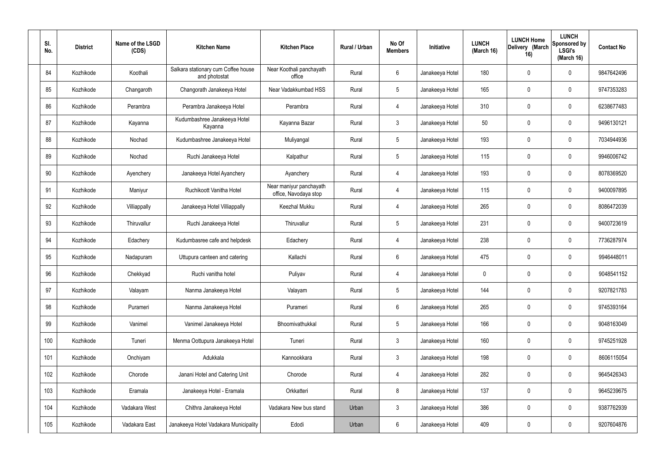| SI.<br>No. | <b>District</b> | Name of the LSGD<br>(CDS) | <b>Kitchen Name</b>                                  | <b>Kitchen Place</b>                             | Rural / Urban | No Of<br><b>Members</b> | Initiative      | <b>LUNCH</b><br>(March 16) | <b>LUNCH Home</b><br>Delivery (March<br>16) | <b>LUNCH</b><br>Sponsored by<br><b>LSGI's</b><br>(March 16) | <b>Contact No</b> |
|------------|-----------------|---------------------------|------------------------------------------------------|--------------------------------------------------|---------------|-------------------------|-----------------|----------------------------|---------------------------------------------|-------------------------------------------------------------|-------------------|
| 84         | Kozhikode       | Koothali                  | Salkara stationary cum Coffee house<br>and photostat | Near Koothali panchayath<br>office               | Rural         | $6\phantom{.}6$         | Janakeeya Hotel | 180                        | 0                                           | $\mathbf 0$                                                 | 9847642496        |
| 85         | Kozhikode       | Changaroth                | Changorath Janakeeya Hotel                           | Near Vadakkumbad HSS                             | Rural         | $5\phantom{.0}$         | Janakeeya Hotel | 165                        | 0                                           | $\mathbf 0$                                                 | 9747353283        |
| 86         | Kozhikode       | Perambra                  | Perambra Janakeeya Hotel                             | Perambra                                         | Rural         | 4                       | Janakeeya Hotel | 310                        | 0                                           | $\mathbf 0$                                                 | 6238677483        |
| 87         | Kozhikode       | Kayanna                   | Kudumbashree Janakeeya Hotel<br>Kayanna              | Kayanna Bazar                                    | Rural         | $\mathbf{3}$            | Janakeeya Hotel | 50                         | 0                                           | $\mathbf 0$                                                 | 9496130121        |
| 88         | Kozhikode       | Nochad                    | Kudumbashree Janakeeya Hotel                         | Muliyangal                                       | Rural         | $5\phantom{.0}$         | Janakeeya Hotel | 193                        | 0                                           | $\mathbf 0$                                                 | 7034944936        |
| 89         | Kozhikode       | Nochad                    | Ruchi Janakeeya Hotel                                | Kalpathur                                        | Rural         | $5\phantom{.0}$         | Janakeeya Hotel | 115                        | 0                                           | $\mathbf 0$                                                 | 9946006742        |
| 90         | Kozhikode       | Ayenchery                 | Janakeeya Hotel Ayanchery                            | Ayanchery                                        | Rural         | $\overline{4}$          | Janakeeya Hotel | 193                        | 0                                           | $\mathbf 0$                                                 | 8078369520        |
| 91         | Kozhikode       | Maniyur                   | Ruchikoott Vanitha Hotel                             | Near maniyur panchayath<br>office, Navodaya stop | Rural         | 4                       | Janakeeya Hotel | 115                        | 0                                           | $\mathbf 0$                                                 | 9400097895        |
| 92         | Kozhikode       | Villiappally              | Janakeeya Hotel Villiappally                         | Keezhal Mukku                                    | Rural         | $\overline{4}$          | Janakeeya Hotel | 265                        | 0                                           | $\mathbf 0$                                                 | 8086472039        |
| 93         | Kozhikode       | Thiruvallur               | Ruchi Janakeeya Hotel                                | Thiruvallur                                      | Rural         | $5\phantom{.0}$         | Janakeeya Hotel | 231                        | 0                                           | $\mathbf 0$                                                 | 9400723619        |
| 94         | Kozhikode       | Edachery                  | Kudumbasree cafe and helpdesk                        | Edachery                                         | Rural         | 4                       | Janakeeya Hotel | 238                        | 0                                           | $\mathbf 0$                                                 | 7736287974        |
| 95         | Kozhikode       | Nadapuram                 | Uttupura canteen and catering                        | Kallachi                                         | Rural         | $6\phantom{.}6$         | Janakeeya Hotel | 475                        | 0                                           | $\mathbf 0$                                                 | 9946448011        |
| 96         | Kozhikode       | Chekkyad                  | Ruchi vanitha hotel                                  | Puliyav                                          | Rural         | 4                       | Janakeeya Hotel | 0                          | 0                                           | 0                                                           | 9048541152        |
| 97         | Kozhikode       | Valayam                   | Nanma Janakeeya Hotel                                | Valayam                                          | Rural         | $5\phantom{.0}$         | Janakeeya Hotel | 144                        | 0                                           | $\mathbf 0$                                                 | 9207821783        |
| 98         | Kozhikode       | Purameri                  | Nanma Janakeeya Hotel                                | Purameri                                         | Rural         | $6\overline{6}$         | Janakeeya Hotel | 265                        | 0                                           | $\mathbf 0$                                                 | 9745393164        |
| 99         | Kozhikode       | Vanimel                   | Vanimel Janakeeya Hotel                              | Bhoomivathukkal                                  | Rural         | $5\phantom{.0}$         | Janakeeya Hotel | 166                        | 0                                           | $\mathbf 0$                                                 | 9048163049        |
| 100        | Kozhikode       | Tuneri                    | Menma Oottupura Janakeeya Hotel                      | Tuneri                                           | Rural         | $\mathbf{3}$            | Janakeeya Hotel | 160                        | 0                                           | $\mathbf 0$                                                 | 9745251928        |
| 101        | Kozhikode       | Onchiyam                  | Adukkala                                             | Kannookkara                                      | Rural         | $\mathbf{3}$            | Janakeeya Hotel | 198                        | 0                                           | $\mathbf 0$                                                 | 8606115054        |
| 102        | Kozhikode       | Chorode                   | Janani Hotel and Catering Unit                       | Chorode                                          | Rural         | $\overline{4}$          | Janakeeya Hotel | 282                        | 0                                           | $\mathbf 0$                                                 | 9645426343        |
| 103        | Kozhikode       | Eramala                   | Janakeeya Hotel - Eramala                            | Orkkatteri                                       | Rural         | $\bf 8$                 | Janakeeya Hotel | 137                        | 0                                           | $\mathbf 0$                                                 | 9645239675        |
| 104        | Kozhikode       | Vadakara West             | Chithra Janakeeya Hotel                              | Vadakara New bus stand                           | Urban         | $\mathbf{3}$            | Janakeeya Hotel | 386                        | $\pmb{0}$                                   | $\mathbf 0$                                                 | 9387762939        |
| 105        | Kozhikode       | Vadakara East             | Janakeeya Hotel Vadakara Municipality                | Edodi                                            | Urban         | $6\,$                   | Janakeeya Hotel | 409                        | $\pmb{0}$                                   | $\bm{0}$                                                    | 9207604876        |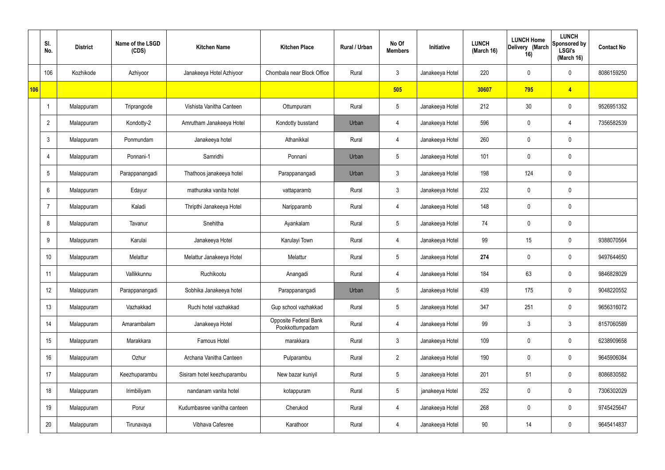|     | SI.<br>No.      | <b>District</b> | Name of the LSGD<br>(CDS) | <b>Kitchen Name</b>         | <b>Kitchen Place</b>                     | Rural / Urban | No Of<br><b>Members</b> | Initiative      | <b>LUNCH</b><br>(March 16) | <b>LUNCH Home</b><br>Delivery (March<br>16) | <b>LUNCH</b><br>Sponsored by<br><b>LSGI's</b><br>(March 16) | <b>Contact No</b> |
|-----|-----------------|-----------------|---------------------------|-----------------------------|------------------------------------------|---------------|-------------------------|-----------------|----------------------------|---------------------------------------------|-------------------------------------------------------------|-------------------|
|     | 106             | Kozhikode       | Azhiyoor                  | Janakeeya Hotel Azhiyoor    | Chombala near Block Office               | Rural         | $\mathbf{3}$            | Janakeeya Hotel | 220                        | $\mathbf 0$                                 | $\mathbf 0$                                                 | 8086159250        |
| 106 |                 |                 |                           |                             |                                          |               | 505                     |                 | 30607                      | 795                                         | $\overline{4}$                                              |                   |
|     | $\overline{1}$  | Malappuram      | Triprangode               | Vishista Vanitha Canteen    | Ottumpuram                               | Rural         | $5\,$                   | Janakeeya Hotel | 212                        | 30                                          | $\mathbf 0$                                                 | 9526951352        |
|     | $\overline{2}$  | Malappuram      | Kondotty-2                | Amrutham Janakeeya Hotel    | Kondotty busstand                        | Urban         | 4                       | Janakeeya Hotel | 596                        | $\mathbf 0$                                 | 4                                                           | 7356582539        |
|     | $\mathbf{3}$    | Malappuram      | Ponmundam                 | Janakeeya hotel             | Athanikkal                               | Rural         | 4                       | Janakeeya Hotel | 260                        | $\mathbf 0$                                 | $\mathbf 0$                                                 |                   |
|     | 4               | Malappuram      | Ponnani-1                 | Samridhi                    | Ponnani                                  | Urban         | $5\phantom{.0}$         | Janakeeya Hotel | 101                        | $\mathbf 0$                                 | $\mathbf 0$                                                 |                   |
|     | $5\phantom{.0}$ | Malappuram      | Parappanangadi            | Thathoos janakeeya hotel    | Parappanangadi                           | Urban         | $\mathbf{3}$            | Janakeeya Hotel | 198                        | 124                                         | $\mathbf 0$                                                 |                   |
|     | 6               | Malappuram      | Edayur                    | mathuraka vanita hotel      | vattaparamb                              | Rural         | $\mathbf{3}$            | Janakeeya Hotel | 232                        | $\mathbf 0$                                 | $\mathbf 0$                                                 |                   |
|     | -7              | Malappuram      | Kaladi                    | Thripthi Janakeeya Hotel    | Naripparamb                              | Rural         | 4                       | Janakeeya Hotel | 148                        | $\mathbf 0$                                 | $\mathbf 0$                                                 |                   |
|     | 8               | Malappuram      | Tavanur                   | Snehitha                    | Ayankalam                                | Rural         | $5\phantom{.0}$         | Janakeeya Hotel | 74                         | 0                                           | $\mathbf 0$                                                 |                   |
|     | 9               | Malappuram      | Karulai                   | Janakeeya Hotel             | Karulayi Town                            | Rural         | 4                       | Janakeeya Hotel | 99                         | 15                                          | $\mathbf 0$                                                 | 9388070564        |
|     | 10              | Malappuram      | Melattur                  | Melattur Janakeeya Hotel    | Melattur                                 | Rural         | $5\phantom{.0}$         | Janakeeya Hotel | 274                        | $\mathbf 0$                                 | $\boldsymbol{0}$                                            | 9497644650        |
|     | 11              | Malappuram      | Vallikkunnu               | Ruchikootu                  | Anangadi                                 | Rural         | 4                       | Janakeeya Hotel | 184                        | 63                                          | $\boldsymbol{0}$                                            | 9846828029        |
|     | 12              | Malappuram      | Parappanangadi            | Sobhika Janakeeya hotel     | Parappanangadi                           | Urban         | 5                       | Janakeeya Hotel | 439                        | 175                                         | $\mathbf 0$                                                 | 9048220552        |
|     | 13              | Malappuram      | Vazhakkad                 | Ruchi hotel vazhakkad       | Gup school vazhakkad                     | Rural         | $5\phantom{.0}$         | Janakeeya Hotel | 347                        | 251                                         | $\mathbf 0$                                                 | 9656316072        |
|     | 14              | Malappuram      | Amarambalam               | Janakeeya Hotel             | Opposite Federal Bank<br>Pookkottumpadam | Rural         | $\overline{4}$          | Janakeeya Hotel | 99                         | $\mathfrak{Z}$                              | $\mathbf{3}$                                                | 8157060589        |
|     | 15              | Malappuram      | Marakkara                 | Famous Hotel                | marakkara                                | Rural         | $\mathbf{3}$            | Janakeeya Hotel | 109                        | $\mathbf 0$                                 | $\mathbf 0$                                                 | 6238909658        |
|     | 16              | Malappuram      | Ozhur                     | Archana Vanitha Canteen     | Pulparambu                               | Rural         | $2^{\circ}$             | Janakeeya Hotel | 190                        | 0                                           | $\mathbf 0$                                                 | 9645906084        |
|     | 17              | Malappuram      | Keezhuparambu             | Sisiram hotel keezhuparambu | New bazar kuniyil                        | Rural         | $5\,$                   | Janakeeya Hotel | 201                        | 51                                          | $\mathbf 0$                                                 | 8086830582        |
|     | 18              | Malappuram      | Irimbiliyam               | nandanam vanita hotel       | kotappuram                               | Rural         | $5\phantom{.0}$         | janakeeya Hotel | 252                        | 0                                           | $\mathbf 0$                                                 | 7306302029        |
|     | 19              | Malappuram      | Porur                     | Kudumbasree vanitha canteen | Cherukod                                 | Rural         | 4                       | Janakeeya Hotel | 268                        | $\mathbf 0$                                 | $\mathbf 0$                                                 | 9745425647        |
|     | 20              | Malappuram      | Tirunavaya                | Vibhava Cafesree            | Karathoor                                | Rural         | $\overline{4}$          | Janakeeya Hotel | 90                         | 14                                          | $\boldsymbol{0}$                                            | 9645414837        |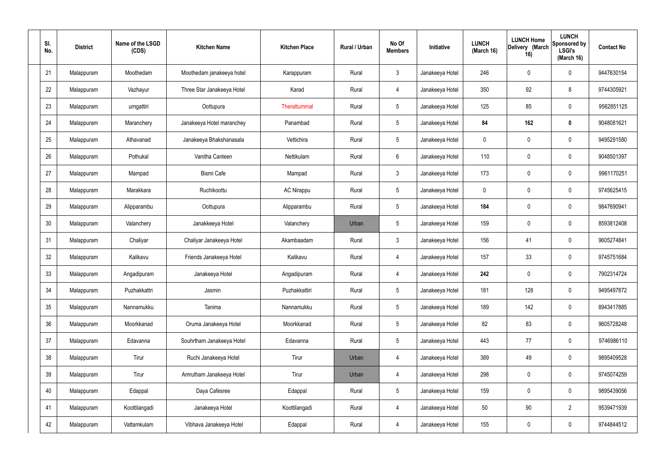| SI.<br>No. | <b>District</b> | Name of the LSGD<br>(CDS) | <b>Kitchen Name</b>        | <b>Kitchen Place</b> | Rural / Urban | No Of<br><b>Members</b> | Initiative      | <b>LUNCH</b><br>(March 16) | <b>LUNCH Home</b><br>Delivery (March<br>16) | <b>LUNCH</b><br>Sponsored by<br><b>LSGI's</b><br>(March 16) | <b>Contact No</b> |
|------------|-----------------|---------------------------|----------------------------|----------------------|---------------|-------------------------|-----------------|----------------------------|---------------------------------------------|-------------------------------------------------------------|-------------------|
| 21         | Malappuram      | Moothedam                 | Moothedam janakeeya hotel  | Karappuram           | Rural         | $\mathfrak{Z}$          | Janakeeya Hotel | 246                        | $\mathbf 0$                                 | $\mathbf 0$                                                 | 9447630154        |
| 22         | Malappuram      | Vazhayur                  | Three Star Janakeeya Hotel | Karad                | Rural         | $\overline{4}$          | Janakeeya Hotel | 350                        | 92                                          | 8                                                           | 9744305921        |
| 23         | Malappuram      | urngattiri                | Oottupura                  | Therattummal         | Rural         | $5\phantom{.0}$         | Janakeeya Hotel | 125                        | 85                                          | $\mathbf 0$                                                 | 9562851125        |
| 24         | Malappuram      | Maranchery                | Janakeeya Hotel maranchey  | Panambad             | Rural         | $5\phantom{.0}$         | Janakeeya Hotel | 84                         | 162                                         | $\mathbf 0$                                                 | 9048081621        |
| 25         | Malappuram      | Athavanad                 | Janakeeya Bhakshanasala    | Vettichira           | Rural         | $5\phantom{.0}$         | Janakeeya Hotel | $\mathbf 0$                | $\mathbf 0$                                 | $\mathbf 0$                                                 | 9495291580        |
| 26         | Malappuram      | Pothukal                  | Vanitha Canteen            | Nettikulam           | Rural         | $6\phantom{.}6$         | Janakeeya Hotel | 110                        | $\mathbf 0$                                 | $\mathbf 0$                                                 | 9048501397        |
| 27         | Malappuram      | Mampad                    | <b>Bismi Cafe</b>          | Mampad               | Rural         | $\mathbf{3}$            | Janakeeya Hotel | 173                        | $\mathbf 0$                                 | $\mathbf 0$                                                 | 9961170251        |
| 28         | Malappuram      | Marakkara                 | Ruchikoottu                | <b>AC Nirappu</b>    | Rural         | $5\phantom{.0}$         | Janakeeya Hotel | $\mathbf 0$                | 0                                           | $\mathbf 0$                                                 | 9745625415        |
| 29         | Malappuram      | Alipparambu               | Oottupura                  | Alipparambu          | Rural         | $5\phantom{.0}$         | Janakeeya Hotel | 184                        | $\mathbf 0$                                 | $\mathbf 0$                                                 | 9847690941        |
| 30         | Malappuram      | Valanchery                | Janakkeeya Hotel           | Valanchery           | Urban         | $5\phantom{.0}$         | Janakeeya Hotel | 159                        | 0                                           | $\mathbf 0$                                                 | 8593812408        |
| 31         | Malappuram      | Chaliyar                  | Chaliyar Janakeeya Hotel   | Akambaadam           | Rural         | $\mathbf{3}$            | Janakeeya Hotel | 156                        | 41                                          | $\mathbf 0$                                                 | 9605274841        |
| 32         | Malappuram      | Kalikavu                  | Friends Janakeeya Hotel    | Kalikavu             | Rural         | 4                       | Janakeeya Hotel | 157                        | 33                                          | $\mathbf 0$                                                 | 9745751684        |
| 33         | Malappuram      | Angadipuram               | Janakeeya Hotel            | Angadipuram          | Rural         | 4                       | Janakeeya Hotel | 242                        | 0                                           | $\boldsymbol{0}$                                            | 7902314724        |
| 34         | Malappuram      | Puzhakkattri              | Jasmin                     | Puzhakkattiri        | Rural         | $5\phantom{.0}$         | Janakeeya Hotel | 181                        | 128                                         | $\mathbf 0$                                                 | 9495497872        |
| 35         | Malappuram      | Nannamukku                | Tanima                     | Nannamukku           | Rural         | $5\phantom{.0}$         | Janakeeya Hotel | 189                        | 142                                         | $\mathbf 0$                                                 | 8943417885        |
| 36         | Malappuram      | Moorkkanad                | Oruma Janakeeya Hotel      | Moorkkanad           | Rural         | $5\phantom{.0}$         | Janakeeya Hotel | 82                         | 83                                          | $\mathbf 0$                                                 | 9605728248        |
| 37         | Malappuram      | Edavanna                  | Souhrtham Janakeeya Hotel  | Edavanna             | Rural         | $5\phantom{.0}$         | Janakeeya Hotel | 443                        | 77                                          | $\mathbf 0$                                                 | 9746986110        |
| 38         | Malappuram      | Tirur                     | Ruchi Janakeeya Hotel      | Tirur                | Urban         | 4                       | Janakeeya Hotel | 389                        | 49                                          | $\mathbf 0$                                                 | 9895409528        |
| 39         | Malappuram      | Tirur                     | Amrutham Janakeeya Hotel   | Tirur                | Urban         | 4                       | Janakeeya Hotel | 298                        | 0                                           | $\mathbf 0$                                                 | 9745074259        |
| 40         | Malappuram      | Edappal                   | Daya Cafesree              | Edappal              | Rural         | $5\phantom{.0}$         | Janakeeya Hotel | 159                        | 0                                           | $\mathbf 0$                                                 | 9895439056        |
| 41         | Malappuram      | Koottilangadi             | Janakeeya Hotel            | Koottilangadi        | Rural         | 4                       | Janakeeya Hotel | 50                         | $90\,$                                      | $\overline{2}$                                              | 9539471939        |
| 42         | Malappuram      | Vattamkulam               | Vibhava Janakeeya Hotel    | Edappal              | Rural         | 4                       | Janakeeya Hotel | 155                        | 0                                           | $\boldsymbol{0}$                                            | 9744844512        |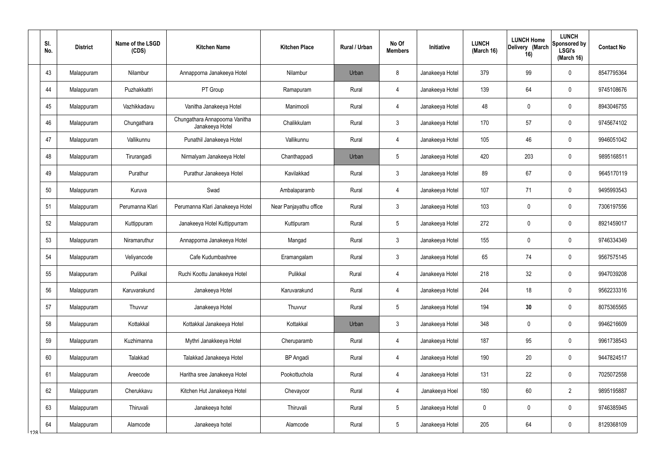|     | SI.<br>No. | <b>District</b> | Name of the LSGD<br>(CDS) | <b>Kitchen Name</b>                               | <b>Kitchen Place</b>   | Rural / Urban | No Of<br><b>Members</b> | Initiative      | <b>LUNCH</b><br>(March 16) | <b>LUNCH Home</b><br>Delivery (March<br>16) | <b>LUNCH</b><br>Sponsored by<br><b>LSGI's</b><br>(March 16) | <b>Contact No</b> |
|-----|------------|-----------------|---------------------------|---------------------------------------------------|------------------------|---------------|-------------------------|-----------------|----------------------------|---------------------------------------------|-------------------------------------------------------------|-------------------|
|     | 43         | Malappuram      | Nilambur                  | Annapporna Janakeeya Hotel                        | Nilambur               | Urban         | 8                       | Janakeeya Hotel | 379                        | 99                                          | $\mathbf 0$                                                 | 8547795364        |
|     | 44         | Malappuram      | Puzhakkattri              | PT Group                                          | Ramapuram              | Rural         | $\overline{4}$          | Janakeeya Hotel | 139                        | 64                                          | $\mathbf 0$                                                 | 9745108676        |
|     | 45         | Malappuram      | Vazhikkadavu              | Vanitha Janakeeya Hotel                           | Manimooli              | Rural         | $\overline{4}$          | Janakeeya Hotel | 48                         | $\mathbf 0$                                 | $\mathbf 0$                                                 | 8943046755        |
|     | 46         | Malappuram      | Chungathara               | Chungathara Annapoorna Vanitha<br>Janakeeya Hotel | Chalikkulam            | Rural         | $\mathbf{3}$            | Janakeeya Hotel | 170                        | 57                                          | $\mathbf 0$                                                 | 9745674102        |
|     | 47         | Malappuram      | Vallikunnu                | Punathil Janakeeya Hotel                          | Vallikunnu             | Rural         | 4                       | Janakeeya Hotel | 105                        | 46                                          | $\mathbf 0$                                                 | 9946051042        |
|     | 48         | Malappuram      | Tirurangadi               | Nirmalyam Janakeeya Hotel                         | Chanthappadi           | Urban         | $5\phantom{.0}$         | Janakeeya Hotel | 420                        | 203                                         | $\mathbf 0$                                                 | 9895168511        |
|     | 49         | Malappuram      | Purathur                  | Purathur Janakeeya Hotel                          | Kavilakkad             | Rural         | $\mathbf{3}$            | Janakeeya Hotel | 89                         | 67                                          | $\mathbf 0$                                                 | 9645170119        |
|     | 50         | Malappuram      | Kuruva                    | Swad                                              | Ambalaparamb           | Rural         | $\overline{4}$          | Janakeeya Hotel | 107                        | 71                                          | $\mathbf 0$                                                 | 9495993543        |
|     | 51         | Malappuram      | Perumanna Klari           | Perumanna Klari Janakeeya Hotel                   | Near Panjayathu office | Rural         | $\mathbf{3}$            | Janakeeya Hotel | 103                        | 0                                           | $\mathbf 0$                                                 | 7306197556        |
|     | 52         | Malappuram      | Kuttippuram               | Janakeeya Hotel Kuttippurram                      | Kuttipuram             | Rural         | $5\overline{)}$         | Janakeeya Hotel | 272                        | $\mathbf 0$                                 | $\mathbf 0$                                                 | 8921459017        |
|     | 53         | Malappuram      | Niramaruthur              | Annapporna Janakeeya Hotel                        | Mangad                 | Rural         | $\mathbf{3}$            | Janakeeya Hotel | 155                        | 0                                           | $\mathbf 0$                                                 | 9746334349        |
|     | 54         | Malappuram      | Veliyancode               | Cafe Kudumbashree                                 | Eramangalam            | Rural         | $\mathbf{3}$            | Janakeeya Hotel | 65                         | 74                                          | $\mathbf 0$                                                 | 9567575145        |
|     | 55         | Malappuram      | Pulilkal                  | Ruchi Koottu Janakeeya Hotel                      | Pulikkal               | Rural         | 4                       | Janakeeya Hotel | 218                        | 32                                          | $\mathbf 0$                                                 | 9947039208        |
|     | 56         | Malappuram      | Karuvarakund              | Janakeeya Hotel                                   | Karuvarakund           | Rural         | 4                       | Janakeeya Hotel | 244                        | 18                                          | $\mathbf 0$                                                 | 9562233316        |
|     | 57         | Malappuram      | Thuvvur                   | Janakeeya Hotel                                   | Thuvvur                | Rural         | $5\phantom{.0}$         | Janakeeya Hotel | 194                        | 30                                          | $\mathbf 0$                                                 | 8075365565        |
|     | 58         | Malappuram      | Kottakkal                 | Kottakkal Janakeeya Hotel                         | Kottakkal              | Urban         | $\mathbf{3}$            | Janakeeya Hotel | 348                        | 0                                           | $\mathbf 0$                                                 | 9946216609        |
|     | 59         | Malappuram      | Kuzhimanna                | Mythri Janakkeeya Hotel                           | Cheruparamb            | Rural         | $\overline{4}$          | Janakeeya Hotel | 187                        | 95                                          | $\mathbf 0$                                                 | 9961738543        |
|     | 60         | Malappuram      | Talakkad                  | Talakkad Janakeeya Hotel                          | <b>BP</b> Angadi       | Rural         | $\overline{4}$          | Janakeeya Hotel | 190                        | 20                                          | $\mathbf 0$                                                 | 9447824517        |
|     | 61         | Malappuram      | Areecode                  | Haritha sree Janakeeya Hotel                      | Pookottuchola          | Rural         | $\overline{4}$          | Janakeeya Hotel | 131                        | 22                                          | $\mathbf 0$                                                 | 7025072558        |
|     | 62         | Malappuram      | Cherukkavu                | Kitchen Hut Janakeeya Hotel                       | Chevayoor              | Rural         | $\overline{4}$          | Janakeeya Hoel  | 180                        | 60                                          | $\overline{2}$                                              | 9895195887        |
|     | 63         | Malappuram      | Thiruvali                 | Janakeeya hotel                                   | Thiruvali              | Rural         | $5\phantom{.0}$         | Janakeeya Hotel | $\mathbf 0$                | $\pmb{0}$                                   | $\mathbf 0$                                                 | 9746385945        |
| 12R | 64         | Malappuram      | Alamcode                  | Janakeeya hotel                                   | Alamcode               | Rural         | $5\phantom{.0}$         | Janakeeya Hotel | 205                        | 64                                          | $\boldsymbol{0}$                                            | 8129368109        |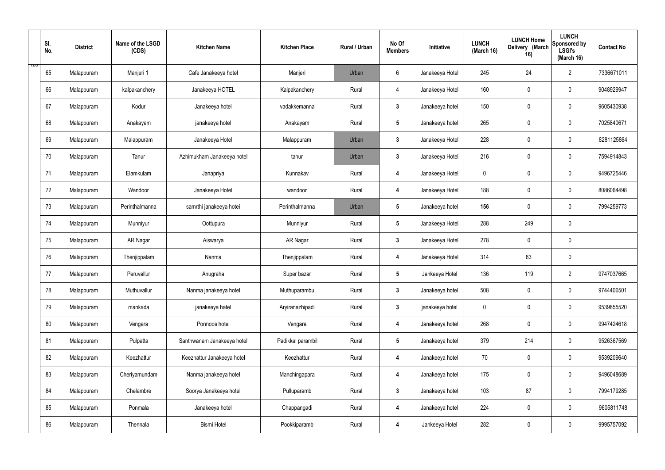|     | SI.<br>No. | <b>District</b> | Name of the LSGD<br>(CDS) | <b>Kitchen Name</b>        | <b>Kitchen Place</b> | Rural / Urban | No Of<br><b>Members</b> | Initiative      | <b>LUNCH</b><br>(March 16) | <b>LUNCH Home</b><br>Delivery (March<br>16) | <b>LUNCH</b><br>Sponsored by<br><b>LSGI's</b><br>(March 16) | <b>Contact No</b> |
|-----|------------|-----------------|---------------------------|----------------------------|----------------------|---------------|-------------------------|-----------------|----------------------------|---------------------------------------------|-------------------------------------------------------------|-------------------|
| ס∠ד | 65         | Malappuram      | Manjeri 1                 | Cafe Janakeeya hotel       | Manjeri              | Urban         | $6\phantom{.}6$         | Janakeeya Hotel | 245                        | 24                                          | $\overline{2}$                                              | 7336671011        |
|     | 66         | Malappuram      | kalpakanchery             | Janakeeya HOTEL            | Kalpakanchery        | Rural         | $\overline{4}$          | Janakeeya Hotel | 160                        | $\mathbf 0$                                 | $\mathbf 0$                                                 | 9048929947        |
|     | 67         | Malappuram      | Kodur                     | Janakeeya hotel            | vadakkemanna         | Rural         | $3\phantom{a}$          | Janakeeya hotel | 150                        | $\mathbf 0$                                 | $\mathbf 0$                                                 | 9605430938        |
|     | 68         | Malappuram      | Anakayam                  | janakeeya hotel            | Anakayam             | Rural         | $5\phantom{.0}$         | Janakeeya hotel | 265                        | $\mathbf 0$                                 | $\mathbf 0$                                                 | 7025840671        |
|     | 69         | Malappuram      | Malappuram                | Janakeeya Hotel            | Malappuram           | Urban         | $3\phantom{a}$          | Janakeeya Hotel | 228                        | $\mathbf 0$                                 | $\mathbf 0$                                                 | 8281125864        |
|     | 70         | Malappuram      | Tanur                     | Azhimukham Janakeeya hotel | tanur                | Urban         | $\mathbf{3}$            | Janakeeya Hotel | 216                        | $\mathbf 0$                                 | $\mathbf 0$                                                 | 7594914843        |
|     | 71         | Malappuram      | Elamkulam                 | Janapriya                  | Kunnakav             | Rural         | $\boldsymbol{4}$        | Janakeeya Hotel | $\mathbf 0$                | $\mathbf 0$                                 | $\mathbf 0$                                                 | 9496725446        |
|     | 72         | Malappuram      | Wandoor                   | Janakeeya Hotel            | wandoor              | Rural         | 4                       | Janakeeya Hotel | 188                        | $\mathbf 0$                                 | $\mathbf 0$                                                 | 8086064498        |
|     | 73         | Malappuram      | Perinthalmanna            | samrthi janakeeya hotei    | Perinthalmanna       | Urban         | $5\phantom{.0}$         | Janakeeya hotel | 156                        | $\mathbf 0$                                 | $\mathbf 0$                                                 | 7994259773        |
|     | 74         | Malappuram      | Munniyur                  | Oottupura                  | Munniyur             | Rural         | $5\phantom{.0}$         | Janakeeya Hotel | 288                        | 249                                         | $\mathbf 0$                                                 |                   |
|     | 75         | Malappuram      | AR Nagar                  | Aiswarya                   | AR Nagar             | Rural         | $\mathbf{3}$            | Janakeeya Hotel | 278                        | $\mathbf 0$                                 | $\mathbf 0$                                                 |                   |
|     | 76         | Malappuram      | Thenjippalam              | Nanma                      | Thenjippalam         | Rural         | 4                       | Janakeeya Hotel | 314                        | 83                                          | $\mathbf 0$                                                 |                   |
|     | 77         | Malappuram      | Peruvallur                | Anugraha                   | Super bazar          | Rural         | $5\phantom{.0}$         | Jankeeya Hotel  | 136                        | 119                                         | $\overline{2}$                                              | 9747037665        |
|     | 78         | Malappuram      | Muthuvallur               | Nanma janakeeya hotel      | Muthuparambu         | Rural         | $3\phantom{a}$          | Janakeeya hotel | 508                        | $\pmb{0}$                                   | $\mathbf 0$                                                 | 9744406501        |
|     | 79         | Malappuram      | mankada                   | janakeeya hatel            | Aryiranazhipadi      | Rural         | $3\phantom{a}$          | janakeeya hotel | $\mathbf 0$                | $\pmb{0}$                                   | $\mathbf 0$                                                 | 9539855520        |
|     | 80         | Malappuram      | Vengara                   | Ponnoos hotel              | Vengara              | Rural         | $\overline{\mathbf{4}}$ | Janakeeya hotel | 268                        | $\mathbf 0$                                 | $\mathbf 0$                                                 | 9947424618        |
|     | 81         | Malappuram      | Pulpatta                  | Santhwanam Janakeeya hotel | Padikkal parambil    | Rural         | $5\overline{)}$         | Janakeeya hotel | 379                        | 214                                         | $\mathbf 0$                                                 | 9526367569        |
|     | 82         | Malappuram      | Keezhattur                | Keezhattur Janakeeya hotel | Keezhattur           | Rural         | $\overline{\mathbf{4}}$ | Janakeeya hotel | 70                         | $\mathbf 0$                                 | $\mathbf 0$                                                 | 9539209640        |
|     | 83         | Malappuram      | Cheriyamundam             | Nanma janakeeya hotel      | Manchingapara        | Rural         | 4                       | Janakeeya hotel | 175                        | $\mathbf 0$                                 | $\mathbf 0$                                                 | 9496048689        |
|     | 84         | Malappuram      | Chelambre                 | Soorya Janakeeya hotel     | Pulluparamb          | Rural         | $3\phantom{a}$          | Janakeeya hotel | 103                        | 87                                          | $\mathbf 0$                                                 | 7994179285        |
|     | 85         | Malappuram      | Ponmala                   | Janakeeya hotel            | Chappangadi          | Rural         | $\boldsymbol{4}$        | Janakeeya hotel | 224                        | $\pmb{0}$                                   | $\mathbf 0$                                                 | 9605811748        |
|     | 86         | Malappuram      | Thennala                  | Bismi Hotel                | Pookkiparamb         | Rural         | $\overline{\mathbf{4}}$ | Jankeeya Hotel  | 282                        | $\pmb{0}$                                   | $\boldsymbol{0}$                                            | 9995757092        |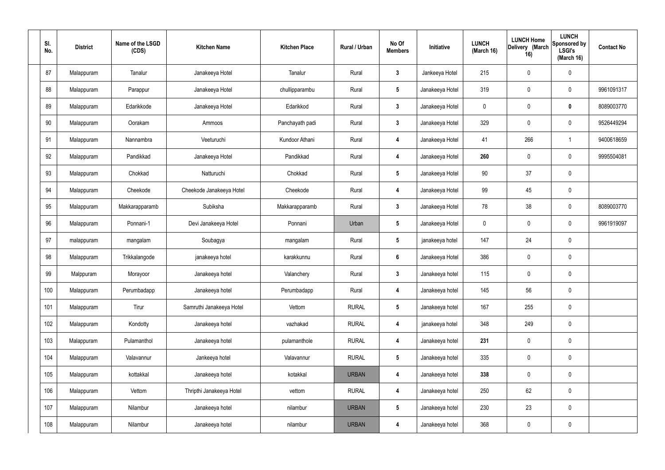| SI.<br>No. | <b>District</b> | Name of the LSGD<br>(CDS) | <b>Kitchen Name</b>      | <b>Kitchen Place</b> | Rural / Urban | No Of<br><b>Members</b> | Initiative      | <b>LUNCH</b><br>(March 16) | <b>LUNCH Home</b><br>Delivery (March<br>16) | <b>LUNCH</b><br>Sponsored by<br><b>LSGI's</b><br>(March 16) | <b>Contact No</b> |
|------------|-----------------|---------------------------|--------------------------|----------------------|---------------|-------------------------|-----------------|----------------------------|---------------------------------------------|-------------------------------------------------------------|-------------------|
| 87         | Malappuram      | Tanalur                   | Janakeeya Hotel          | Tanalur              | Rural         | $\mathbf{3}$            | Jankeeya Hotel  | 215                        | $\pmb{0}$                                   | $\mathbf 0$                                                 |                   |
| 88         | Malappuram      | Parappur                  | Janakeeya Hotel          | chullipparambu       | Rural         | $5\phantom{.0}$         | Janakeeya Hotel | 319                        | $\pmb{0}$                                   | $\mathbf 0$                                                 | 9961091317        |
| 89         | Malappuram      | Edarikkode                | Janakeeya Hotel          | Edarikkod            | Rural         | $3\phantom{a}$          | Janakeeya Hotel | 0                          | 0                                           | $\mathbf 0$                                                 | 8089003770        |
| 90         | Malappuram      | Oorakam                   | Ammoos                   | Panchayath padi      | Rural         | $3\phantom{a}$          | Janakeeya Hotel | 329                        | $\pmb{0}$                                   | $\mathbf 0$                                                 | 9526449294        |
| 91         | Malappuram      | Nannambra                 | Veeturuchi               | Kundoor Athani       | Rural         | $\overline{\mathbf{4}}$ | Janakeeya Hotel | 41                         | 266                                         | $\mathbf{1}$                                                | 9400618659        |
| 92         | Malappuram      | Pandikkad                 | Janakeeya Hotel          | Pandikkad            | Rural         | 4                       | Janakeeya Hotel | 260                        | 0                                           | $\mathbf 0$                                                 | 9995504081        |
| 93         | Malappuram      | Chokkad                   | Natturuchi               | Chokkad              | Rural         | $5\phantom{.0}$         | Janakeeya Hotel | 90                         | 37                                          | $\mathbf 0$                                                 |                   |
| 94         | Malappuram      | Cheekode                  | Cheekode Janakeeya Hotel | Cheekode             | Rural         | 4                       | Janakeeya Hotel | 99                         | 45                                          | $\mathbf 0$                                                 |                   |
| 95         | Malappuram      | Makkarapparamb            | Subiksha                 | Makkarapparamb       | Rural         | $3\phantom{a}$          | Janakeeya Hotel | 78                         | 38                                          | $\mathbf 0$                                                 | 8089003770        |
| 96         | Malappuram      | Ponnani-1                 | Devi Janakeeya Hotel     | Ponnani              | Urban         | $5\phantom{.0}$         | Janakeeya Hotel | $\mathbf 0$                | $\mathbf 0$                                 | $\mathbf 0$                                                 | 9961919097        |
| 97         | malappuram      | mangalam                  | Soubagya                 | mangalam             | Rural         | $5\phantom{.0}$         | janakeeya hotel | 147                        | 24                                          | $\mathbf 0$                                                 |                   |
| 98         | Malappuram      | Trikkalangode             | janakeeya hotel          | karakkunnu           | Rural         | $6\phantom{a}$          | Janakeeya Hotel | 386                        | 0                                           | $\mathbf 0$                                                 |                   |
| 99         | Malppuram       | Morayoor                  | Janakeeya hotel          | Valanchery           | Rural         | $\mathbf{3}$            | Janakeeya hotel | 115                        | $\mathbf 0$                                 | $\mathbf 0$                                                 |                   |
| 100        | Malappuram      | Perumbadapp               | Janakeeya hotel          | Perumbadapp          | Rural         | 4                       | Janakeeya hotel | 145                        | 56                                          | $\mathbf 0$                                                 |                   |
| 101        | Malappuram      | Tirur                     | Samruthi Janakeeya Hotel | Vettom               | <b>RURAL</b>  | $5\phantom{.0}$         | Janakeeya hotel | 167                        | 255                                         | $\mathbf 0$                                                 |                   |
| 102        | Malappuram      | Kondotty                  | Janakeeya hotel          | vazhakad             | <b>RURAL</b>  | $\overline{\mathbf{4}}$ | janakeeya hotel | 348                        | 249                                         | $\mathbf 0$                                                 |                   |
| 103        | Malappuram      | Pulamanthol               | Janakeeya hotel          | pulamanthole         | <b>RURAL</b>  | $\overline{\mathbf{4}}$ | Janakeeya hotel | 231                        | $\pmb{0}$                                   | $\mathbf 0$                                                 |                   |
| 104        | Malappuram      | Valavannur                | Jankeeya hotel           | Valavannur           | <b>RURAL</b>  | $5\phantom{.0}$         | Janakeeya hotel | 335                        | $\pmb{0}$                                   | $\mathbf 0$                                                 |                   |
| 105        | Malappuram      | kottakkal                 | Janakeeya hotel          | kotakkal             | <b>URBAN</b>  | 4                       | Janakeeya hotel | 338                        | $\pmb{0}$                                   | $\mathbf 0$                                                 |                   |
| 106        | Malappuram      | Vettom                    | Thripthi Janakeeya Hotel | vettom               | <b>RURAL</b>  | $\overline{\mathbf{4}}$ | Janakeeya hotel | 250                        | 62                                          | $\mathbf 0$                                                 |                   |
| 107        | Malappuram      | Nilambur                  | Janakeeya hotel          | nilambur             | <b>URBAN</b>  | $5\phantom{.0}$         | Janakeeya hotel | 230                        | 23                                          | $\mathbf 0$                                                 |                   |
| 108        | Malappuram      | Nilambur                  | Janakeeya hotel          | nilambur             | <b>URBAN</b>  | 4                       | Janakeeya hotel | 368                        | $\pmb{0}$                                   | $\pmb{0}$                                                   |                   |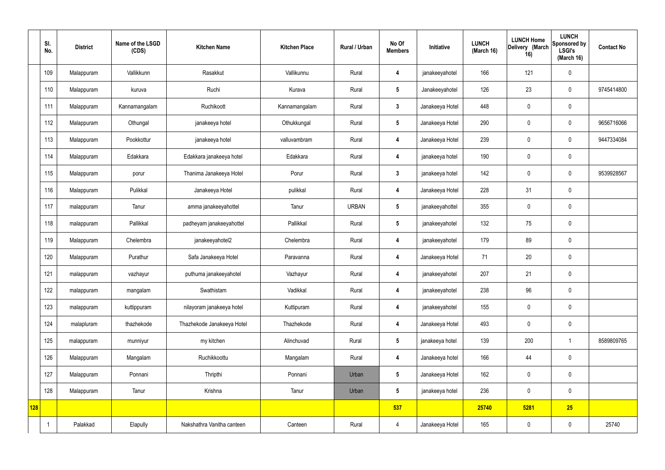|     | SI.<br>No. | <b>District</b> | Name of the LSGD<br>(CDS) | <b>Kitchen Name</b>        | <b>Kitchen Place</b> | Rural / Urban | No Of<br><b>Members</b> | Initiative      | <b>LUNCH</b><br>(March 16) | <b>LUNCH Home</b><br>Delivery (March<br>16) | <b>LUNCH</b><br>Sponsored by<br><b>LSGI's</b><br>(March 16) | <b>Contact No</b> |
|-----|------------|-----------------|---------------------------|----------------------------|----------------------|---------------|-------------------------|-----------------|----------------------------|---------------------------------------------|-------------------------------------------------------------|-------------------|
|     | 109        | Malappuram      | Vallikkunn                | Rasakkut                   | Vallikunnu           | Rural         | 4                       | janakeeyahotel  | 166                        | 121                                         | $\mathbf 0$                                                 |                   |
|     | 110        | Malappuram      | kuruva                    | Ruchi                      | Kurava               | Rural         | $5\phantom{.0}$         | Janakeeyahotel  | 126                        | 23                                          | $\mathbf 0$                                                 | 9745414800        |
|     | 111        | Malappuram      | Kannamangalam             | Ruchikoott                 | Kannamangalam        | Rural         | $3\phantom{a}$          | Janakeeya Hotel | 448                        | $\pmb{0}$                                   | $\mathbf 0$                                                 |                   |
|     | 112        | Malappuram      | Othungal                  | janakeeya hotel            | Othukkungal          | Rural         | $5\phantom{.0}$         | Janakeeya Hotel | 290                        | $\pmb{0}$                                   | $\mathbf 0$                                                 | 9656716066        |
|     | 113        | Malappuram      | Pookkottur                | janakeeya hotel            | valluvambram         | Rural         | 4                       | Janakeeya Hotel | 239                        | $\pmb{0}$                                   | $\mathbf 0$                                                 | 9447334084        |
|     | 114        | Malappuram      | Edakkara                  | Edakkara janakeeya hotel   | Edakkara             | Rural         | $\overline{4}$          | janakeeya hotel | 190                        | $\mathbf 0$                                 | $\mathbf 0$                                                 |                   |
|     | 115        | Malappuram      | porur                     | Thanima Janakeeya Hotel    | Porur                | Rural         | $3\overline{3}$         | janakeeya hotel | 142                        | $\pmb{0}$                                   | $\mathbf 0$                                                 | 9539928567        |
|     | 116        | Malappuram      | Pulikkal                  | Janakeeya Hotel            | pulikkal             | Rural         | 4                       | Janakeeya Hotel | 228                        | 31                                          | $\mathbf 0$                                                 |                   |
|     | 117        | malappuram      | Tanur                     | amma janakeeyahottel       | Tanur                | <b>URBAN</b>  | $5\phantom{.0}$         | janakeeyahottel | 355                        | $\pmb{0}$                                   | $\mathbf 0$                                                 |                   |
|     | 118        | malappuram      | Pallikkal                 | padheyam janakeeyahottel   | Pallikkal            | Rural         | $5\phantom{.0}$         | janakeeyahotel  | 132                        | 75                                          | $\mathbf 0$                                                 |                   |
|     | 119        | Malappuram      | Chelembra                 | janakeeyahotel2            | Chelembra            | Rural         | $\overline{4}$          | janakeeyahotel  | 179                        | 89                                          | $\mathbf 0$                                                 |                   |
|     | 120        | Malappuram      | Purathur                  | Safa Janakeeya Hotel       | Paravanna            | Rural         | 4                       | Janakeeya Hotel | 71                         | 20                                          | $\mathbf 0$                                                 |                   |
|     | 121        | malappuram      | vazhayur                  | puthuma janakeeyahotel     | Vazhayur             | Rural         | 4                       | janakeeyahotel  | 207                        | 21                                          | $\mathbf 0$                                                 |                   |
|     | 122        | malappuram      | mangalam                  | Swathistam                 | Vadikkal             | Rural         | 4                       | janakeeyahotel  | 238                        | 96                                          | $\mathbf 0$                                                 |                   |
|     | 123        | malappuram      | kuttippuram               | nilayoram janakeeya hotel  | Kuttipuram           | Rural         | $\overline{4}$          | janakeeyahotel  | 155                        | $\pmb{0}$                                   | $\mathbf 0$                                                 |                   |
|     | 124        | malapluram      | thazhekode                | Thazhekode Janakeeya Hotel | Thazhekode           | Rural         | $\overline{\mathbf{4}}$ | Janakeeya Hotel | 493                        | $\mathbf 0$                                 | $\mathbf 0$                                                 |                   |
|     | 125        | malappuram      | munniyur                  | my kitchen                 | Alinchuvad           | Rural         | $5\phantom{.0}$         | janakeeya hotel | 139                        | 200                                         | $\overline{1}$                                              | 8589809765        |
|     | 126        | Malappuram      | Mangalam                  | Ruchikkoottu               | Mangalam             | Rural         | $\overline{\mathbf{4}}$ | Janakeeya hotel | 166                        | 44                                          | $\mathbf 0$                                                 |                   |
|     | 127        | Malappuram      | Ponnani                   | Thripthi                   | Ponnani              | Urban         | $5\phantom{.0}$         | Janakeeya Hotel | 162                        | $\pmb{0}$                                   | $\mathbf 0$                                                 |                   |
|     | 128        | Malappuram      | Tanur                     | Krishna                    | Tanur                | Urban         | $5\phantom{.0}$         | janakeeya hotel | 236                        | 0                                           | $\mathbf 0$                                                 |                   |
| 128 |            |                 |                           |                            |                      |               | 537                     |                 | 25740                      | 5281                                        | 25                                                          |                   |
|     |            | Palakkad        | Elapully                  | Nakshathra Vanitha canteen | Canteen              | Rural         | $\overline{4}$          | Janakeeya Hotel | 165                        | $\pmb{0}$                                   | $\boldsymbol{0}$                                            | 25740             |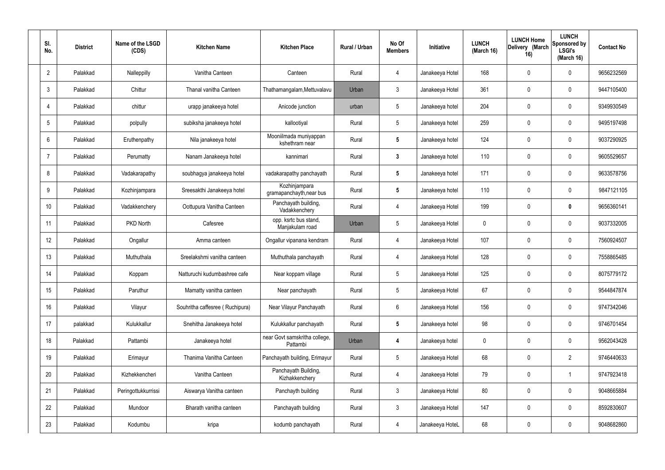| SI.<br>No.     | <b>District</b> | Name of the LSGD<br>(CDS) | <b>Kitchen Name</b>             | <b>Kitchen Place</b>                      | Rural / Urban | No Of<br><b>Members</b> | Initiative      | <b>LUNCH</b><br>(March 16) | <b>LUNCH Home</b><br>Delivery (March<br>16) | <b>LUNCH</b><br>Sponsored by<br><b>LSGI's</b><br>(March 16) | <b>Contact No</b> |
|----------------|-----------------|---------------------------|---------------------------------|-------------------------------------------|---------------|-------------------------|-----------------|----------------------------|---------------------------------------------|-------------------------------------------------------------|-------------------|
| $\overline{2}$ | Palakkad        | Nalleppilly               | Vanitha Canteen                 | Canteen                                   | Rural         | 4                       | Janakeeya Hotel | 168                        | 0                                           | $\mathbf 0$                                                 | 9656232569        |
| 3              | Palakkad        | Chittur                   | Thanal vanitha Canteen          | Thathamangalam, Mettuvalavu               | Urban         | 3                       | Janakeeya Hotel | 361                        | 0                                           | $\mathbf 0$                                                 | 9447105400        |
| 4              | Palakkad        | chittur                   | urapp janakeeya hotel           | Anicode junction                          | urban         | $5\phantom{.0}$         | Janakeeya hotel | 204                        | 0                                           | $\mathbf 0$                                                 | 9349930549        |
| 5              | Palakkad        | polpully                  | subiksha janakeeya hotel        | kallootiyal                               | Rural         | $5\phantom{.0}$         | Janakeeya hotel | 259                        | 0                                           | $\mathbf 0$                                                 | 9495197498        |
| 6              | Palakkad        | Eruthenpathy              | Nila janakeeya hotel            | Mooniilmada muniyappan<br>kshethram near  | Rural         | $5\phantom{.0}$         | Janakeeya hotel | 124                        | 0                                           | $\mathbf 0$                                                 | 9037290925        |
| 7              | Palakkad        | Perumatty                 | Nanam Janakeeya hotel           | kannimari                                 | Rural         | $\mathbf{3}$            | Janakeeya hotel | 110                        | 0                                           | $\mathbf 0$                                                 | 9605529657        |
| 8              | Palakkad        | Vadakarapathy             | soubhagya janakeeya hotel       | vadakarapathy panchayath                  | Rural         | $5\phantom{.0}$         | Janakeeya hotel | 171                        | 0                                           | $\mathbf 0$                                                 | 9633578756        |
| 9              | Palakkad        | Kozhinjampara             | Sreesakthi Janakeeya hotel      | Kozhinjampara<br>gramapanchayth, near bus | Rural         | $5\phantom{.0}$         | Janakeeya hotel | 110                        | $\mathbf 0$                                 | $\mathbf 0$                                                 | 9847121105        |
| 10             | Palakkad        | Vadakkenchery             | Oottupura Vanitha Canteen       | Panchayath building,<br>Vadakkenchery     | Rural         | 4                       | Janakeeya Hotel | 199                        | 0                                           | $\boldsymbol{0}$                                            | 9656360141        |
| 11             | Palakkad        | PKD North                 | Cafesree                        | opp. ksrtc bus stand,<br>Manjakulam road  | Urban         | 5                       | Janakeeya Hotel | $\mathbf 0$                | 0                                           | $\boldsymbol{0}$                                            | 9037332005        |
| 12             | Palakkad        | Ongallur                  | Amma canteen                    | Ongallur vipanana kendram                 | Rural         | 4                       | Janakeeya Hotel | 107                        | 0                                           | $\mathbf 0$                                                 | 7560924507        |
| 13             | Palakkad        | Muthuthala                | Sreelakshmi vanitha canteen     | Muthuthala panchayath                     | Rural         | 4                       | Janakeeya Hotel | 128                        | 0                                           | $\boldsymbol{0}$                                            | 7558865485        |
| 14             | Palakkad        | Koppam                    | Natturuchi kudumbashree cafe    | Near koppam village                       | Rural         | 5                       | Janakeeya Hotel | 125                        | 0                                           | 0                                                           | 8075779172        |
| 15             | Palakkad        | Paruthur                  | Mamatty vanitha canteen         | Near panchayath                           | Rural         | $5\phantom{.0}$         | Janakeeya Hotel | 67                         | $\mathbf 0$                                 | $\mathbf 0$                                                 | 9544847874        |
| 16             | Palakkad        | Vilayur                   | Souhritha caffesree (Ruchipura) | Near Vilayur Panchayath                   | Rural         | $6\phantom{.}$          | Janakeeya Hotel | 156                        | $\mathbf 0$                                 | $\mathbf 0$                                                 | 9747342046        |
| 17             | palakkad        | Kulukkallur               | Snehitha Janakeeya hotel        | Kulukkallur panchayath                    | Rural         | $5\phantom{.0}$         | Janakeeya hotel | 98                         | $\mathbf 0$                                 | $\mathbf 0$                                                 | 9746701454        |
| 18             | Palakkad        | Pattambi                  | Janakeeya hotel                 | near Govt samskritha college,<br>Pattambi | Urban         | 4                       | Janakeeya hotel | $\mathbf 0$                | $\mathbf 0$                                 | $\mathbf 0$                                                 | 9562043428        |
| 19             | Palakkad        | Erimayur                  | Thanima Vanitha Canteen         | Panchayath building, Erimayur             | Rural         | $5\phantom{.0}$         | Janakeeya Hotel | 68                         | 0                                           | $\overline{2}$                                              | 9746440633        |
| 20             | Palakkad        | Kizhekkencheri            | Vanitha Canteen                 | Panchayath Building,<br>Kizhakkenchery    | Rural         | 4                       | Janakeeya Hotel | 79                         | 0                                           | $\mathbf 1$                                                 | 9747923418        |
| 21             | Palakkad        | Peringottukkurrissi       | Aiswarya Vanitha canteen        | Panchayth building                        | Rural         | $\mathbf{3}$            | Janakeeya Hotel | 80                         | 0                                           | $\mathbf 0$                                                 | 9048665884        |
| 22             | Palakkad        | Mundoor                   | Bharath vanitha canteen         | Panchayath building                       | Rural         | $\mathfrak{Z}$          | Janakeeya Hotel | 147                        | $\mathbf 0$                                 | $\mathbf 0$                                                 | 8592830607        |
| 23             | Palakkad        | Kodumbu                   | kripa                           | kodumb panchayath                         | Rural         | 4                       | Janakeeya HoteL | 68                         | 0                                           | $\boldsymbol{0}$                                            | 9048682860        |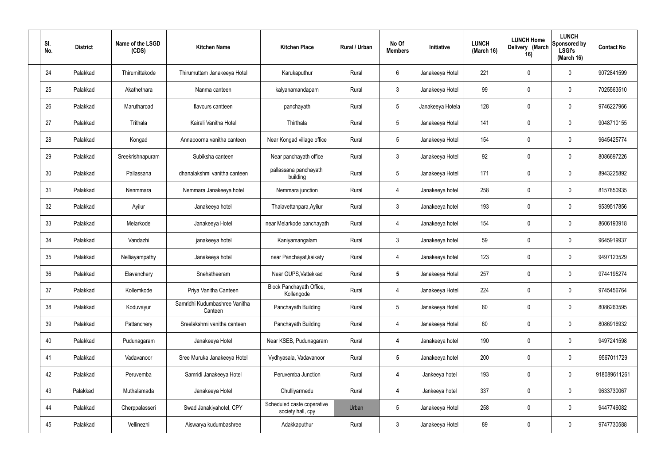| SI.<br>No. | <b>District</b> | Name of the LSGD<br>(CDS) | <b>Kitchen Name</b>                      | <b>Kitchen Place</b>                            | Rural / Urban | No Of<br><b>Members</b> | Initiative       | <b>LUNCH</b><br>(March 16) | <b>LUNCH Home</b><br>Delivery (March<br>16) | <b>LUNCH</b><br>Sponsored by<br><b>LSGI's</b><br>(March 16) | <b>Contact No</b> |
|------------|-----------------|---------------------------|------------------------------------------|-------------------------------------------------|---------------|-------------------------|------------------|----------------------------|---------------------------------------------|-------------------------------------------------------------|-------------------|
| 24         | Palakkad        | Thirumittakode            | Thirumuttam Janakeeya Hotel              | Karukaputhur                                    | Rural         | 6                       | Janakeeya Hotel  | 221                        | 0                                           | $\mathbf 0$                                                 | 9072841599        |
| 25         | Palakkad        | Akathethara               | Nanma canteen                            | kalyanamandapam                                 | Rural         | $\mathbf{3}$            | Janakeeya Hotel  | 99                         | 0                                           | $\pmb{0}$                                                   | 7025563510        |
| 26         | Palakkad        | Marutharoad               | flavours cantteen                        | panchayath                                      | Rural         | $5\phantom{.0}$         | Janakeeya Hotela | 128                        | 0                                           | $\mathbf 0$                                                 | 9746227966        |
| 27         | Palakkad        | Trithala                  | Kairali Vanitha Hotel                    | Thirthala                                       | Rural         | $5\phantom{.0}$         | Janakeeya Hotel  | 141                        | 0                                           | $\mathbf 0$                                                 | 9048710155        |
| 28         | Palakkad        | Kongad                    | Annapoorna vanitha canteen               | Near Kongad village office                      | Rural         | $5\phantom{.0}$         | Janakeeya Hotel  | 154                        | 0                                           | $\mathbf 0$                                                 | 9645425774        |
| 29         | Palakkad        | Sreekrishnapuram          | Subiksha canteen                         | Near panchayath office                          | Rural         | $\mathbf{3}$            | Janakeeya Hotel  | 92                         | 0                                           | $\mathbf 0$                                                 | 8086697226        |
| 30         | Palakkad        | Pallassana                | dhanalakshmi vanitha canteen             | pallassana panchayath<br>building               | Rural         | $5\phantom{.0}$         | Janakeeya Hotel  | 171                        | $\boldsymbol{0}$                            | $\mathbf 0$                                                 | 8943225892        |
| 31         | Palakkad        | Nenmmara                  | Nemmara Janakeeya hotel                  | Nemmara junction                                | Rural         | $\overline{4}$          | Janakeeya hotel  | 258                        | 0                                           | $\mathbf 0$                                                 | 8157850935        |
| 32         | Palakkad        | Ayilur                    | Janakeeya hotel                          | Thalavettanpara, Ayilur                         | Rural         | $\mathbf{3}$            | Janakeeya hotel  | 193                        | $\boldsymbol{0}$                            | $\mathbf 0$                                                 | 9539517856        |
| 33         | Palakkad        | Melarkode                 | Janakeeya Hotel                          | near Melarkode panchayath                       | Rural         | 4                       | Janakeeya hotel  | 154                        | 0                                           | $\mathbf 0$                                                 | 8606193918        |
| 34         | Palakkad        | Vandazhi                  | janakeeya hotel                          | Kaniyamangalam                                  | Rural         | $\mathbf{3}$            | Janakeeya hotel  | 59                         | 0                                           | $\boldsymbol{0}$                                            | 9645919937        |
| 35         | Palakkad        | Nelliayampathy            | Janakeeya hotel                          | near Panchayat, kaikaty                         | Rural         | 4                       | Janakeeya hotel  | 123                        | 0                                           | $\boldsymbol{0}$                                            | 9497123529        |
| 36         | Palakkad        | Elavanchery               | Snehatheeram                             | Near GUPS, Vattekkad                            | Rural         | $5\phantom{.0}$         | Janakeeya Hotel  | 257                        | 0                                           | 0                                                           | 9744195274        |
| 37         | Palakkad        | Kollemkode                | Priya Vanitha Canteen                    | Block Panchayath Office,<br>Kollengode          | Rural         | $\overline{4}$          | Janakeeya Hotel  | 224                        | $\mathbf 0$                                 | $\mathbf 0$                                                 | 9745456764        |
| 38         | Palakkad        | Koduvayur                 | Samridhi Kudumbashree Vanitha<br>Canteen | Panchayath Building                             | Rural         | $5\phantom{.0}$         | Janakeeya Hotel  | 80                         | $\mathsf{0}$                                | $\mathbf 0$                                                 | 8086263595        |
| 39         | Palakkad        | Pattanchery               | Sreelakshmi vanitha canteen              | Panchayath Building                             | Rural         | 4                       | Janakeeya Hotel  | 60                         | 0                                           | $\mathbf 0$                                                 | 8086916932        |
| 40         | Palakkad        | Pudunagaram               | Janakeeya Hotel                          | Near KSEB, Pudunagaram                          | Rural         | 4                       | Janakeeya hotel  | 190                        | $\mathbf 0$                                 | $\mathbf 0$                                                 | 9497241598        |
| 41         | Palakkad        | Vadavanoor                | Sree Muruka Janakeeya Hotel              | Vydhyasala, Vadavanoor                          | Rural         | $5\phantom{.0}$         | Janakeeya hotel  | 200                        | $\mathbf 0$                                 | $\mathbf 0$                                                 | 9567011729        |
| 42         | Palakkad        | Peruvemba                 | Samridi Janakeeya Hotel                  | Peruvemba Junction                              | Rural         | 4                       | Jankeeya hotel   | 193                        | $\mathbf 0$                                 | $\mathbf 0$                                                 | 918089611261      |
| 43         | Palakkad        | Muthalamada               | Janakeeya Hotel                          | Chulliyarmedu                                   | Rural         | 4                       | Jankeeya hotel   | 337                        | $\mathbf 0$                                 | $\mathbf 0$                                                 | 9633730067        |
| 44         | Palakkad        | Cherppalasseri            | Swad Janakiyahotel, CPY                  | Scheduled caste coperative<br>society hall, cpy | Urban         | $5\phantom{.0}$         | Janakeeya Hotel  | 258                        | $\boldsymbol{0}$                            | $\mathbf 0$                                                 | 9447746082        |
| 45         | Palakkad        | Vellinezhi                | Aiswarya kudumbashree                    | Adakkaputhur                                    | Rural         | $\mathfrak{Z}$          | Janakeeya Hotel  | 89                         | $\pmb{0}$                                   | $\boldsymbol{0}$                                            | 9747730588        |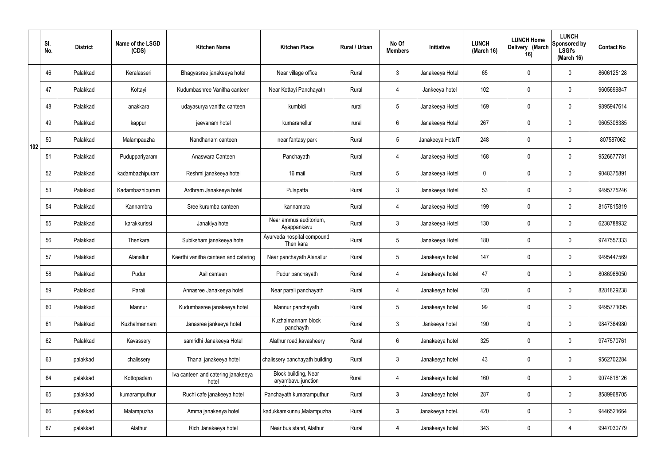|     | SI.<br>No. | <b>District</b> | Name of the LSGD<br>(CDS) | <b>Kitchen Name</b>                         | <b>Kitchen Place</b>                       | Rural / Urban | No Of<br><b>Members</b> | Initiative       | <b>LUNCH</b><br>(March 16) | <b>LUNCH Home</b><br>Delivery (March<br>16) | <b>LUNCH</b><br>Sponsored by<br><b>LSGI's</b><br>(March 16) | <b>Contact No</b> |
|-----|------------|-----------------|---------------------------|---------------------------------------------|--------------------------------------------|---------------|-------------------------|------------------|----------------------------|---------------------------------------------|-------------------------------------------------------------|-------------------|
|     | 46         | Palakkad        | Keralasseri               | Bhagyasree janakeeya hotel                  | Near village office                        | Rural         | $\mathbf{3}$            | Janakeeya Hotel  | 65                         | 0                                           | $\mathbf 0$                                                 | 8606125128        |
|     | 47         | Palakkad        | Kottayi                   | Kudumbashree Vanitha canteen                | Near Kottayi Panchayath                    | Rural         | $\overline{4}$          | Jankeeya hotel   | 102                        | 0                                           | $\mathbf 0$                                                 | 9605699847        |
|     | 48         | Palakkad        | anakkara                  | udayasurya vanitha canteen                  | kumbidi                                    | rural         | $5\phantom{.0}$         | Janakeeya Hotel  | 169                        | 0                                           | $\mathbf 0$                                                 | 9895947614        |
|     | 49         | Palakkad        | kappur                    | jeevanam hotel                              | kumaranellur                               | rural         | $6\phantom{.}6$         | Janakeeya Hotel  | 267                        | 0                                           | $\mathbf 0$                                                 | 9605308385        |
| 102 | 50         | Palakkad        | Malampauzha               | Nandhanam canteen                           | near fantasy park                          | Rural         | $5\phantom{.0}$         | Janakeeya HotelT | 248                        | 0                                           | $\mathbf 0$                                                 | 807587062         |
|     | 51         | Palakkad        | Puduppariyaram            | Anaswara Canteen                            | Panchayath                                 | Rural         | 4                       | Janakeeya Hotel  | 168                        | 0                                           | $\mathbf 0$                                                 | 9526677781        |
|     | 52         | Palakkad        | kadambazhipuram           | Reshmi janakeeya hotel                      | 16 mail                                    | Rural         | $5\phantom{.0}$         | Janakeeya Hotel  | $\mathbf 0$                | 0                                           | $\mathbf 0$                                                 | 9048375891        |
|     | 53         | Palakkad        | Kadambazhipuram           | Ardhram Janakeeya hotel                     | Pulapatta                                  | Rural         | $\mathbf{3}$            | Janakeeya Hotel  | 53                         | 0                                           | $\mathbf 0$                                                 | 9495775246        |
|     | 54         | Palakkad        | Kannambra                 | Sree kurumba canteen                        | kannambra                                  | Rural         | 4                       | Janakeeya Hotel  | 199                        | 0                                           | $\mathbf 0$                                                 | 8157815819        |
|     | 55         | Palakkad        | karakkurissi              | Janakiya hotel                              | Near ammus auditorium,<br>Ayappankavu      | Rural         | $\mathbf{3}$            | Janakeeya Hotel  | 130                        | 0                                           | $\mathbf 0$                                                 | 6238788932        |
|     | 56         | Palakkad        | Thenkara                  | Subiksham janakeeya hotel                   | Ayurveda hospital compound<br>Then kara    | Rural         | $5\phantom{.0}$         | Janakeeya Hotel  | 180                        | $\mathbf 0$                                 | $\mathbf 0$                                                 | 9747557333        |
|     | 57         | Palakkad        | Alanallur                 | Keerthi vanitha canteen and catering        | Near panchayath Alanallur                  | Rural         | $5\phantom{.0}$         | Janakeeya hotel  | 147                        | 0                                           | $\mathbf 0$                                                 | 9495447569        |
|     | 58         | Palakkad        | Pudur                     | Asil canteen                                | Pudur panchayath                           | Rural         | $\overline{4}$          | Janakeeya hotel  | 47                         | 0                                           | 0                                                           | 8086968050        |
|     | 59         | Palakkad        | Parali                    | Annasree Janakeeya hotel                    | Near parali panchayath                     | Rural         | $\overline{4}$          | Janakeeya hotel  | 120                        | 0                                           | $\pmb{0}$                                                   | 8281829238        |
|     | 60         | Palakkad        | Mannur                    | Kudumbasree janakeeya hotel                 | Mannur panchayath                          | Rural         | $5\phantom{.0}$         | Janakeeya hotel  | 99                         | 0                                           | $\mathbf 0$                                                 | 9495771095        |
|     | 61         | Palakkad        | Kuzhalmannam              | Janasree jankeeya hotel                     | Kuzhalmannam block<br>panchayth            | Rural         | $\mathbf{3}$            | Jankeeya hotel   | 190                        | 0                                           | $\mathbf 0$                                                 | 9847364980        |
|     | 62         | Palakkad        | Kavassery                 | samridhi Janakeeya Hotel                    | Alathur road, kavasheery                   | Rural         | $6\phantom{.}6$         | Janakeeya hotel  | 325                        | 0                                           | $\mathbf 0$                                                 | 9747570761        |
|     | 63         | palakkad        | chalissery                | Thanal janakeeya hotel                      | chalissery panchayath building             | Rural         | $\mathfrak{Z}$          | Janakeeya hotel  | 43                         | 0                                           | $\pmb{0}$                                                   | 9562702284        |
|     | 64         | palakkad        | Kottopadam                | Iva canteen and catering janakeeya<br>hotel | Block building, Near<br>aryambavu junction | Rural         | 4                       | Janakeeya hotel  | 160                        | 0                                           | $\mathbf 0$                                                 | 9074818126        |
|     | 65         | palakkad        | kumaramputhur             | Ruchi cafe janakeeya hotel                  | Panchayath kumaramputhur                   | Rural         | $\mathbf{3}$            | Janakeeya hotel  | 287                        | 0                                           | $\mathbf 0$                                                 | 8589968705        |
|     | 66         | palakkad        | Malampuzha                | Amma janakeeya hotel                        | kadukkamkunnu, Malampuzha                  | Rural         | $\mathbf{3}$            | Janakeeya hotel. | 420                        | 0                                           | $\mathbf 0$                                                 | 9446521664        |
|     | 67         | palakkad        | Alathur                   | Rich Janakeeya hotel                        | Near bus stand, Alathur                    | Rural         | 4                       | Janakeeya hotel  | 343                        | 0                                           | 4                                                           | 9947030779        |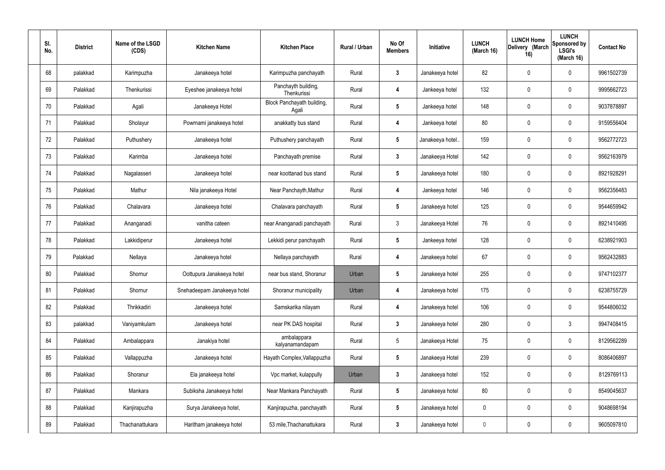| SI.<br>No. | <b>District</b> | Name of the LSGD<br>(CDS) | <b>Kitchen Name</b>         | <b>Kitchen Place</b>                | Rural / Urban | No Of<br><b>Members</b> | Initiative       | <b>LUNCH</b><br>(March 16) | <b>LUNCH Home</b><br>Delivery (March<br>16) | <b>LUNCH</b><br>Sponsored by<br><b>LSGI's</b><br>(March 16) | <b>Contact No</b> |
|------------|-----------------|---------------------------|-----------------------------|-------------------------------------|---------------|-------------------------|------------------|----------------------------|---------------------------------------------|-------------------------------------------------------------|-------------------|
| 68         | palakkad        | Karimpuzha                | Janakeeya hotel             | Karimpuzha panchayath               | Rural         | $\mathbf{3}$            | Janakeeya hotel  | 82                         | $\mathbf 0$                                 | 0                                                           | 9961502739        |
| 69         | Palakkad        | Thenkurissi               | Eyeshee janakeeya hotel     | Panchayth building,<br>Thenkurissi  | Rural         | $\overline{4}$          | Jankeeya hotel   | 132                        | $\mathbf 0$                                 | 0                                                           | 9995662723        |
| 70         | Palakkad        | Agali                     | Janakeeya Hotel             | Block Panchayath building,<br>Agali | Rural         | 5                       | Jankeeya hotel   | 148                        | $\mathbf 0$                                 | 0                                                           | 9037878897        |
| 71         | Palakkad        | Sholayur                  | Powrnami janakeeya hotel    | anakkatty bus stand                 | Rural         | 4                       | Jankeeya hotel   | 80                         | $\mathbf 0$                                 | 0                                                           | 9159556404        |
| 72         | Palakkad        | Puthushery                | Janakeeya hotel             | Puthushery panchayath               | Rural         | $\sqrt{5}$              | Janakeeya hotel. | 159                        | 0                                           | 0                                                           | 9562772723        |
| 73         | Palakkad        | Karimba                   | Janakeeya hotel             | Panchayath premise                  | Rural         | $\mathbf{3}$            | Janakeeya Hotel  | 142                        | $\mathbf 0$                                 | 0                                                           | 9562163979        |
| 74         | Palakkad        | Nagalasseri               | Janakeeya hotel             | near koottanad bus stand            | Rural         | $\sqrt{5}$              | Janakeeya hotel  | 180                        | $\mathbf 0$                                 | 0                                                           | 8921928291        |
| 75         | Palakkad        | Mathur                    | Nila janakeeya Hotel        | Near Panchayth, Mathur              | Rural         | $\overline{4}$          | Jankeeya hotel   | 146                        | $\mathbf 0$                                 | 0                                                           | 9562356483        |
| 76         | Palakkad        | Chalavara                 | Janakeeya hotel             | Chalavara panchayath                | Rural         | $\sqrt{5}$              | Janakeeya hotel  | 125                        | $\mathbf 0$                                 | 0                                                           | 9544659942        |
| 77         | Palakkad        | Ananganadi                | vanitha cateen              | near Ananganadi panchayath          | Rural         | $\mathbf{3}$            | Janakeeya Hotel  | 76                         | 0                                           | 0                                                           | 8921410495        |
| 78         | Palakkad        | Lakkidiperur              | Janakeeya hotel             | Lekkidi perur panchayath            | Rural         | $\sqrt{5}$              | Jankeeya hotel   | 128                        | 0                                           | 0                                                           | 6238921903        |
| 79         | Palakkad        | Nellaya                   | Janakeeya hotel             | Nellaya panchayath                  | Rural         | 4                       | Janakeeya hotel  | 67                         | 0                                           | 0                                                           | 9562432883        |
| 80         | Palakkad        | Shornur                   | Oottupura Janakeeya hotel   | near bus stand, Shoranur            | Urban         | 5                       | Janakeeya hotel  | 255                        | 0                                           | 0                                                           | 9747102377        |
| 81         | Palakkad        | Shornur                   | Snehadeepam Janakeeya hotel | Shoranur municipality               | Urban         | 4                       | Janakeeya hotel  | 175                        | $\mathbf 0$                                 | 0                                                           | 6238755729        |
| 82         | Palakkad        | Thrikkadiri               | Janakeeya hotel             | Samskarika nilayam                  | Rural         | $\overline{4}$          | Janakeeya hotel  | 106                        | $\mathbf 0$                                 | 0                                                           | 9544806032        |
| 83         | palakkad        | Vaniyamkulam              | Janakeeya hotel             | near PK DAS hospital                | Rural         | $\mathbf{3}$            | Janakeeya hotel  | 280                        | $\mathbf 0$                                 | $\mathfrak{Z}$                                              | 9947408415        |
| 84         | Palakkad        | Ambalappara               | Janakiya hotel              | ambalappara<br>kalyanamandapam      | Rural         | $5\phantom{.0}$         | Janakeeya Hotel  | 75                         | $\mathbf 0$                                 | 0                                                           | 8129562289        |
| 85         | Palakkad        | Vallappuzha               | Janakeeya hotel             | Hayath Complex, Vallappuzha         | Rural         | $\sqrt{5}$              | Janakeeya Hotel  | 239                        | $\mathbf 0$                                 | 0                                                           | 8086406897        |
| 86         | Palakkad        | Shoranur                  | Ela janakeeya hotel         | Vpc market, kulappully              | Urban         | $\mathbf{3}$            | Janakeeya hotel  | 152                        | $\mathbf 0$                                 | 0                                                           | 8129769113        |
| 87         | Palakkad        | Mankara                   | Subiksha Janakeeya hotel    | Near Mankara Panchayath             | Rural         | $\sqrt{5}$              | Janakeeya hotel  | 80                         | $\mathbf 0$                                 | 0                                                           | 8549045637        |
| 88         | Palakkad        | Kanjirapuzha              | Surya Janakeeya hotel,      | Kanjirapuzha, panchayath            | Rural         | $5\phantom{.0}$         | Janakeeya hotel  | $\mathbf 0$                | $\mathbf 0$                                 | 0                                                           | 9048698194        |
| 89         | Palakkad        | Thachanattukara           | Haritham janakeeya hotel    | 53 mile, Thachanattukara            | Rural         | $\boldsymbol{3}$        | Janakeeya hotel  | $\overline{0}$             | 0                                           | 0                                                           | 9605097810        |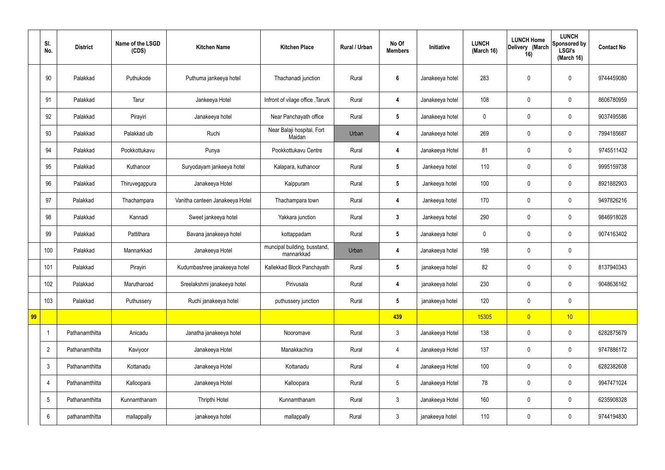|    | SI.<br>No.              | <b>District</b> | Name of the LSGD<br>(CDS) | <b>Kitchen Name</b>             | <b>Kitchen Place</b>                       | <b>Rural / Urban</b> | No Of<br><b>Members</b> | Initiative      | <b>LUNCH</b><br>(March 16) | <b>LUNCH Home</b><br>Delivery (March<br>16) | <b>LUNCH</b><br>Sponsored by<br><b>LSGI's</b><br>(March 16) | <b>Contact No</b> |
|----|-------------------------|-----------------|---------------------------|---------------------------------|--------------------------------------------|----------------------|-------------------------|-----------------|----------------------------|---------------------------------------------|-------------------------------------------------------------|-------------------|
|    | 90                      | Palakkad        | Puthukode                 | Puthuma jankeeya hotel          | Thachanadi junction                        | Rural                | $\boldsymbol{6}$        | Janakeeya hotel | 283                        | $\pmb{0}$                                   | $\mathbf 0$                                                 | 9744459080        |
|    | 91                      | Palakkad        | Tarur                     | Jankeeya Hotel                  | Infront of vilage office, Tarurk           | Rural                | 4                       | Janakeeya hotel | 108                        | $\mathbf 0$                                 | $\mathbf 0$                                                 | 8606780959        |
|    | 92                      | Palakkad        | Pirayiri                  | Janakeeya hotel                 | Near Panchayath office                     | Rural                | $5\phantom{.0}$         | Janakeeya hotel | $\mathbf 0$                | $\mathbf 0$                                 | $\mathbf 0$                                                 | 9037495586        |
|    | 93                      | Palakkad        | Palakkad ulb              | Ruchi                           | Near Balaji hospital, Fort<br>Maidan       | Urban                | 4                       | Janakeeya hotel | 269                        | $\pmb{0}$                                   | $\mathbf 0$                                                 | 7994185687        |
|    | 94                      | Palakkad        | Pookkottukavu             | Punya                           | Pookkottukavu Centre                       | Rural                | $\overline{\mathbf{4}}$ | Janakeeya Hotel | 81                         | $\mathbf 0$                                 | $\mathbf 0$                                                 | 9745511432        |
|    | 95                      | Palakkad        | Kuthanoor                 | Suryodayam jankeeya hotel       | Kalapara, kuthanoor                        | Rural                | $5\phantom{.0}$         | Jankeeya hotel  | 110                        | $\mathbf 0$                                 | $\mathbf 0$                                                 | 9995159738        |
|    | 96                      | Palakkad        | Thiruvegappura            | Janakeeya Hotel                 | Kaippuram                                  | Rural                | $5\phantom{.0}$         | Jankeeya hotel  | 100                        | $\mathbf 0$                                 | $\mathbf 0$                                                 | 8921882903        |
|    | 97                      | Palakkad        | Thachampara               | Vanitha canteen Janakeeya Hotel | Thachampara town                           | Rural                | $\overline{\mathbf{4}}$ | Jankeeya hotel  | 170                        | $\pmb{0}$                                   | $\mathbf 0$                                                 | 9497826216        |
|    | 98                      | Palakkad        | Kannadi                   | Sweet jankeeya hotel            | Yakkara junction                           | Rural                | $\mathbf{3}$            | Jankeeya hotel  | 290                        | $\mathbf 0$                                 | $\mathbf 0$                                                 | 9846918028        |
|    | 99                      | Palakkad        | Pattithara                | Bavana janakeeya hotel          | kottappadam                                | Rural                | $5\phantom{.0}$         | Janakeeya hotel | $\pmb{0}$                  | $\pmb{0}$                                   | $\mathbf 0$                                                 | 9074163402        |
|    | 100                     | Palakkad        | Mannarkkad                | Janakeeya Hotel                 | muncipal building, busstand,<br>mannarkkad | Urban                | 4                       | Janakeeya hotel | 198                        | $\mathbf 0$                                 | $\mathbf 0$                                                 |                   |
|    | 101                     | Palakkad        | Pirayiri                  | Kudumbashree janakeeya hotel    | Kallekkad Block Panchayath                 | Rural                | $5\phantom{.0}$         | janakeeya hotel | 82                         | $\mathbf 0$                                 | $\mathbf 0$                                                 | 8137940343        |
|    | 102                     | Palakkad        | Marutharoad               | Sreelakshmi janakeeya hotel     | Pirivusala                                 | Rural                | 4                       | janakeeya hotel | 230                        | $\pmb{0}$                                   | $\mathbf 0$                                                 | 9048636162        |
|    | 103                     | Palakkad        | Puthussery                | Ruchi janakeeya hotel           | puthussery junction                        | Rural                | $5\phantom{.0}$         | janakeeya hotel | 120                        | $\pmb{0}$                                   | $\mathbf 0$                                                 |                   |
| 99 |                         |                 |                           |                                 |                                            |                      | 439                     |                 | 15305                      | $\overline{0}$                              | 10                                                          |                   |
|    | $\overline{\mathbf{1}}$ | Pathanamthitta  | Anicadu                   | Janatha janakeeya hotel         | Nooromave                                  | Rural                | $\mathbf{3}$            | Janakeeya Hotel | 138                        | $\pmb{0}$                                   | $\mathbf 0$                                                 | 6282875679        |
|    | $\overline{2}$          | Pathanamthitta  | Kaviyoor                  | Janakeeya Hotel                 | Manakkachira                               | Rural                | $\overline{4}$          | Janakeeya Hotel | 137                        | $\pmb{0}$                                   | $\mathbf 0$                                                 | 9747886172        |
|    | $\mathfrak{Z}$          | Pathanamthitta  | Kottanadu                 | Janakeeya Hotel                 | Kottanadu                                  | Rural                | $\overline{4}$          | Janakeeya Hotel | 100                        | $\pmb{0}$                                   | $\pmb{0}$                                                   | 6282382608        |
|    | $\overline{4}$          | Pathanamthitta  | Kalloopara                | Janakeeya Hotel                 | Kalloopara                                 | Rural                | $5\phantom{.0}$         | Janakeeya Hotel | 78                         | $\pmb{0}$                                   | $\mathbf 0$                                                 | 9947471024        |
|    | $\sqrt{5}$              | Pathanamthitta  | Kunnamthanam              | Thripthi Hotel                  | Kunnamthanam                               | Rural                | $\mathbf{3}$            | Janakeeya Hotel | 160                        | $\pmb{0}$                                   | $\mathbf 0$                                                 | 6235908328        |
|    | $6\phantom{.}6$         | pathanamthitta  | mallappally               | janakeeya hotel                 | mallappally                                | Rural                | $\mathbf{3}$            | janakeeya hotel | 110                        | $\pmb{0}$                                   | $\boldsymbol{0}$                                            | 9744194830        |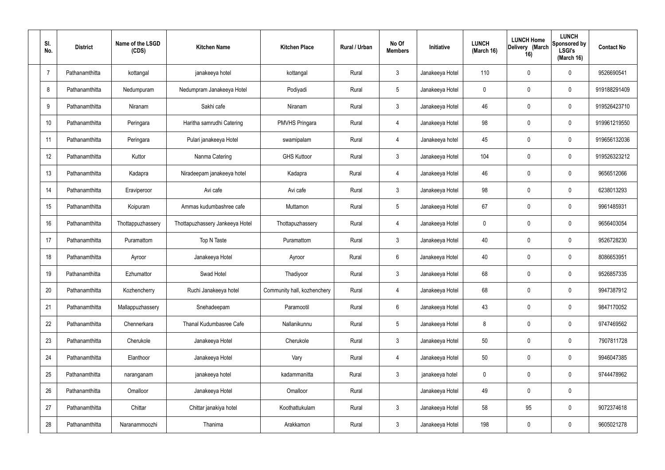| SI.<br>No.     | <b>District</b> | Name of the LSGD<br>(CDS) | <b>Kitchen Name</b>             | <b>Kitchen Place</b>        | Rural / Urban | No Of<br><b>Members</b> | Initiative      | <b>LUNCH</b><br>(March 16) | <b>LUNCH Home</b><br>Delivery (March<br>16) | <b>LUNCH</b><br>Sponsored by<br><b>LSGI's</b><br>(March 16) | <b>Contact No</b> |
|----------------|-----------------|---------------------------|---------------------------------|-----------------------------|---------------|-------------------------|-----------------|----------------------------|---------------------------------------------|-------------------------------------------------------------|-------------------|
| $\overline{7}$ | Pathanamthitta  | kottangal                 | janakeeya hotel                 | kottangal                   | Rural         | $\mathbf{3}$            | Janakeeya Hotel | 110                        | 0                                           | $\mathbf 0$                                                 | 9526690541        |
| 8              | Pathanamthitta  | Nedumpuram                | Nedumpram Janakeeya Hotel       | Podiyadi                    | Rural         | $5\phantom{.0}$         | Janakeeya Hotel | $\mathbf 0$                | 0                                           | $\mathbf 0$                                                 | 919188291409      |
| 9              | Pathanamthitta  | Niranam                   | Sakhi cafe                      | Niranam                     | Rural         | $\mathbf{3}$            | Janakeeya Hotel | 46                         | 0                                           | $\mathbf 0$                                                 | 919526423710      |
| 10             | Pathanamthitta  | Peringara                 | Haritha samrudhi Catering       | <b>PMVHS Pringara</b>       | Rural         | 4                       | Janakeeya Hotel | 98                         | 0                                           | $\mathbf 0$                                                 | 919961219550      |
| 11             | Pathanamthitta  | Peringara                 | Pulari janakeeya Hotel          | swamipalam                  | Rural         | 4                       | Janakeeya hotel | 45                         | 0                                           | $\mathbf 0$                                                 | 919656132036      |
| 12             | Pathanamthitta  | Kuttor                    | Nanma Catering                  | <b>GHS Kuttoor</b>          | Rural         | $\mathbf{3}$            | Janakeeya Hotel | 104                        | 0                                           | $\mathbf 0$                                                 | 919526323212      |
| 13             | Pathanamthitta  | Kadapra                   | Niradeepam janakeeya hotel      | Kadapra                     | Rural         | $\overline{4}$          | Janakeeya Hotel | 46                         | $\boldsymbol{0}$                            | $\mathbf 0$                                                 | 9656512066        |
| 14             | Pathanamthitta  | Eraviperoor               | Avi cafe                        | Avi cafe                    | Rural         | $\mathbf{3}$            | Janakeeya Hotel | 98                         | 0                                           | $\mathbf 0$                                                 | 6238013293        |
| 15             | Pathanamthitta  | Koipuram                  | Ammas kudumbashree cafe         | Muttamon                    | Rural         | $5\phantom{.0}$         | Janakeeya Hotel | 67                         | $\boldsymbol{0}$                            | $\mathbf 0$                                                 | 9961485931        |
| 16             | Pathanamthitta  | Thottappuzhassery         | Thottapuzhassery Jankeeya Hotel | Thottapuzhassery            | Rural         | 4                       | Janakeeya Hotel | $\mathbf 0$                | 0                                           | $\mathbf 0$                                                 | 9656403054        |
| 17             | Pathanamthitta  | Puramattom                | Top N Taste                     | Puramattom                  | Rural         | $\mathbf{3}$            | Janakeeya Hotel | 40                         | 0                                           | $\boldsymbol{0}$                                            | 9526728230        |
| 18             | Pathanamthitta  | Ayroor                    | Janakeeya Hotel                 | Ayroor                      | Rural         | $6\phantom{.}$          | Janakeeya Hotel | 40                         | 0                                           | $\boldsymbol{0}$                                            | 8086653951        |
| 19             | Pathanamthitta  | Ezhumattor                | Swad Hotel                      | Thadiyoor                   | Rural         | $\mathfrak{Z}$          | Janakeeya Hotel | 68                         | 0                                           | $\boldsymbol{0}$                                            | 9526857335        |
| 20             | Pathanamthitta  | Kozhencherry              | Ruchi Janakeeya hotel           | Community hall, kozhenchery | Rural         | 4                       | Janakeeya Hotel | 68                         | $\mathbf 0$                                 | $\mathbf 0$                                                 | 9947387912        |
| 21             | Pathanamthitta  | Mallappuzhassery          | Snehadeepam                     | Paramootil                  | Rural         | $6\phantom{.}6$         | Janakeeya Hotel | 43                         | $\mathbf 0$                                 | $\mathbf 0$                                                 | 9847170052        |
| 22             | Pathanamthitta  | Chennerkara               | Thanal Kudumbasree Cafe         | Nallanikunnu                | Rural         | $5\phantom{.0}$         | Janakeeya Hotel | 8                          | $\mathbf 0$                                 | $\mathbf 0$                                                 | 9747469562        |
| 23             | Pathanamthitta  | Cherukole                 | Janakeeya Hotel                 | Cherukole                   | Rural         | $\mathbf{3}$            | Janakeeya Hotel | 50                         | $\mathbf 0$                                 | $\mathbf 0$                                                 | 7907811728        |
| 24             | Pathanamthitta  | Elanthoor                 | Janakeeya Hotel                 | Vary                        | Rural         | $\overline{4}$          | Janakeeya Hotel | 50                         | 0                                           | $\mathbf 0$                                                 | 9946047385        |
| 25             | Pathanamthitta  | naranganam                | janakeeya hotel                 | kadammanitta                | Rural         | $\mathbf{3}$            | janakeeya hotel | $\mathbf 0$                | $\mathbf 0$                                 | $\mathbf 0$                                                 | 9744478962        |
| 26             | Pathanamthitta  | Omalloor                  | Janakeeya Hotel                 | Omalloor                    | Rural         |                         | Janakeeya Hotel | 49                         | 0                                           | $\pmb{0}$                                                   |                   |
| 27             | Pathanamthitta  | Chittar                   | Chittar janakiya hotel          | Koothattukulam              | Rural         | $\mathfrak{Z}$          | Janakeeya Hotel | 58                         | 95                                          | $\pmb{0}$                                                   | 9072374618        |
| 28             | Pathanamthitta  | Naranammoozhi             | Thanima                         | Arakkamon                   | Rural         | $\mathfrak{Z}$          | Janakeeya Hotel | 198                        | $\pmb{0}$                                   | $\boldsymbol{0}$                                            | 9605021278        |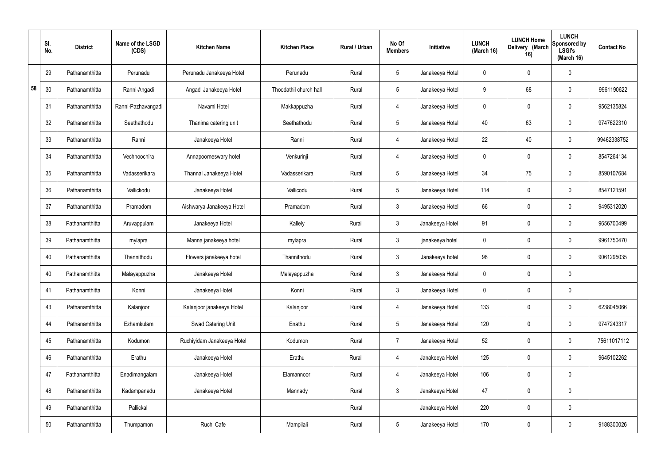|    | SI.<br>No. | <b>District</b> | Name of the LSGD<br>(CDS) | <b>Kitchen Name</b>        | <b>Kitchen Place</b>   | Rural / Urban | No Of<br><b>Members</b> | Initiative      | <b>LUNCH</b><br>(March 16) | <b>LUNCH Home</b><br>Delivery (March<br>16) | <b>LUNCH</b><br>Sponsored by<br><b>LSGI's</b><br>(March 16) | <b>Contact No</b> |
|----|------------|-----------------|---------------------------|----------------------------|------------------------|---------------|-------------------------|-----------------|----------------------------|---------------------------------------------|-------------------------------------------------------------|-------------------|
|    | 29         | Pathanamthitta  | Perunadu                  | Perunadu Janakeeya Hotel   | Perunadu               | Rural         | $5\phantom{.0}$         | Janakeeya Hotel | $\mathbf 0$                | $\mathbf 0$                                 | $\mathbf 0$                                                 |                   |
| 58 | 30         | Pathanamthitta  | Ranni-Angadi              | Angadi Janakeeya Hotel     | Thoodathil church hall | Rural         | $5\phantom{.0}$         | Janakeeya Hotel | 9                          | 68                                          | $\mathbf 0$                                                 | 9961190622        |
|    | 31         | Pathanamthitta  | Ranni-Pazhavangadi        | Navami Hotel               | Makkappuzha            | Rural         | 4                       | Janakeeya Hotel | $\mathbf 0$                | $\mathbf 0$                                 | $\mathbf 0$                                                 | 9562135824        |
|    | 32         | Pathanamthitta  | Seethathodu               | Thanima catering unit      | Seethathodu            | Rural         | $5\phantom{.0}$         | Janakeeya Hotel | 40                         | 63                                          | $\mathbf 0$                                                 | 9747622310        |
|    | 33         | Pathanamthitta  | Ranni                     | Janakeeya Hotel            | Ranni                  | Rural         | 4                       | Janakeeya Hotel | 22                         | 40                                          | $\mathbf 0$                                                 | 99462338752       |
|    | 34         | Pathanamthitta  | Vechhoochira              | Annapoorneswary hotel      | Venkurinji             | Rural         | 4                       | Janakeeya Hotel | $\mathbf 0$                | $\mathbf 0$                                 | $\mathbf 0$                                                 | 8547264134        |
|    | 35         | Pathanamthitta  | Vadasserikara             | Thannal Janakeeya Hotel    | Vadasserikara          | Rural         | $5\phantom{.0}$         | Janakeeya Hotel | 34                         | 75                                          | $\mathbf 0$                                                 | 8590107684        |
|    | 36         | Pathanamthitta  | Vallickodu                | Janakeeya Hotel            | Vallicodu              | Rural         | $5\phantom{.0}$         | Janakeeya Hotel | 114                        | $\mathbf 0$                                 | $\mathbf 0$                                                 | 8547121591        |
|    | 37         | Pathanamthitta  | Pramadom                  | Aishwarya Janakeeya Hotel  | Pramadom               | Rural         | $\mathbf{3}$            | Janakeeya Hotel | 66                         | $\mathbf 0$                                 | $\mathbf 0$                                                 | 9495312020        |
|    | 38         | Pathanamthitta  | Aruvappulam               | Janakeeya Hotel            | Kallely                | Rural         | $\mathbf{3}$            | Janakeeya Hotel | 91                         | $\mathbf 0$                                 | $\mathbf 0$                                                 | 9656700499        |
|    | 39         | Pathanamthitta  | mylapra                   | Manna janakeeya hotel      | mylapra                | Rural         | $\mathbf{3}$            | janakeeya hotel | $\mathbf 0$                | $\mathbf 0$                                 | $\mathbf 0$                                                 | 9961750470        |
|    | 40         | Pathanamthitta  | Thannithodu               | Flowers janakeeya hotel    | Thannithodu            | Rural         | $\mathbf{3}$            | Janakeeya hotel | 98                         | $\mathbf 0$                                 | $\mathbf 0$                                                 | 9061295035        |
|    | 40         | Pathanamthitta  | Malayappuzha              | Janakeeya Hotel            | Malayappuzha           | Rural         | $\mathbf{3}$            | Janakeeya Hotel | $\mathbf 0$                | $\mathbf 0$                                 | $\mathbf 0$                                                 |                   |
|    | 41         | Pathanamthitta  | Konni                     | Janakeeya Hotel            | Konni                  | Rural         | $\mathbf{3}$            | Janakeeya Hotel | $\mathbf 0$                | $\mathbf 0$                                 | $\mathbf 0$                                                 |                   |
|    | 43         | Pathanamthitta  | Kalanjoor                 | Kalanjoor janakeeya Hotel  | Kalanjoor              | Rural         | $\overline{4}$          | Janakeeya Hotel | 133                        | $\pmb{0}$                                   | $\mathbf 0$                                                 | 6238045066        |
|    | 44         | Pathanamthitta  | Ezhamkulam                | Swad Catering Unit         | Enathu                 | Rural         | $5\overline{)}$         | Janakeeya Hotel | 120                        | $\pmb{0}$                                   | $\mathbf 0$                                                 | 9747243317        |
|    | 45         | Pathanamthitta  | Kodumon                   | Ruchiyidam Janakeeya Hotel | Kodumon                | Rural         | $\overline{7}$          | Janakeeya Hotel | 52                         | $\pmb{0}$                                   | $\mathbf 0$                                                 | 75611017112       |
|    | 46         | Pathanamthitta  | Erathu                    | Janakeeya Hotel            | Erathu                 | Rural         | $\overline{4}$          | Janakeeya Hotel | 125                        | $\mathbf 0$                                 | $\mathbf 0$                                                 | 9645102262        |
|    | 47         | Pathanamthitta  | Enadimangalam             | Janakeeya Hotel            | Elamannoor             | Rural         | $\overline{4}$          | Janakeeya Hotel | 106                        | $\pmb{0}$                                   | $\mathbf 0$                                                 |                   |
|    | 48         | Pathanamthitta  | Kadampanadu               | Janakeeya Hotel            | Mannady                | Rural         | $\mathbf{3}$            | Janakeeya Hotel | 47                         | $\pmb{0}$                                   | $\mathbf 0$                                                 |                   |
|    | 49         | Pathanamthitta  | Pallickal                 |                            |                        | Rural         |                         | Janakeeya Hotel | 220                        | $\mathbf 0$                                 | $\mathbf 0$                                                 |                   |
|    | 50         | Pathanamthitta  | Thumpamon                 | Ruchi Cafe                 | Mampilali              | Rural         | $5\,$                   | Janakeeya Hotel | 170                        | $\pmb{0}$                                   | $\boldsymbol{0}$                                            | 9188300026        |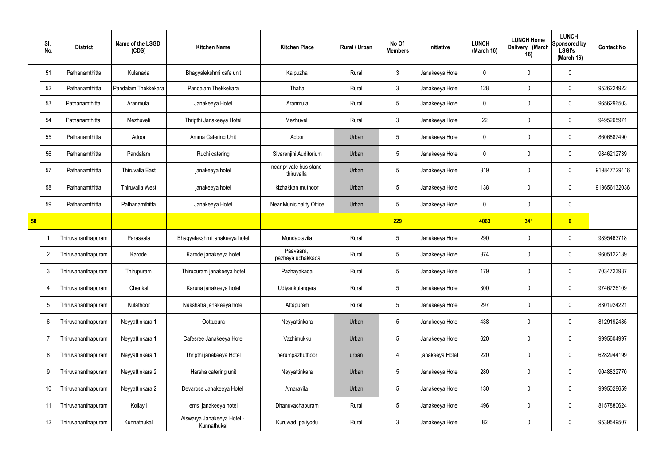|    | SI.<br>No.      | <b>District</b>    | Name of the LSGD<br>(CDS) | <b>Kitchen Name</b>                       | <b>Kitchen Place</b>                 | Rural / Urban | No Of<br><b>Members</b> | Initiative      | <b>LUNCH</b><br>(March 16) | <b>LUNCH Home</b><br>Delivery (March<br>16) | <b>LUNCH</b><br>Sponsored by<br><b>LSGI's</b><br>(March 16) | <b>Contact No</b> |
|----|-----------------|--------------------|---------------------------|-------------------------------------------|--------------------------------------|---------------|-------------------------|-----------------|----------------------------|---------------------------------------------|-------------------------------------------------------------|-------------------|
|    | 51              | Pathanamthitta     | Kulanada                  | Bhagyalekshmi cafe unit                   | Kaipuzha                             | Rural         | $\mathbf{3}$            | Janakeeya Hotel | 0                          | 0                                           | $\mathbf 0$                                                 |                   |
|    | 52              | Pathanamthitta     | Pandalam Thekkekara       | Pandalam Thekkekara                       | Thatta                               | Rural         | $\mathbf{3}$            | Janakeeya Hotel | 128                        | 0                                           | $\boldsymbol{0}$                                            | 9526224922        |
|    | 53              | Pathanamthitta     | Aranmula                  | Janakeeya Hotel                           | Aranmula                             | Rural         | $5\phantom{.0}$         | Janakeeya Hotel | $\mathbf 0$                | 0                                           | $\pmb{0}$                                                   | 9656296503        |
|    | 54              | Pathanamthitta     | Mezhuveli                 | Thripthi Janakeeya Hotel                  | Mezhuveli                            | Rural         | $\mathbf{3}$            | Janakeeya Hotel | 22                         | 0                                           | $\pmb{0}$                                                   | 9495265971        |
|    | 55              | Pathanamthitta     | Adoor                     | Amma Catering Unit                        | Adoor                                | Urban         | 5                       | Janakeeya Hotel | 0                          | 0                                           | $\pmb{0}$                                                   | 8606887490        |
|    | 56              | Pathanamthitta     | Pandalam                  | Ruchi catering                            | Sivarenjini Auditorium               | Urban         | $5\phantom{.0}$         | Janakeeya Hotel | 0                          | 0                                           | $\pmb{0}$                                                   | 9846212739        |
|    | 57              | Pathanamthitta     | Thiruvalla East           | janakeeya hotel                           | near private bus stand<br>thiruvalla | Urban         | 5                       | Janakeeya Hotel | 319                        | 0                                           | $\pmb{0}$                                                   | 919847729416      |
|    | 58              | Pathanamthitta     | <b>Thiruvalla West</b>    | janakeeya hotel                           | kizhakkan muthoor                    | Urban         | $5\phantom{.0}$         | Janakeeya Hotel | 138                        | 0                                           | $\mathbf 0$                                                 | 919656132036      |
|    | 59              | Pathanamthitta     | Pathanamthitta            | Janakeeya Hotel                           | Near Municipality Office             | Urban         | 5                       | Janakeeya Hotel | 0                          | 0                                           | $\mathbf 0$                                                 |                   |
| 58 |                 |                    |                           |                                           |                                      |               | 229                     |                 | 4063                       | 341                                         | $\bullet$                                                   |                   |
|    |                 | Thiruvananthapuram | Parassala                 | Bhagyalekshmi janakeeya hotel             | Mundaplavila                         | Rural         | $5\phantom{.0}$         | Janakeeya Hotel | 290                        | 0                                           | $\boldsymbol{0}$                                            | 9895463718        |
|    | $\overline{2}$  | Thiruvananthapuram | Karode                    | Karode janakeeya hotel                    | Paavaara,<br>pazhaya uchakkada       | Rural         | 5                       | Janakeeya Hotel | 374                        | 0                                           | $\boldsymbol{0}$                                            | 9605122139        |
|    | $\mathbf{3}$    | Thiruvananthapuram | Thirupuram                | Thirupuram janakeeya hotel                | Pazhayakada                          | Rural         | $5\phantom{.0}$         | Janakeeya Hotel | 179                        | 0                                           | $\mathbf 0$                                                 | 7034723987        |
|    | $\overline{4}$  | Thiruvananthapuram | Chenkal                   | Karuna janakeeya hotel                    | Udiyankulangara                      | Rural         | $5\phantom{.0}$         | Janakeeya Hotel | 300                        | 0                                           | $\pmb{0}$                                                   | 9746726109        |
|    | $5\phantom{.0}$ | Thiruvananthapuram | Kulathoor                 | Nakshatra janakeeya hotel                 | Attapuram                            | Rural         | $5\phantom{.0}$         | Janakeeya Hotel | 297                        | 0                                           | $\pmb{0}$                                                   | 8301924221        |
|    | 6               | Thiruvananthapuram | Neyyattinkara 1           | Oottupura                                 | Neyyattinkara                        | Urban         | $5\phantom{.0}$         | Janakeeya Hotel | 438                        | 0                                           | $\pmb{0}$                                                   | 8129192485        |
|    | $\overline{7}$  | Thiruvananthapuram | Neyyattinkara 1           | Cafesree Janakeeya Hotel                  | Vazhimukku                           | Urban         | $5\phantom{.0}$         | Janakeeya Hotel | 620                        | 0                                           | $\pmb{0}$                                                   | 9995604997        |
|    | 8               | Thiruvananthapuram | Neyyattinkara 1           | Thripthi janakeeya Hotel                  | perumpazhuthoor                      | urban         | 4                       | janakeeya Hotel | 220                        | 0                                           | $\mathbf 0$                                                 | 6282944199        |
|    | 9               | Thiruvananthapuram | Neyyattinkara 2           | Harsha catering unit                      | Neyyattinkara                        | Urban         | $5\phantom{.0}$         | Janakeeya Hotel | 280                        | 0                                           | $\pmb{0}$                                                   | 9048822770        |
|    | 10              | Thiruvananthapuram | Neyyattinkara 2           | Devarose Janakeeya Hotel                  | Amaravila                            | Urban         | 5                       | Janakeeya Hotel | 130                        | 0                                           | $\pmb{0}$                                                   | 9995028659        |
|    | 11              | Thiruvananthapuram | Kollayil                  | ems janakeeya hotel                       | Dhanuvachapuram                      | Rural         | $5\phantom{.0}$         | Janakeeya Hotel | 496                        | 0                                           | $\pmb{0}$                                                   | 8157880624        |
|    | 12              | Thiruvananthapuram | Kunnathukal               | Aiswarya Janakeeya Hotel -<br>Kunnathukal | Kuruwad, paliyodu                    | Rural         | $\mathbf{3}$            | Janakeeya Hotel | 82                         | 0                                           | $\pmb{0}$                                                   | 9539549507        |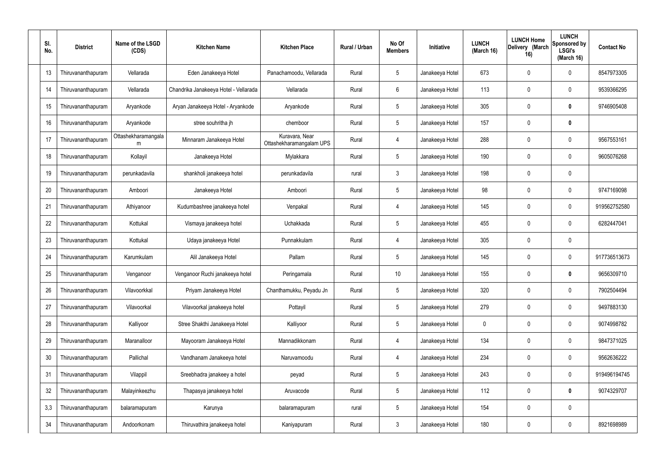| SI.<br>No. | <b>District</b>    | Name of the LSGD<br>(CDS) | <b>Kitchen Name</b>                   | <b>Kitchen Place</b>                       | Rural / Urban | No Of<br><b>Members</b> | Initiative      | <b>LUNCH</b><br>(March 16) | <b>LUNCH Home</b><br>Delivery (March<br>16) | <b>LUNCH</b><br>Sponsored by<br><b>LSGI's</b><br>(March 16) | <b>Contact No</b> |
|------------|--------------------|---------------------------|---------------------------------------|--------------------------------------------|---------------|-------------------------|-----------------|----------------------------|---------------------------------------------|-------------------------------------------------------------|-------------------|
| 13         | Thiruvananthapuram | Vellarada                 | Eden Janakeeya Hotel                  | Panachamoodu, Vellarada                    | Rural         | $5\phantom{.0}$         | Janakeeya Hotel | 673                        | 0                                           | 0                                                           | 8547973305        |
| 14         | Thiruvananthapuram | Vellarada                 | Chandrika Janakeeya Hotel - Vellarada | Vellarada                                  | Rural         | $6\phantom{.}$          | Janakeeya Hotel | 113                        | 0                                           | $\mathbf 0$                                                 | 9539366295        |
| 15         | Thiruvananthapuram | Aryankode                 | Aryan Janakeeya Hotel - Aryankode     | Aryankode                                  | Rural         | $5\phantom{.0}$         | Janakeeya Hotel | 305                        | 0                                           | 0                                                           | 9746905408        |
| 16         | Thiruvananthapuram | Aryankode                 | stree souhritha jh                    | chemboor                                   | Rural         | $5\phantom{.0}$         | Janakeeya Hotel | 157                        | 0                                           | $\pmb{0}$                                                   |                   |
| 17         | Thiruvananthapuram | Ottashekharamangala<br>m  | Minnaram Janakeeya Hotel              | Kuravara, Near<br>Ottashekharamangalam UPS | Rural         | $\overline{4}$          | Janakeeya Hotel | 288                        | 0                                           | $\mathbf 0$                                                 | 9567553161        |
| 18         | Thiruvananthapuram | Kollayil                  | Janakeeya Hotel                       | Mylakkara                                  | Rural         | $5\phantom{.0}$         | Janakeeya Hotel | 190                        | 0                                           | $\mathbf 0$                                                 | 9605076268        |
| 19         | Thiruvananthapuram | perunkadavila             | shankholi janakeeya hotel             | perunkadavila                              | rural         | $\mathbf{3}$            | Janakeeya Hotel | 198                        | 0                                           | $\mathbf 0$                                                 |                   |
| 20         | Thiruvananthapuram | Amboori                   | Janakeeya Hotel                       | Amboori                                    | Rural         | $5\phantom{.0}$         | Janakeeya Hotel | 98                         | 0                                           | $\mathbf 0$                                                 | 9747169098        |
| 21         | Thiruvananthapuram | Athiyanoor                | Kudumbashree janakeeya hotel          | Venpakal                                   | Rural         | $\overline{4}$          | Janakeeya Hotel | 145                        | 0                                           | $\mathbf 0$                                                 | 919562752580      |
| 22         | Thiruvananthapuram | Kottukal                  | Vismaya janakeeya hotel               | Uchakkada                                  | Rural         | $5\phantom{.0}$         | Janakeeya Hotel | 455                        | 0                                           | $\boldsymbol{0}$                                            | 6282447041        |
| 23         | Thiruvananthapuram | Kottukal                  | Udaya janakeeya Hotel                 | Punnakkulam                                | Rural         | $\overline{4}$          | Janakeeya Hotel | 305                        | 0                                           | $\boldsymbol{0}$                                            |                   |
| 24         | Thiruvananthapuram | Karumkulam                | Alil Janakeeya Hotel                  | Pallam                                     | Rural         | $5\phantom{.0}$         | Janakeeya Hotel | 145                        | 0                                           | $\boldsymbol{0}$                                            | 917736513673      |
| 25         | Thiruvananthapuram | Venganoor                 | Venganoor Ruchi janakeeya hotel       | Peringamala                                | Rural         | 10 <sup>°</sup>         | Janakeeya Hotel | 155                        | 0                                           | 0                                                           | 9656309710        |
| 26         | Thiruvananthapuram | Vilavoorkkal              | Priyam Janakeeya Hotel                | Chanthamukku, Peyadu Jn                    | Rural         | $5\phantom{.0}$         | Janakeeya Hotel | 320                        | 0                                           | $\mathbf 0$                                                 | 7902504494        |
| 27         | Thiruvananthapuram | Vilavoorkal               | Vilavoorkal janakeeya hotel           | Pottayil                                   | Rural         | $5\phantom{.0}$         | Janakeeya Hotel | 279                        | $\mathbf 0$                                 | $\mathbf 0$                                                 | 9497883130        |
| 28         | Thiruvananthapuram | Kalliyoor                 | Stree Shakthi Janakeeya Hotel         | Kalliyoor                                  | Rural         | $\sqrt{5}$              | Janakeeya Hotel | $\mathbf 0$                | 0                                           | $\mathbf 0$                                                 | 9074998782        |
| 29         | Thiruvananthapuram | Maranalloor               | Mayooram Janakeeya Hotel              | Mannadikkonam                              | Rural         | $\overline{4}$          | Janakeeya Hotel | 134                        | $\mathbf 0$                                 | $\mathbf 0$                                                 | 9847371025        |
| 30         | Thiruvananthapuram | Pallichal                 | Vandhanam Janakeeya hotel             | Naruvamoodu                                | Rural         | 4                       | Janakeeya Hotel | 234                        | 0                                           | $\mathbf 0$                                                 | 9562636222        |
| 31         | Thiruvananthapuram | Vilappil                  | Sreebhadra janakeey a hotel           | peyad                                      | Rural         | $\sqrt{5}$              | Janakeeya Hotel | 243                        | $\mathbf 0$                                 | $\mathbf 0$                                                 | 919496194745      |
| 32         | Thiruvananthapuram | Malayinkeezhu             | Thapasya janakeeya hotel              | Aruvacode                                  | Rural         | $5\phantom{.0}$         | Janakeeya Hotel | 112                        | 0                                           | $\mathbf 0$                                                 | 9074329707        |
| 3,3        | Thiruvananthapuram | balaramapuram             | Karunya                               | balaramapuram                              | rural         | $5\phantom{.0}$         | Janakeeya Hotel | 154                        | $\boldsymbol{0}$                            | $\pmb{0}$                                                   |                   |
| 34         | Thiruvananthapuram | Andoorkonam               | Thiruvathira janakeeya hotel          | Kaniyapuram                                | Rural         | $\mathfrak{Z}$          | Janakeeya Hotel | 180                        | 0                                           | $\boldsymbol{0}$                                            | 8921698989        |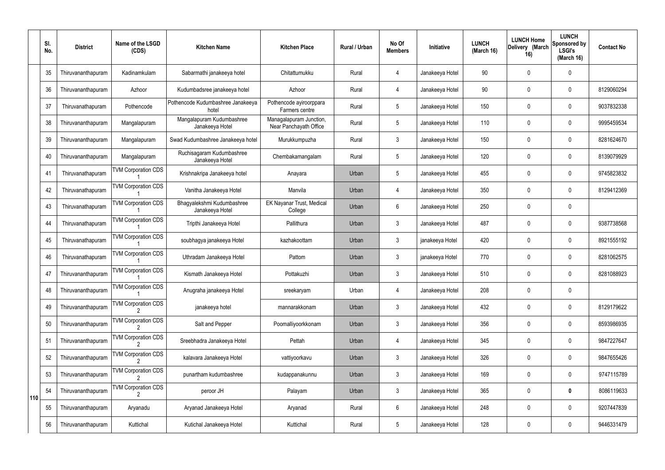|     | SI.<br>No. | <b>District</b>    | Name of the LSGD<br>(CDS)       | <b>Kitchen Name</b>                           | <b>Kitchen Place</b>                              | <b>Rural / Urban</b> | No Of<br><b>Members</b> | Initiative      | <b>LUNCH</b><br>(March 16) | <b>LUNCH Home</b><br>Delivery (March<br>16) | <b>LUNCH</b><br>Sponsored by<br><b>LSGI's</b><br>(March 16) | <b>Contact No</b> |
|-----|------------|--------------------|---------------------------------|-----------------------------------------------|---------------------------------------------------|----------------------|-------------------------|-----------------|----------------------------|---------------------------------------------|-------------------------------------------------------------|-------------------|
|     | 35         | Thiruvananthapuram | Kadinamkulam                    | Sabarmathi janakeeya hotel                    | Chitattumukku                                     | Rural                | 4                       | Janakeeya Hotel | 90                         | 0                                           | $\mathbf 0$                                                 |                   |
|     | 36         | Thiruvananthapuram | Azhoor                          | Kudumbadsree janakeeya hotel                  | Azhoor                                            | Rural                | $\overline{4}$          | Janakeeya Hotel | 90                         | $\mathbf 0$                                 | $\mathbf 0$                                                 | 8129060294        |
|     | 37         | Thiruvanathapuram  | Pothencode                      | Pothencode Kudumbashree Janakeeya<br>hotel    | Pothencode ayiroorppara<br>Farmers centre         | Rural                | 5                       | Janakeeya Hotel | 150                        | 0                                           | $\mathbf 0$                                                 | 9037832338        |
|     | 38         | Thiruvananthapuram | Mangalapuram                    | Mangalapuram Kudumbashree<br>Janakeeya Hotel  | Managalapuram Junction,<br>Near Panchayath Office | Rural                | 5                       | Janakeeya Hotel | 110                        | $\mathbf 0$                                 | $\mathbf 0$                                                 | 9995459534        |
|     | 39         | Thiruvananthapuram | Mangalapuram                    | Swad Kudumbashree Janakeeya hotel             | Murukkumpuzha                                     | Rural                | 3                       | Janakeeya Hotel | 150                        | 0                                           | $\mathbf 0$                                                 | 8281624670        |
|     | 40         | Thiruvananthapuram | Mangalapuram                    | Ruchisagaram Kudumbashree<br>Janakeeya Hotel  | Chembakamangalam                                  | Rural                | 5                       | Janakeeya Hotel | 120                        | $\mathbf 0$                                 | $\mathbf 0$                                                 | 8139079929        |
|     | 41         | Thiruvanathapuram  | <b>TVM Corporation CDS</b>      | Krishnakripa Janakeeya hotel                  | Anayara                                           | Urban                | 5                       | Janakeeya Hotel | 455                        | 0                                           | $\mathbf 0$                                                 | 9745823832        |
|     | 42         | Thiruvanathapuram  | <b>TVM Corporation CDS</b>      | Vanitha Janakeeya Hotel                       | Manvila                                           | Urban                | 4                       | Janakeeya Hotel | 350                        | $\mathbf 0$                                 | $\mathbf 0$                                                 | 8129412369        |
|     | 43         | Thiruvanathapuram  | <b>TVM Corporation CDS</b>      | Bhagyalekshmi Kudumbashree<br>Janakeeya Hotel | EK Nayanar Trust, Medical<br>College              | Urban                | 6                       | Janakeeya Hotel | 250                        | $\mathbf 0$                                 | $\mathbf 0$                                                 |                   |
|     | 44         | Thiruvanathapuram  | <b>TVM Corporation CDS</b>      | Tripthi Janakeeya Hotel                       | Pallithura                                        | Urban                | 3                       | Janakeeya Hotel | 487                        | $\mathbf 0$                                 | $\mathbf 0$                                                 | 9387738568        |
|     | 45         | Thiruvanathapuram  | <b>TVM Corporation CDS</b>      | soubhagya janakeeya Hotel                     | kazhakoottam                                      | Urban                | 3                       | janakeeya Hotel | 420                        | $\mathbf 0$                                 | $\mathbf 0$                                                 | 8921555192        |
|     | 46         | Thiruvanathapuram  | <b>TVM Corporation CDS</b>      | Uthradam Janakeeya Hotel                      | Pattom                                            | Urban                | 3                       | janakeeya Hotel | 770                        | 0                                           | $\mathbf 0$                                                 | 8281062575        |
|     | 47         | Thiruvananthapuram | <b>TVM Corporation CDS</b>      | Kismath Janakeeya Hotel                       | Pottakuzhi                                        | Urban                | 3                       | Janakeeya Hotel | 510                        | 0                                           | 0                                                           | 8281088923        |
|     | 48         | Thiruvananthapuram | <b>TVM Corporation CDS</b>      | Anugraha janakeeya Hotel                      | sreekaryam                                        | Urban                | $\overline{4}$          | Janakeeya Hotel | 208                        | $\mathbf 0$                                 | $\pmb{0}$                                                   |                   |
|     | 49         | Thiruvananthapuram | <b>TVM Corporation CDS</b>      | janakeeya hotel                               | mannarakkonam                                     | Urban                | $\mathfrak{Z}$          | Janakeeya Hotel | 432                        | $\mathbf 0$                                 | 0                                                           | 8129179622        |
|     | 50         | Thiruvananthapuram | <b>TVM Corporation CDS</b>      | Salt and Pepper                               | Poomalliyoorkkonam                                | Urban                | $\mathfrak{Z}$          | Janakeeya Hotel | 356                        | 0                                           | 0                                                           | 8593986935        |
|     | 51         | Thiruvananthapuram | <b>TVM Corporation CDS</b>      | Sreebhadra Janakeeya Hotel                    | Pettah                                            | Urban                | $\overline{4}$          | Janakeeya Hotel | 345                        | $\mathbf 0$                                 | 0                                                           | 9847227647        |
|     | 52         | Thiruvananthapuram | <b>TVM Corporation CDS</b>      | kalavara Janakeeya Hotel                      | vattiyoorkavu                                     | Urban                | 3                       | Janakeeya Hotel | 326                        | 0                                           | 0                                                           | 9847655426        |
|     | 53         | Thiruvananthapuram | <b>TVM Corporation CDS</b>      | punartham kudumbashree                        | kudappanakunnu                                    | Urban                | 3                       | Janakeeya Hotel | 169                        | $\mathbf 0$                                 | 0                                                           | 9747115789        |
| 110 | 54         | Thiruvananthapuram | <b>TVM Corporation CDS</b><br>2 | peroor JH                                     | Palayam                                           | Urban                | 3                       | Janakeeya Hotel | 365                        | 0                                           | $\pmb{0}$                                                   | 8086119633        |
|     | 55         | Thiruvananthapuram | Aryanadu                        | Aryanad Janakeeya Hotel                       | Aryanad                                           | Rural                | 6                       | Janakeeya Hotel | 248                        | $\mathbf 0$                                 | $\pmb{0}$                                                   | 9207447839        |
|     | 56         | Thiruvananthapuram | Kuttichal                       | Kutichal Janakeeya Hotel                      | Kuttichal                                         | Rural                | $\sqrt{5}$              | Janakeeya Hotel | 128                        | $\pmb{0}$                                   | $\pmb{0}$                                                   | 9446331479        |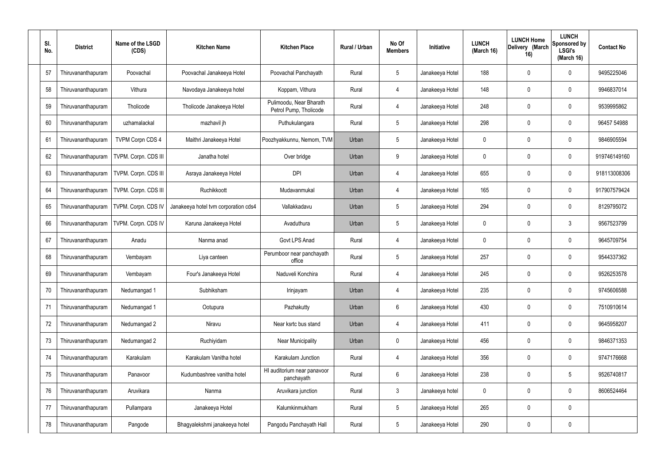| SI.<br>No. | <b>District</b>    | Name of the LSGD<br>(CDS) | <b>Kitchen Name</b>                  | <b>Kitchen Place</b>                              | Rural / Urban | No Of<br><b>Members</b> | Initiative      | <b>LUNCH</b><br>(March 16) | <b>LUNCH Home</b><br>Delivery (March<br>16) | <b>LUNCH</b><br>Sponsored by<br><b>LSGI's</b><br>(March 16) | <b>Contact No</b> |
|------------|--------------------|---------------------------|--------------------------------------|---------------------------------------------------|---------------|-------------------------|-----------------|----------------------------|---------------------------------------------|-------------------------------------------------------------|-------------------|
| 57         | Thiruvananthapuram | Poovachal                 | Poovachal Janakeeya Hotel            | Poovachal Panchayath                              | Rural         | $5\phantom{.0}$         | Janakeeya Hotel | 188                        | 0                                           | 0                                                           | 9495225046        |
| 58         | Thiruvananthapuram | Vithura                   | Navodaya Janakeeya hotel             | Koppam, Vithura                                   | Rural         | 4                       | Janakeeya Hotel | 148                        | 0                                           | $\boldsymbol{0}$                                            | 9946837014        |
| 59         | Thiruvananthapuram | Tholicode                 | Tholicode Janakeeya Hotel            | Pulimoodu, Near Bharath<br>Petrol Pump, Tholicode | Rural         | $\overline{4}$          | Janakeeya Hotel | 248                        | 0                                           | 0                                                           | 9539995862        |
| 60         | Thiruvananthapuram | uzhamalackal              | mazhavil jh                          | Puthukulangara                                    | Rural         | $5\phantom{.0}$         | Janakeeya Hotel | 298                        | 0                                           | $\boldsymbol{0}$                                            | 96457 54988       |
| 61         | Thiruvananthapuram | <b>TVPM Corpn CDS 4</b>   | Maithri Janakeeya Hotel              | Poozhyakkunnu, Nemom, TVM                         | Urban         | $5\phantom{.0}$         | Janakeeya Hotel | 0                          | 0                                           | 0                                                           | 9846905594        |
| 62         | Thiruvananthapuram | TVPM. Corpn. CDS III      | Janatha hotel                        | Over bridge                                       | Urban         | 9                       | Janakeeya Hotel | 0                          | 0                                           | $\boldsymbol{0}$                                            | 919746149160      |
| 63         | Thiruvananthapuram | TVPM. Corpn. CDS III      | Asraya Janakeeya Hotel               | <b>DPI</b>                                        | Urban         | 4                       | Janakeeya Hotel | 655                        | $\mathbf 0$                                 | 0                                                           | 918113008306      |
| 64         | Thiruvananthapuram | TVPM. Corpn. CDS III      | Ruchikkoott                          | Mudavanmukal                                      | Urban         | 4                       | Janakeeya Hotel | 165                        | 0                                           | $\boldsymbol{0}$                                            | 917907579424      |
| 65         | Thiruvananthapuram | TVPM. Corpn. CDS IV       | Janakeeya hotel tvm corporation cds4 | Vallakkadavu                                      | Urban         | $5\phantom{.0}$         | Janakeeya Hotel | 294                        | 0                                           | $\pmb{0}$                                                   | 8129795072        |
| 66         | Thiruvananthapuram | TVPM. Corpn. CDS IV       | Karuna Janakeeya Hotel               | Avaduthura                                        | Urban         | $5\phantom{.0}$         | Janakeeya Hotel | 0                          | 0                                           | 3                                                           | 9567523799        |
| 67         | Thiruvananthapuram | Anadu                     | Nanma anad                           | Govt LPS Anad                                     | Rural         | 4                       | Janakeeya Hotel | 0                          | 0                                           | $\boldsymbol{0}$                                            | 9645709754        |
| 68         | Thiruvananthapuram | Vembayam                  | Liya canteen                         | Perumboor near panchayath<br>office               | Rural         | $5\phantom{.0}$         | Janakeeya Hotel | 257                        | 0                                           | $\boldsymbol{0}$                                            | 9544337362        |
| 69         | Thiruvananthapuram | Vembayam                  | Four's Janakeeya Hotel               | Naduveli Konchira                                 | Rural         |                         | Janakeeya Hotel | 245                        | 0                                           | 0                                                           | 9526253578        |
| 70         | Thiruvananthapuram | Nedumangad 1              | Subhiksham                           | Irinjayam                                         | Urban         | 4                       | Janakeeya Hotel | 235                        | 0                                           | $\boldsymbol{0}$                                            | 9745606588        |
| 71         | Thiruvananthapuram | Nedumangad 1              | Ootupura                             | Pazhakutty                                        | Urban         | $6\phantom{.}$          | Janakeeya Hotel | 430                        | $\boldsymbol{0}$                            | $\pmb{0}$                                                   | 7510910614        |
| 72         | Thiruvananthapuram | Nedumangad 2              | Niravu                               | Near ksrtc bus stand                              | Urban         | 4                       | Janakeeya Hotel | 411                        | 0                                           | $\pmb{0}$                                                   | 9645958207        |
| 73         | Thiruvananthapuram | Nedumangad 2              | Ruchiyidam                           | <b>Near Municipality</b>                          | Urban         | $\pmb{0}$               | Janakeeya Hotel | 456                        | $\boldsymbol{0}$                            | $\boldsymbol{0}$                                            | 9846371353        |
| 74         | Thiruvananthapuram | Karakulam                 | Karakulam Vanitha hotel              | Karakulam Junction                                | Rural         | 4                       | Janakeeya Hotel | 356                        | 0                                           | $\pmb{0}$                                                   | 9747176668        |
| 75         | Thiruvananthapuram | Panavoor                  | Kudumbashree vanitha hotel           | HI auditorium near panavoor<br>panchayath         | Rural         | $6\phantom{.}$          | Janakeeya Hotel | 238                        | $\boldsymbol{0}$                            | 5                                                           | 9526740817        |
| 76         | Thiruvananthapuram | Aruvikara                 | Nanma                                | Aruvikara junction                                | Rural         | $\mathbf{3}$            | Janakeeya hotel | 0                          | $\boldsymbol{0}$                            | $\pmb{0}$                                                   | 8606524464        |
| 77         | Thiruvananthapuram | Pullampara                | Janakeeya Hotel                      | Kalumkinmukham                                    | Rural         | $5\phantom{.0}$         | Janakeeya Hotel | 265                        | $\boldsymbol{0}$                            | $\pmb{0}$                                                   |                   |
| 78         | Thiruvananthapuram | Pangode                   | Bhagyalekshmi janakeeya hotel        | Pangodu Panchayath Hall                           | Rural         | $5\,$                   | Janakeeya Hotel | 290                        | 0                                           | $\pmb{0}$                                                   |                   |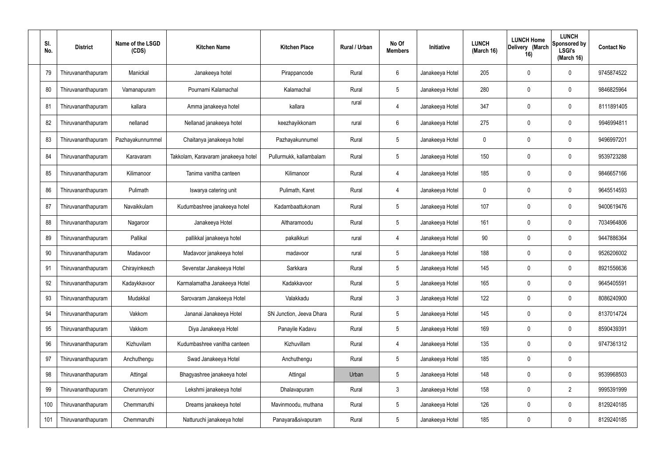| SI.<br>No. | <b>District</b>    | Name of the LSGD<br>(CDS) | <b>Kitchen Name</b>                 | <b>Kitchen Place</b>     | Rural / Urban | No Of<br><b>Members</b> | Initiative      | <b>LUNCH</b><br>(March 16) | <b>LUNCH Home</b><br>Delivery (March<br>16) | <b>LUNCH</b><br><b>Sponsored by</b><br><b>LSGI's</b><br>(March 16) | <b>Contact No</b> |
|------------|--------------------|---------------------------|-------------------------------------|--------------------------|---------------|-------------------------|-----------------|----------------------------|---------------------------------------------|--------------------------------------------------------------------|-------------------|
| 79         | Thiruvananthapuram | Manickal                  | Janakeeya hotel                     | Pirappancode             | Rural         | 6                       | Janakeeya Hotel | 205                        | 0                                           | 0                                                                  | 9745874522        |
| 80         | Thiruvananthapuram | Vamanapuram               | Pournami Kalamachal                 | Kalamachal               | Rural         | $5\phantom{.0}$         | Janakeeya Hotel | 280                        | $\mathbf 0$                                 | 0                                                                  | 9846825964        |
| 81         | Thiruvananthapuram | kallara                   | Amma janakeeya hotel                | kallara                  | rural         | $\overline{4}$          | Janakeeya Hotel | 347                        | 0                                           | 0                                                                  | 8111891405        |
| 82         | Thiruvananthapuram | nellanad                  | Nellanad janakeeya hotel            | keezhayikkonam           | rural         | 6                       | Janakeeya Hotel | 275                        | $\mathbf 0$                                 | 0                                                                  | 9946994811        |
| 83         | Thiruvananthapuram | Pazhayakunnummel          | Chaitanya janakeeya hotel           | Pazhayakunnumel          | Rural         | $5\phantom{.0}$         | Janakeeya Hotel | $\mathbf{0}$               | $\mathbf 0$                                 | 0                                                                  | 9496997201        |
| 84         | Thiruvananthapuram | Karavaram                 | Takkolam, Karavaram janakeeya hotel | Pullurmukk, kallambalam  | Rural         | $5\phantom{.0}$         | Janakeeya Hotel | 150                        | $\mathbf 0$                                 | 0                                                                  | 9539723288        |
| 85         | Thiruvananthapuram | Kilimanoor                | Tanima vanitha canteen              | Kilimanoor               | Rural         | $\overline{4}$          | Janakeeya Hotel | 185                        | 0                                           | 0                                                                  | 9846657166        |
| 86         | Thiruvananthapuram | Pulimath                  | Iswarya catering unit               | Pulimath, Karet          | Rural         | $\overline{4}$          | Janakeeya Hotel | $\mathbf 0$                | $\mathbf 0$                                 | 0                                                                  | 9645514593        |
| 87         | Thiruvananthapuram | Navaikkulam               | Kudumbashree janakeeya hotel        | Kadambaattukonam         | Rural         | $5\phantom{.0}$         | Janakeeya Hotel | 107                        | 0                                           | 0                                                                  | 9400619476        |
| 88         | Thiruvananthapuram | Nagaroor                  | Janakeeya Hotel                     | Altharamoodu             | Rural         | $5\phantom{.0}$         | Janakeeya Hotel | 161                        | $\mathbf 0$                                 | 0                                                                  | 7034964806        |
| 89         | Thiruvananthapuram | Pallikal                  | pallikkal janakeeya hotel           | pakalkkuri               | rural         | 4                       | Janakeeya Hotel | 90                         | 0                                           | 0                                                                  | 9447886364        |
| 90         | Thiruvananthapuram | Madavoor                  | Madavoor janakeeya hotel            | madavoor                 | rural         | $5\phantom{.0}$         | Janakeeya Hotel | 188                        | 0                                           | 0                                                                  | 9526206002        |
| 91         | Thiruvananthapuram | Chirayinkeezh             | Sevenstar Janakeeya Hotel           | Sarkkara                 | Rural         | $5\phantom{.0}$         | Janakeeya Hotel | 145                        | $\boldsymbol{0}$                            | 0                                                                  | 8921556636        |
| 92         | Thiruvananthapuram | Kadaykkavoor              | Karmalamatha Janakeeya Hotel        | Kadakkavoor              | Rural         | 5                       | Janakeeya Hotel | 165                        | $\mathbf 0$                                 | 0                                                                  | 9645405591        |
| 93         | Thiruvananthapuram | Mudakkal                  | Sarovaram Janakeeya Hotel           | Valakkadu                | Rural         | $\mathbf{3}$            | Janakeeya Hotel | 122                        | $\mathbf 0$                                 | 0                                                                  | 8086240900        |
| 94         | Thiruvananthapuram | Vakkom                    | Jananai Janakeeya Hotel             | SN Junction, Jeeva Dhara | Rural         | $5\phantom{.0}$         | Janakeeya Hotel | 145                        | $\pmb{0}$                                   | 0                                                                  | 8137014724        |
| 95         | Thiruvananthapuram | Vakkom                    | Diya Janakeeya Hotel                | Panayile Kadavu          | Rural         | $5\phantom{.0}$         | Janakeeya Hotel | 169                        | $\mathbf 0$                                 | 0                                                                  | 8590439391        |
| 96         | Thiruvananthapuram | Kizhuvilam                | Kudumbashree vanitha canteen        | Kizhuvillam              | Rural         | $\overline{4}$          | Janakeeya Hotel | 135                        | $\mathbf 0$                                 | 0                                                                  | 9747361312        |
| 97         | Thiruvananthapuram | Anchuthengu               | Swad Janakeeya Hotel                | Anchuthengu              | Rural         | $5\phantom{.0}$         | Janakeeya Hotel | 185                        | $\pmb{0}$                                   | 0                                                                  |                   |
| 98         | Thiruvananthapuram | Attingal                  | Bhagyashree janakeeya hotel         | Attingal                 | Urban         | $5\phantom{.0}$         | Janakeeya Hotel | 148                        | $\mathbf 0$                                 | 0                                                                  | 9539968503        |
| 99         | Thiruvananthapuram | Cherunniyoor              | Lekshmi janakeeya hotel             | Dhalavapuram             | Rural         | $\mathbf{3}$            | Janakeeya Hotel | 158                        | $\mathbf 0$                                 | $\overline{2}$                                                     | 9995391999        |
| 100        | Thiruvananthapuram | Chemmaruthi               | Dreams janakeeya hotel              | Mavinmoodu, muthana      | Rural         | $5\phantom{.0}$         | Janakeeya Hotel | 126                        | $\mathbf 0$                                 | 0                                                                  | 8129240185        |
| 101        | Thiruvananthapuram | Chemmaruthi               | Natturuchi janakeeya hotel          | Panayara&sivapuram       | Rural         | $\sqrt{5}$              | Janakeeya Hotel | 185                        | $\boldsymbol{0}$                            | 0                                                                  | 8129240185        |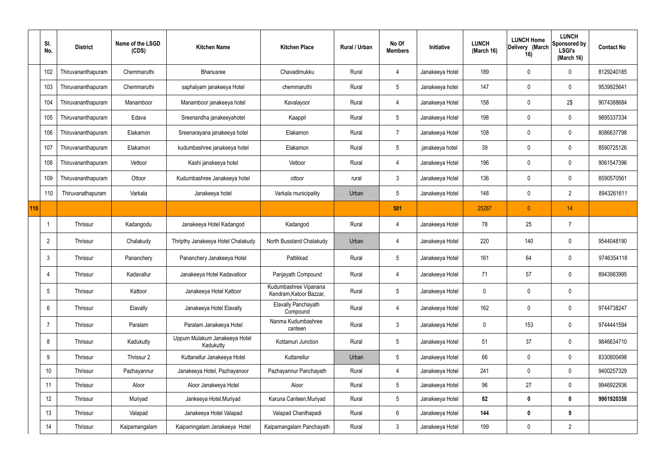|     | SI.<br>No.      | <b>District</b>    | Name of the LSGD<br>(CDS) | <b>Kitchen Name</b>                        | <b>Kitchen Place</b>                             | Rural / Urban | No Of<br><b>Members</b> | Initiative      | <b>LUNCH</b><br>(March 16) | <b>LUNCH Home</b><br>Delivery (March<br>16) | <b>LUNCH</b><br>Sponsored by<br><b>LSGI's</b><br>(March 16) | <b>Contact No</b> |
|-----|-----------------|--------------------|---------------------------|--------------------------------------------|--------------------------------------------------|---------------|-------------------------|-----------------|----------------------------|---------------------------------------------|-------------------------------------------------------------|-------------------|
|     | 102             | Thiruvananthapuram | Chemmaruthi               | Bhanusree                                  | Chavadimukku                                     | Rural         | 4                       | Janakeeya Hotel | 189                        | $\mathbf 0$                                 | $\mathbf 0$                                                 | 8129240185        |
|     | 103             | Thiruvananthapuram | Chemmaruthi               | saphalyam janakeeya Hotel                  | chemmaruthi                                      | Rural         | $5\overline{)}$         | Janakeeya hotel | 147                        | 0                                           | $\mathbf 0$                                                 | 9539925641        |
|     | 104             | Thiruvananthapuram | Manamboor                 | Manamboor janakeeya hotel                  | Kavalayoor                                       | Rural         | 4                       | Janakeeya Hotel | 158                        | $\mathbf 0$                                 | 2\$                                                         | 9074388684        |
|     | 105             | Thiruvananthapuram | Edava                     | Sreenandha janakeeyahotel                  | Kaappil                                          | Rural         | $5\overline{)}$         | Janakeeya Hotel | 198                        | $\mathbf 0$                                 | $\mathbf 0$                                                 | 9895337334        |
|     | 106             | Thiruvananthapuram | Elakamon                  | Sreenarayana janakeeya hotel               | Elakamon                                         | Rural         | $\overline{7}$          | Janakeeya Hotel | 108                        | $\mathbf 0$                                 | $\mathbf 0$                                                 | 8086637798        |
|     | 107             | Thiruvananthapuram | Elakamon                  | kudumbashree janakeeya hotel               | Elakamon                                         | Rural         | $5\overline{)}$         | janakeeya hotel | 39                         | $\mathbf 0$                                 | $\mathbf 0$                                                 | 8590725126        |
|     | 108             | Thiruvananthapuram | Vettoor                   | Kashi janakeeya hotel                      | Vettoor                                          | Rural         | 4                       | Janakeeya Hotel | 196                        | $\mathbf 0$                                 | $\mathbf 0$                                                 | 9061547396        |
|     | 109             | Thiruvananthapuram | Ottoor                    | Kudumbashree Janakeeya hotel               | ottoor                                           | rural         | $\mathbf{3}$            | Janakeeya Hotel | 136                        | 0                                           | $\mathbf 0$                                                 | 8590570561        |
|     | 110             | Thiruvanathapuram  | Varkala                   | Janakeeya hotel                            | Varkala municipality                             | Urban         | $5\phantom{.0}$         | Janakeeya Hotel | 148                        | 0                                           | $\overline{2}$                                              | 8943261611        |
| 110 |                 |                    |                           |                                            |                                                  |               | 501                     |                 | 25287                      | $\mathbf{0}$                                | 14                                                          |                   |
|     |                 | Thrissur           | Kadangodu                 | Janakeeya Hotel Kadangod                   | Kadangod                                         | Rural         | 4                       | Janakeeya Hotel | 78                         | 25                                          | $\overline{7}$                                              |                   |
|     | $\overline{2}$  | Thrissur           | Chalakudy                 | Thripthy Janakeeya Hotel Chalakudy         | North Busstand Chalakudy                         | Urban         | 4                       | Janakeeya Hotel | 220                        | 140                                         | $\mathbf 0$                                                 | 9544048190        |
|     | 3               | Thrissur           | Pananchery                | Pananchery Janakeeya Hotel                 | Pattikkad                                        | Rural         | $5\overline{)}$         | Janakeeya Hotel | 161                        | 64                                          | $\mathbf 0$                                                 | 9746354118        |
|     |                 | Thrissur           | Kadavallur                | Janakeeya Hotel Kadavalloor                | Panjayath Compound                               | Rural         | 4                       | Janakeeya Hotel | 71                         | 57                                          | 0                                                           | 8943983995        |
|     | $5\overline{)}$ | Thrissur           | Kattoor                   | Janakeeya Hotel Kattoor                    | Kudumbashree Vipanana<br>Kendram, Katoor Bazzar, | Rural         | $5\phantom{.0}$         | Janakeeya Hotel | $\pmb{0}$                  | 0                                           | $\mathbf 0$                                                 |                   |
|     | 6               | <b>Thrissur</b>    | Elavally                  | Janakeeya Hotel Elavally                   | Elavally Panchayath<br>Compound                  | Rural         | $\overline{4}$          | Janakeeya Hotel | 162                        | $\pmb{0}$                                   | $\mathbf 0$                                                 | 9744738247        |
|     |                 | Thrissur           | Paralam                   | Paralam Janakeeya Hotel                    | Nanma Kudumbashree<br>canteen                    | Rural         | $\mathbf{3}$            | Janakeeya Hotel | $\pmb{0}$                  | 153                                         | $\mathbf 0$                                                 | 9744441594        |
|     | 8               | <b>Thrissur</b>    | Kadukutty                 | Uppum Mulakum Janakeeya Hotel<br>Kadukutty | Kottamuri Junction                               | Rural         | $5\phantom{.0}$         | Janakeeya Hotel | 51                         | 37                                          | $\mathbf 0$                                                 | 9846634710        |
|     | 9               | Thrissur           | Thrissur 2                | Kuttanellur Janakeeya Hotel                | Kuttanellur                                      | Urban         | $5\overline{)}$         | Janakeeya Hotel | 66                         | $\mathbf 0$                                 | $\mathbf 0$                                                 | 8330800498        |
|     | 10              | Thrissur           | Pazhayannur               | Janakeeya Hotel, Pazhayanoor               | Pazhayannur Panchayath                           | Rural         | $\overline{4}$          | Janakeeya Hotel | 241                        | $\pmb{0}$                                   | $\mathbf 0$                                                 | 9400257329        |
|     | 11              | Thrissur           | Aloor                     | Aloor Janakeeya Hotel                      | Aloor                                            | Rural         | $5\overline{)}$         | Janakeeya Hotel | 96                         | 27                                          | $\mathbf 0$                                                 | 9946922936        |
|     | 12              | Thrissur           | Muriyad                   | Jankeeya Hotel, Muriyad                    | Karuna Canteen, Muriyad                          | Rural         | $5\overline{)}$         | Janakeeya Hotel | 82                         | $\pmb{0}$                                   | $\mathbf 0$                                                 | 9961920358        |
|     | 13              | Thrissur           | Valapad                   | Janakeeya Hotel Valapad                    | Valapad Chanthapadi                              | Rural         | $6\overline{6}$         | Janakeeya Hotel | 144                        | $\pmb{0}$                                   | 9                                                           |                   |
|     | 14              | Thrissur           | Kaipamangalam             | Kaipamngalam Janakeeya Hotel               | Kaipamangalam Panchayath                         | Rural         | $3\phantom{.0}$         | Janakeeya Hotel | 199                        | $\pmb{0}$                                   | $\overline{2}$                                              |                   |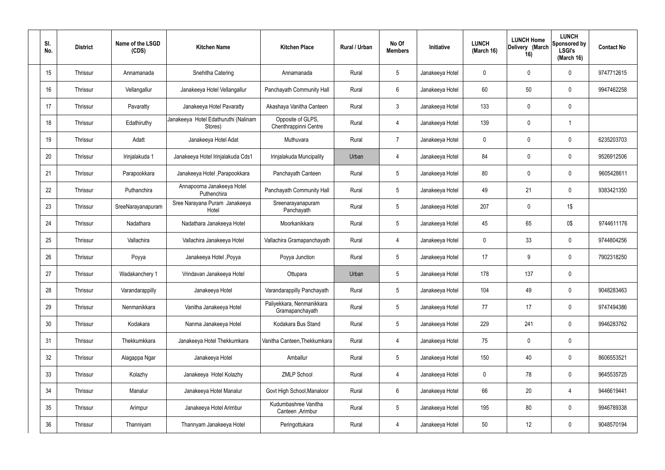| SI.<br>No. | <b>District</b> | Name of the LSGD<br>(CDS) | <b>Kitchen Name</b>                             | <b>Kitchen Place</b>                         | Rural / Urban | No Of<br><b>Members</b> | <b>Initiative</b> | <b>LUNCH</b><br>(March 16) | <b>LUNCH Home</b><br>Delivery (March<br>16) | <b>LUNCH</b><br>Sponsored by<br><b>LSGI's</b><br>(March 16) | <b>Contact No</b> |
|------------|-----------------|---------------------------|-------------------------------------------------|----------------------------------------------|---------------|-------------------------|-------------------|----------------------------|---------------------------------------------|-------------------------------------------------------------|-------------------|
| 15         | Thrissur        | Annamanada                | Snehitha Catering                               | Annamanada                                   | Rural         | $5\phantom{.0}$         | Janakeeya Hotel   | $\mathbf 0$                | 0                                           | $\mathbf 0$                                                 | 9747712615        |
| 16         | Thrissur        | Vellangallur              | Janakeeya Hotel Vellangallur                    | Panchayath Community Hall                    | Rural         | $6\phantom{.}6$         | Janakeeya Hotel   | 60                         | 50                                          | $\mathbf 0$                                                 | 9947462258        |
| 17         | Thrissur        | Pavaratty                 | Janakeeya Hotel Pavaratty                       | Akashaya Vanitha Canteen                     | Rural         | $\mathbf{3}$            | Janakeeya Hotel   | 133                        | $\mathbf 0$                                 | $\mathbf 0$                                                 |                   |
| 18         | Thrissur        | Edathiruthy               | Janakeeya Hotel Edathuruthi (Nalinam<br>Stores) | Opposite of GLPS,<br>Chenthrappinni Centre   | Rural         | $\overline{4}$          | Janakeeya Hotel   | 139                        | 0                                           | $\overline{\mathbf{1}}$                                     |                   |
| 19         | Thrissur        | Adatt                     | Janakeeya Hotel Adat                            | Muthuvara                                    | Rural         | $\overline{7}$          | Janakeeya Hotel   | $\mathbf 0$                | 0                                           | $\mathbf 0$                                                 | 6235203703        |
| 20         | Thrissur        | Irinjalakuda 1            | Janakeeya Hotel Irinjalakuda Cds1               | Irinjalakuda Muncipality                     | Urban         | 4                       | Janakeeya Hotel   | 84                         | 0                                           | $\mathbf 0$                                                 | 9526912506        |
| 21         | Thrissur        | Parapookkara              | Janakeeya Hotel, Parapookkara                   | Panchayath Canteen                           | Rural         | $5\phantom{.0}$         | Janakeeya Hotel   | 80                         | $\mathbf 0$                                 | $\mathbf 0$                                                 | 9605428611        |
| 22         | Thrissur        | Puthanchira               | Annapoorna Janakeeya Hotel<br>Puthenchira       | Panchayath Community Hall                    | Rural         | $5\phantom{.0}$         | Janakeeya Hotel   | 49                         | 21                                          | $\mathbf 0$                                                 | 9383421350        |
| 23         | Thrissur        | SreeNarayanapuram         | Sree Narayana Puram Janakeeya<br>Hotel          | Sreenarayanapuram<br>Panchayath              | Rural         | $5\phantom{.0}$         | Janakeeya Hotel   | 207                        | $\mathbf 0$                                 | 1\$                                                         |                   |
| 24         | Thrissur        | Nadathara                 | Nadathara Janakeeya Hotel                       | Moorkanikkara                                | Rural         | $5\phantom{.0}$         | Janakeeya Hotel   | 45                         | 65                                          | 0\$                                                         | 9744611176        |
| 25         | Thrissur        | Vallachira                | Vallachira Janakeeya Hotel                      | Vallachira Gramapanchayath                   | Rural         | $\overline{4}$          | Janakeeya Hotel   | $\mathbf 0$                | 33                                          | $\mathbf 0$                                                 | 9744804256        |
| 26         | Thrissur        | Poyya                     | Janakeeya Hotel , Poyya                         | Poyya Junction                               | Rural         | $5\phantom{.0}$         | Janakeeya Hotel   | 17                         | 9                                           | $\mathbf 0$                                                 | 7902318250        |
| 27         | Thrissur        | Wadakanchery 1            | Vrindavan Janakeeya Hotel                       | Ottupara                                     | Urban         | 5                       | Janakeeya Hotel   | 178                        | 137                                         | $\mathbf 0$                                                 |                   |
| 28         | Thrissur        | Varandarappilly           | Janakeeya Hotel                                 | Varandarappilly Panchayath                   | Rural         | $5\phantom{.0}$         | Janakeeya Hotel   | 104                        | 49                                          | $\mathbf 0$                                                 | 9048283463        |
| 29         | Thrissur        | Nenmanikkara              | Vanitha Janakeeya Hotel                         | Paliyekkara, Nenmanikkara<br>Gramapanchayath | Rural         | $5\phantom{.0}$         | Janakeeya Hotel   | 77                         | 17                                          | $\mathbf 0$                                                 | 9747494386        |
| 30         | Thrissur        | Kodakara                  | Nanma Janakeeya Hotel                           | Kodakara Bus Stand                           | Rural         | $5\phantom{.0}$         | Janakeeya Hotel   | 229                        | 241                                         | $\mathbf 0$                                                 | 9946283762        |
| 31         | Thrissur        | Thekkumkkara              | Janakeeya Hotel Thekkumkara                     | Vanitha Canteen, Thekkumkara                 | Rural         | $\overline{4}$          | Janakeeya Hotel   | 75                         | 0                                           | $\mathbf 0$                                                 |                   |
| 32         | Thrissur        | Alagappa Ngar             | Janakeeya Hotel                                 | Amballur                                     | Rural         | $5\phantom{.0}$         | Janakeeya Hotel   | 150                        | 40                                          | $\mathbf 0$                                                 | 8606553521        |
| 33         | Thrissur        | Kolazhy                   | Janakeeya Hotel Kolazhy                         | <b>ZMLP School</b>                           | Rural         | $\overline{4}$          | Janakeeya Hotel   | $\mathbf 0$                | 78                                          | $\mathbf 0$                                                 | 9645535725        |
| 34         | Thrissur        | Manalur                   | Janakeeya Hotel Manalur                         | Govt High School, Manaloor                   | Rural         | $6\overline{6}$         | Janakeeya Hotel   | 66                         | 20                                          | $\overline{4}$                                              | 9446619441        |
| 35         | Thrissur        | Arimpur                   | Janakeeya Hotel Arimbur                         | Kudumbashree Vanitha<br>Canteen , Arimbur    | Rural         | $5\phantom{.0}$         | Janakeeya Hotel   | 195                        | 80                                          | $\mathbf 0$                                                 | 9946789338        |
| 36         | Thrissur        | Thanniyam                 | Thannyam Janakeeya Hotel                        | Peringottukara                               | Rural         | 4                       | Janakeeya Hotel   | 50                         | 12                                          | $\mathbf 0$                                                 | 9048570194        |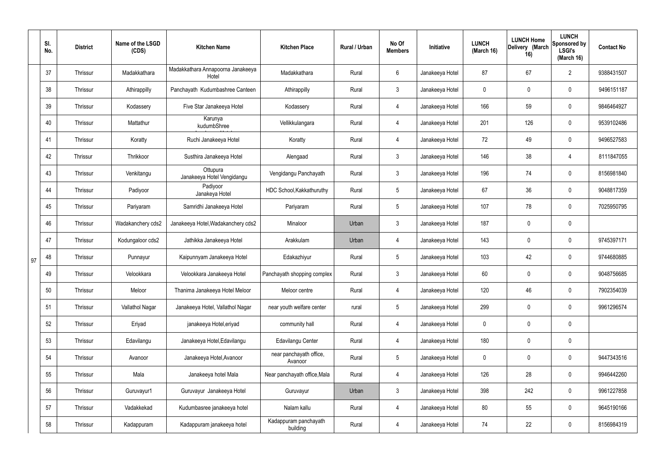|    | SI.<br>No. | <b>District</b> | Name of the LSGD<br>(CDS) | <b>Kitchen Name</b>                        | <b>Kitchen Place</b>               | <b>Rural / Urban</b> | No Of<br><b>Members</b> | Initiative      | <b>LUNCH</b><br>(March 16) | <b>LUNCH Home</b><br>Delivery (March<br>16) | <b>LUNCH</b><br>Sponsored by<br><b>LSGI's</b><br>(March 16) | <b>Contact No</b> |
|----|------------|-----------------|---------------------------|--------------------------------------------|------------------------------------|----------------------|-------------------------|-----------------|----------------------------|---------------------------------------------|-------------------------------------------------------------|-------------------|
|    | 37         | Thrissur        | Madakkathara              | Madakkathara Annapoorna Janakeeya<br>Hotel | Madakkathara                       | Rural                | 6                       | Janakeeya Hotel | 87                         | 67                                          | $\overline{2}$                                              | 9388431507        |
|    | 38         | Thrissur        | Athirappilly              | Panchayath Kudumbashree Canteen            | Athirappilly                       | Rural                | $\mathbf{3}$            | Janakeeya Hotel | 0                          | $\mathbf 0$                                 | $\pmb{0}$                                                   | 9496151187        |
|    | 39         | Thrissur        | Kodassery                 | Five Star Janakeeya Hotel                  | Kodassery                          | Rural                | 4                       | Janakeeya Hotel | 166                        | 59                                          | $\pmb{0}$                                                   | 9846464927        |
|    | 40         | Thrissur        | Mattathur                 | Karunya<br>kudumbShree                     | Vellikkulangara                    | Rural                | 4                       | Janakeeya Hotel | 201                        | 126                                         | $\pmb{0}$                                                   | 9539102486        |
|    | 41         | Thrissur        | Koratty                   | Ruchi Janakeeya Hotel                      | Koratty                            | Rural                | 4                       | Janakeeya Hotel | 72                         | 49                                          | $\pmb{0}$                                                   | 9496527583        |
|    | 42         | Thrissur        | Thrikkoor                 | Susthira Janakeeya Hotel                   | Alengaad                           | Rural                | $\mathbf{3}$            | Janakeeya Hotel | 146                        | 38                                          | $\overline{4}$                                              | 8111847055        |
|    | 43         | Thrissur        | Venkitangu                | Ottupura<br>Janakeeya Hotel Vengidangu     | Vengidangu Panchayath              | Rural                | $\mathfrak{Z}$          | Janakeeya Hotel | 196                        | 74                                          | $\pmb{0}$                                                   | 8156981840        |
|    | 44         | Thrissur        | Padiyoor                  | Padiyoor<br>Janakeya Hotel                 | HDC School, Kakkathuruthy          | Rural                | 5                       | Janakeeya Hotel | 67                         | 36                                          | $\pmb{0}$                                                   | 9048817359        |
|    | 45         | Thrissur        | Pariyaram                 | Samridhi Janakeeya Hotel                   | Pariyaram                          | Rural                | 5                       | Janakeeya Hotel | 107                        | 78                                          | $\pmb{0}$                                                   | 7025950795        |
|    | 46         | Thrissur        | Wadakanchery cds2         | Janakeeya Hotel, Wadakanchery cds2         | Minaloor                           | Urban                | 3                       | Janakeeya Hotel | 187                        | $\mathbf 0$                                 | $\pmb{0}$                                                   |                   |
|    | 47         | Thrissur        | Kodungaloor cds2          | Jathikka Janakeeya Hotel                   | Arakkulam                          | Urban                | 4                       | Janakeeya Hotel | 143                        | $\mathbf 0$                                 | $\mathbf 0$                                                 | 9745397171        |
| 97 | 48         | Thrissur        | Punnayur                  | Kaipunnyam Janakeeya Hotel                 | Edakazhiyur                        | Rural                | 5                       | Janakeeya Hotel | 103                        | 42                                          | $\pmb{0}$                                                   | 9744680885        |
|    | 49         | Thrissur        | Velookkara                | Velookkara Janakeeya Hotel                 | Panchayath shopping complex        | Rural                | 3                       | Janakeeya Hotel | 60                         | $\mathbf 0$                                 | $\mathbf 0$                                                 | 9048756685        |
|    | 50         | Thrissur        | Meloor                    | Thanima Janakeeya Hotel Meloor             | Meloor centre                      | Rural                | 4                       | Janakeeya Hotel | 120                        | 46                                          | $\pmb{0}$                                                   | 7902354039        |
|    | 51         | Thrissur        | Vallathol Nagar           | Janakeeya Hotel, Vallathol Nagar           | near youth welfare center          | rural                | 5 <sub>5</sub>          | Janakeeya Hotel | 299                        | $\mathbf 0$                                 | $\mathbf 0$                                                 | 9961296574        |
|    | 52         | Thrissur        | Eriyad                    | janakeeya Hotel, eriyad                    | community hall                     | Rural                | $\overline{4}$          | Janakeeya Hotel | 0                          | 0                                           | $\pmb{0}$                                                   |                   |
|    | 53         | Thrissur        | Edavilangu                | Janakeeya Hotel, Edavilangu                | Edavilangu Center                  | Rural                | $\overline{4}$          | Janakeeya Hotel | 180                        | $\mathbf 0$                                 | $\pmb{0}$                                                   |                   |
|    | 54         | Thrissur        | Avanoor                   | Janakeeya Hotel, Avanoor                   | near panchayath office,<br>Avanoor | Rural                | $5\phantom{.0}$         | Janakeeya Hotel | 0                          | $\mathbf 0$                                 | $\mathbf 0$                                                 | 9447343516        |
|    | 55         | Thrissur        | Mala                      | Janakeeya hotel Mala                       | Near panchayath office, Mala       | Rural                | $\overline{4}$          | Janakeeya Hotel | 126                        | 28                                          | $\pmb{0}$                                                   | 9946442260        |
|    | 56         | Thrissur        | Guruvayur1                | Guruvayur Janakeeya Hotel                  | Guruvayur                          | Urban                | $\mathfrak{Z}$          | Janakeeya Hotel | 398                        | 242                                         | $\pmb{0}$                                                   | 9961227858        |
|    | 57         | Thrissur        | Vadakkekad                | Kudumbasree janakeeya hotel                | Nalam kallu                        | Rural                | $\overline{4}$          | Janakeeya Hotel | 80                         | 55                                          | $\mathbf 0$                                                 | 9645190166        |
|    | 58         | Thrissur        | Kadappuram                | Kadappuram janakeeya hotel                 | Kadappuram panchayath<br>building  | Rural                | 4                       | Janakeeya Hotel | 74                         | 22                                          | $\mathbf 0$                                                 | 8156984319        |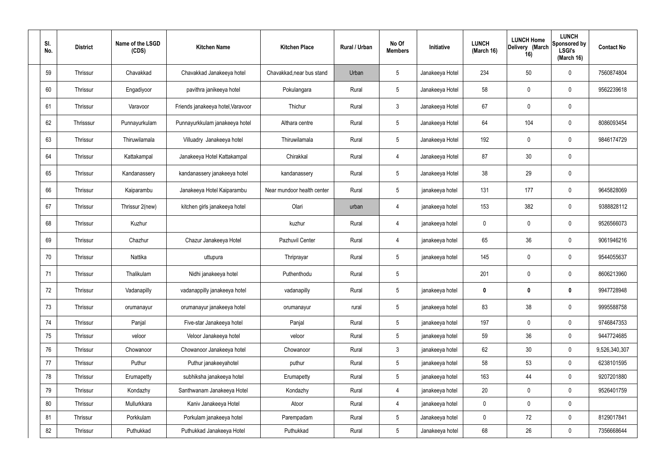| SI.<br>No. | <b>District</b> | Name of the LSGD<br>(CDS) | <b>Kitchen Name</b>               | <b>Kitchen Place</b>       | Rural / Urban | No Of<br><b>Members</b> | Initiative      | <b>LUNCH</b><br>(March 16) | <b>LUNCH Home</b><br>Delivery (March<br>16) | <b>LUNCH</b><br>Sponsored by<br><b>LSGI's</b><br>(March 16) | <b>Contact No</b> |
|------------|-----------------|---------------------------|-----------------------------------|----------------------------|---------------|-------------------------|-----------------|----------------------------|---------------------------------------------|-------------------------------------------------------------|-------------------|
| 59         | Thrissur        | Chavakkad                 | Chavakkad Janakeeya hotel         | Chavakkad, near bus stand  | Urban         | $5\phantom{.0}$         | Janakeeya Hotel | 234                        | 50                                          | $\mathbf 0$                                                 | 7560874804        |
| 60         | Thrissur        | Engadiyoor                | pavithra janikeeya hotel          | Pokulangara                | Rural         | $5\phantom{.0}$         | Janakeeya Hotel | 58                         | $\mathbf 0$                                 | $\mathbf 0$                                                 | 9562239618        |
| 61         | Thrissur        | Varavoor                  | Friends janakeeya hotel, Varavoor | Thichur                    | Rural         | $\mathbf{3}$            | Janakeeya Hotel | 67                         | $\mathbf 0$                                 | $\mathbf 0$                                                 |                   |
| 62         | Thrisssur       | Punnayurkulam             | Punnayurkkulam janakeeya hotel    | Althara centre             | Rural         | $5\phantom{.0}$         | Janakeeya Hotel | 64                         | 104                                         | $\mathbf 0$                                                 | 8086093454        |
| 63         | Thrissur        | Thiruwilamala             | Villuadry Janakeeya hotel         | Thiruwilamala              | Rural         | $5\overline{)}$         | Janakeeya Hotel | 192                        | $\mathbf 0$                                 | $\mathbf 0$                                                 | 9846174729        |
| 64         | Thrissur        | Kattakampal               | Janakeeya Hotel Kattakampal       | Chirakkal                  | Rural         | $\overline{4}$          | Janakeeya Hotel | 87                         | 30                                          | $\mathbf 0$                                                 |                   |
| 65         | Thrissur        | Kandanassery              | kandanassery janakeeya hotel      | kandanassery               | Rural         | $5\overline{)}$         | Janakeeya Hotel | 38                         | 29                                          | $\mathbf 0$                                                 |                   |
| 66         | Thrissur        | Kaiparambu                | Janakeeya Hotel Kaiparambu        | Near mundoor health center | Rural         | $5\phantom{.0}$         | janakeeya hotel | 131                        | 177                                         | $\mathbf 0$                                                 | 9645828069        |
| 67         | Thrissur        | Thrissur 2(new)           | kitchen girls janakeeya hotel     | Olari                      | urban         | $\overline{4}$          | janakeeya hotel | 153                        | 382                                         | $\mathbf 0$                                                 | 9388828112        |
| 68         | Thrissur        | Kuzhur                    |                                   | kuzhur                     | Rural         | $\overline{4}$          | janakeeya hotel | $\mathbf 0$                | $\mathbf 0$                                 | $\mathbf 0$                                                 | 9526566073        |
| 69         | Thrissur        | Chazhur                   | Chazur Janakeeya Hotel            | Pazhuvil Center            | Rural         | 4                       | janakeeya hotel | 65                         | 36                                          | $\mathbf 0$                                                 | 9061946216        |
| 70         | Thrissur        | Nattika                   | uttupura                          | Thriprayar                 | Rural         | $5\phantom{.0}$         | janakeeya hotel | 145                        | $\mathbf 0$                                 | $\mathbf 0$                                                 | 9544055637        |
| 71         | Thrissur        | Thalikulam                | Nidhi janakeeya hotel             | Puthenthodu                | Rural         | 5                       |                 | 201                        | 0                                           | $\mathbf 0$                                                 | 8606213960        |
| 72         | Thrissur        | Vadanapilly               | vadanappilly janakeeya hotel      | vadanapilly                | Rural         | $5\phantom{.0}$         | janakeeya hotel | $\mathbf 0$                | $\boldsymbol{0}$                            | $\mathbf 0$                                                 | 9947728948        |
| 73         | Thrissur        | orumanayur                | orumanayur janakeeya hotel        | orumanayur                 | rural         | $5\overline{)}$         | janakeeya hotel | 83                         | 38                                          | $\mathbf 0$                                                 | 9995588758        |
| 74         | Thrissur        | Panjal                    | Five-star Janakeeya hotel         | Panjal                     | Rural         | $5\phantom{.0}$         | janakeeya hotel | 197                        | $\mathbf 0$                                 | $\mathbf 0$                                                 | 9746847353        |
| 75         | Thrissur        | veloor                    | Veloor Janakeeya hotel            | veloor                     | Rural         | $5\overline{)}$         | janakeeya hotel | 59                         | 36                                          | $\mathbf 0$                                                 | 9447724685        |
| 76         | Thrissur        | Chowanoor                 | Chowanoor Janakeeya hotel         | Chowanoor                  | Rural         | $\mathbf{3}$            | janakeeya hotel | 62                         | 30                                          | $\mathbf 0$                                                 | 9,526,340,307     |
| 77         | Thrissur        | Puthur                    | Puthur janakeeyahotel             | puthur                     | Rural         | $5\overline{)}$         | janakeeya hotel | 58                         | 53                                          | $\mathbf 0$                                                 | 6238101595        |
| 78         | Thrissur        | Erumapetty                | subhiksha janakeeya hotel         | Erumapetty                 | Rural         | $5\phantom{.0}$         | janakeeya hotel | 163                        | 44                                          | $\mathbf 0$                                                 | 9207201880        |
| 79         | Thrissur        | Kondazhy                  | Santhwanam Janakeeya Hotel        | Kondazhy                   | Rural         | $\overline{4}$          | janakeeya hotel | 20                         | 0                                           | $\mathbf 0$                                                 | 9526401759        |
| 80         | Thrissur        | Mullurkkara               | Kaniv Janakeeya Hotel             | Atoor                      | Rural         | $\overline{4}$          | janakeeya hotel | $\pmb{0}$                  | 0                                           | $\mathbf 0$                                                 |                   |
| 81         | Thrissur        | Porkkulam                 | Porkulam janakeeya hotel          | Parempadam                 | Rural         | $5\overline{)}$         | Janakeeya hotel | $\mathbf 0$                | 72                                          | $\mathbf 0$                                                 | 8129017841        |
| 82         | Thrissur        | Puthukkad                 | Puthukkad Janakeeya Hotel         | Puthukkad                  | Rural         | $5\phantom{.0}$         | Janakeeya hotel | 68                         | 26                                          | $\mathbf 0$                                                 | 7356668644        |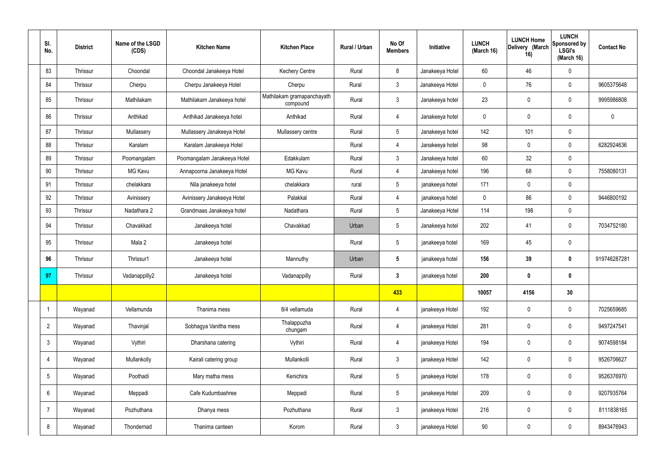| SI.<br>No.      | <b>District</b> | Name of the LSGD<br>(CDS) | <b>Kitchen Name</b>         | <b>Kitchen Place</b>                   | Rural / Urban | No Of<br><b>Members</b> | Initiative      | <b>LUNCH</b><br>(March 16) | <b>LUNCH Home</b><br>Delivery (March<br>16) | <b>LUNCH</b><br>Sponsored by<br><b>LSGI's</b><br>(March 16) | <b>Contact No</b> |
|-----------------|-----------------|---------------------------|-----------------------------|----------------------------------------|---------------|-------------------------|-----------------|----------------------------|---------------------------------------------|-------------------------------------------------------------|-------------------|
| 83              | <b>Thrissur</b> | Choondal                  | Choondal Janakeeya Hotel    | <b>Kechery Centre</b>                  | Rural         | 8                       | Janakeeya Hotel | 60                         | 46                                          | $\mathbf 0$                                                 |                   |
| 84              | Thrissur        | Cherpu                    | Cherpu Janakeeya Hotel      | Cherpu                                 | Rural         | $\mathbf{3}$            | Janakeeya Hotel | $\mathbf 0$                | 76                                          | $\mathbf 0$                                                 | 9605375648        |
| 85              | Thrissur        | Mathilakam                | Mathilakam Janakeeya hotel  | Mathilakam gramapanchayath<br>compound | Rural         | $\mathbf{3}$            | Janakeeya hotel | 23                         | $\pmb{0}$                                   | $\mathbf 0$                                                 | 9995986808        |
| 86              | Thrissur        | Anthikad                  | Anthikad Janakeeya hotel    | Anthikad                               | Rural         | $\overline{4}$          | Janakeeya hotel | $\mathbf 0$                | $\pmb{0}$                                   | $\mathbf 0$                                                 | $\mathbf 0$       |
| 87              | Thrissur        | Mullassery                | Mullassery Janakeeya Hotel  | Mullassery centre                      | Rural         | $5\overline{)}$         | Janakeeya hotel | 142                        | 101                                         | $\mathbf 0$                                                 |                   |
| 88              | <b>Thrissur</b> | Karalam                   | Karalam Janakeeya Hotel     |                                        | Rural         | $\overline{4}$          | Janakeeya hotel | 98                         | $\mathbf 0$                                 | $\mathbf 0$                                                 | 6282924636        |
| 89              | Thrissur        | Poomangalam               | Poomangalam Janakeeya Hotel | Edakkulam                              | Rural         | 3                       | Janakeeya hotel | 60                         | 32                                          | $\mathbf 0$                                                 |                   |
| 90              | <b>Thrissur</b> | MG Kavu                   | Annapoorna Janakeeya Hotel  | <b>MG Kavu</b>                         | Rural         | $\overline{4}$          | Janakeeya hotel | 196                        | 68                                          | $\mathbf 0$                                                 | 7558080131        |
| 91              | <b>Thrissur</b> | chelakkara                | Nila janakeeya hotel        | chelakkara                             | rural         | $5\overline{)}$         | janakeeya hotel | 171                        | $\mathbf 0$                                 | $\mathbf 0$                                                 |                   |
| 92              | Thrissur        | Avinissery                | Avinissery Janakeeya Hotel  | Palakkal                               | Rural         | $\overline{4}$          | janakeeya hotel | $\mathbf 0$                | 86                                          | $\mathbf 0$                                                 | 9446800192        |
| 93              | Thrissur        | Nadathara 2               | Grandmaas Janakeeya hotel   | Nadathara                              | Rural         | $5\overline{)}$         | Janakeeya Hotel | 114                        | 198                                         | $\mathbf 0$                                                 |                   |
| 94              | <b>Thrissur</b> | Chavakkad                 | Janakeeya hotel             | Chavakkad                              | Urban         | $5\overline{)}$         | Janakeeya hotel | 202                        | 41                                          | $\mathbf 0$                                                 | 7034752180        |
| 95              | Thrissur        | Mala 2                    | Janakeeya hotel             |                                        | Rural         | $5\phantom{.0}$         | janakeeya hotel | 169                        | 45                                          | $\mathbf 0$                                                 |                   |
| 96              | <b>Thrissur</b> | Thrissur1                 | Janakeeya hotel             | Mannuthy                               | Urban         | $5\phantom{.0}$         | janakeeya hotel | 156                        | 39                                          | $\bf{0}$                                                    | 919746287281      |
| 97              | Thrissur        | Vadanappilly2             | Janakeeya hotel             | Vadanappilly                           | Rural         | $\overline{3}$          | janakeeya hotel | 200                        | 0                                           | 0                                                           |                   |
|                 |                 |                           |                             |                                        |               | 433                     |                 | 10057                      | 4156                                        | 30                                                          |                   |
| -1              | Wayanad         | Vellamunda                | Thanima mess                | 8/4 vellamuda                          | Rural         | $\overline{4}$          | janakeeya Hotel | 192                        | $\pmb{0}$                                   | $\mathbf 0$                                                 | 7025659685        |
| $\overline{2}$  | Wayanad         | Thavinjal                 | Sobhagya Vanitha mess       | Thalappuzha<br>chungam                 | Rural         | $\overline{4}$          | janakeeya Hotel | 281                        | $\pmb{0}$                                   | $\mathbf 0$                                                 | 9497247541        |
| $\mathfrak{Z}$  | Wayanad         | Vythiri                   | Dharshana catering          | Vythiri                                | Rural         | $\overline{4}$          | janakeeya Hotel | 194                        | $\pmb{0}$                                   | $\mathbf 0$                                                 | 9074598184        |
| $\overline{4}$  | Wayanad         | Mullankolly               | Kairali catering group      | Mullankolli                            | Rural         | $\mathbf{3}$            | janakeeya Hotel | 142                        | $\pmb{0}$                                   | $\mathbf 0$                                                 | 9526706627        |
| $5\overline{)}$ | Wayanad         | Poothadi                  | Mary matha mess             | Kenichira                              | Rural         | $5\overline{)}$         | janakeeya Hotel | 178                        | $\pmb{0}$                                   | $\mathbf 0$                                                 | 9526376970        |
| 6               | Wayanad         | Meppadi                   | Cafe Kudumbashree           | Meppadi                                | Rural         | $5\overline{)}$         | janakeeya Hotel | 209                        | $\pmb{0}$                                   | $\mathbf 0$                                                 | 9207935764        |
| $\overline{7}$  | Wayanad         | Pozhuthana                | Dhanya mess                 | Pozhuthana                             | Rural         | $\mathbf{3}$            | janakeeya Hotel | 216                        | $\pmb{0}$                                   | $\mathbf 0$                                                 | 8111838165        |
| 8               | Wayanad         | Thondernad                | Thanima canteen             | Korom                                  | Rural         | 3 <sup>1</sup>          | janakeeya Hotel | $90\,$                     | $\pmb{0}$                                   | $\boldsymbol{0}$                                            | 8943476943        |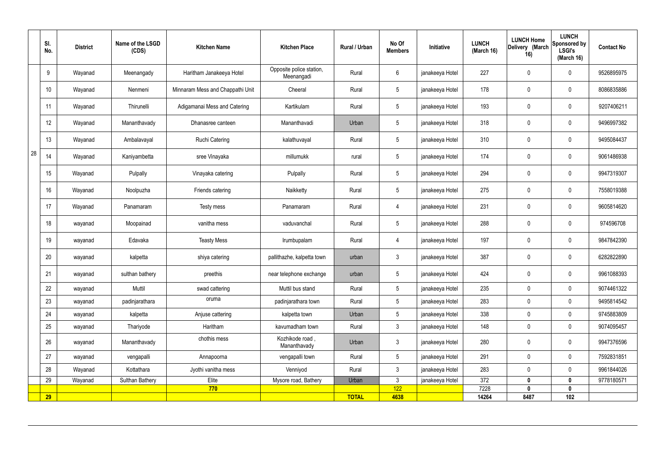|    | SI.<br>No.      | <b>District</b> | Name of the LSGD<br>(CDS) | <b>Kitchen Name</b>              | <b>Kitchen Place</b>                   | <b>Rural / Urban</b> | No Of<br><b>Members</b> | Initiative      | <b>LUNCH</b><br>(March 16) | <b>LUNCH Home</b><br>Delivery (March<br>16) | <b>LUNCH</b><br>Sponsored by<br><b>LSGI's</b><br>(March 16) | <b>Contact No</b> |
|----|-----------------|-----------------|---------------------------|----------------------------------|----------------------------------------|----------------------|-------------------------|-----------------|----------------------------|---------------------------------------------|-------------------------------------------------------------|-------------------|
|    | 9               | Wayanad         | Meenangady                | Haritham Janakeeya Hotel         | Opposite police station,<br>Meenangadi | Rural                | 6                       | janakeeya Hotel | 227                        | $\mathbf 0$                                 | $\mathbf 0$                                                 | 9526895975        |
|    | 10 <sup>°</sup> | Wayanad         | Nenmeni                   | Minnaram Mess and Chappathi Unit | Cheeral                                | Rural                | $5\overline{)}$         | janakeeya Hotel | 178                        | $\mathbf 0$                                 | $\mathbf 0$                                                 | 8086835886        |
|    | 11              | Wayanad         | Thirunelli                | Adigamanai Mess and Catering     | Kartikulam                             | Rural                | $5\overline{)}$         | janakeeya Hotel | 193                        | $\mathbf 0$                                 | $\mathbf 0$                                                 | 9207406211        |
|    | 12              | Wayanad         | Mananthavady              | Dhanasree canteen                | Mananthavadi                           | Urban                | $5\phantom{.0}$         | janakeeya Hotel | 318                        | $\mathbf 0$                                 | $\mathbf 0$                                                 | 9496997382        |
|    | 13              | Wayanad         | Ambalavayal               | <b>Ruchi Catering</b>            | kalathuvayal                           | Rural                | $5\phantom{.0}$         | janakeeya Hotel | 310                        | $\mathbf 0$                                 | $\mathbf 0$                                                 | 9495084437        |
| 28 | 14              | Wayanad         | Kaniyambetta              | sree Vinayaka                    | millumukk                              | rural                | $5\phantom{.0}$         | janakeeya Hotel | 174                        | $\mathbf 0$                                 | $\mathbf 0$                                                 | 9061486938        |
|    | 15              | Wayanad         | Pulpally                  | Vinayaka catering                | Pulpally                               | Rural                | $5\phantom{.0}$         | janakeeya Hotel | 294                        | $\mathbf 0$                                 | $\mathbf 0$                                                 | 9947319307        |
|    | 16              | Wayanad         | Noolpuzha                 | Friends catering                 | Naikketty                              | Rural                | $5\phantom{.0}$         | janakeeya Hotel | 275                        | $\mathbf 0$                                 | $\mathbf 0$                                                 | 7558019388        |
|    | 17              | Wayanad         | Panamaram                 | Testy mess                       | Panamaram                              | Rural                | $\overline{4}$          | janakeeya Hotel | 231                        | $\mathbf 0$                                 | $\mathbf 0$                                                 | 9605814620        |
|    | 18              | wayanad         | Moopainad                 | vanitha mess                     | vaduvanchal                            | Rural                | $5\phantom{.0}$         | janakeeya Hotel | 288                        | $\mathbf 0$                                 | $\mathbf 0$                                                 | 974596708         |
|    | 19              | wayanad         | Edavaka                   | <b>Teasty Mess</b>               | Irumbupalam                            | Rural                | 4                       | janakeeya Hotel | 197                        | $\mathbf 0$                                 | $\mathbf 0$                                                 | 9847842390        |
|    | 20              | wayanad         | kalpetta                  | shiya catering                   | pallithazhe, kalpetta town             | urban                | 3                       | janakeeya Hotel | 387                        | $\mathbf 0$                                 | $\mathbf 0$                                                 | 6282822890        |
|    | 21              | wayanad         | sulthan bathery           | preethis                         | near telephone exchange                | urban                | $5\overline{)}$         | janakeeya Hotel | 424                        | $\mathbf 0$                                 | $\mathbf 0$                                                 | 9961088393        |
|    | 22              | wayanad         | Muttil                    | swad cattering                   | Muttil bus stand                       | Rural                | $5\overline{)}$         | janakeeya Hotel | 235                        | $\mathbf 0$                                 | $\mathbf 0$                                                 | 9074461322        |
|    | 23              | wayanad         | padinjarathara            | oruma                            | padinjarathara town                    | Rural                | 5 <sub>5</sub>          | janakeeya Hotel | 283                        | $\mathbf 0$                                 | $\mathbf 0$                                                 | 9495814542        |
|    | 24              | wayanad         | kalpetta                  | Anjuse cattering                 | kalpetta town                          | Urban                | 5 <sup>5</sup>          | janakeeya Hotel | 338                        | $\mathbf 0$                                 | $\mathbf 0$                                                 | 9745883809        |
|    | 25              | wayanad         | Thariyode                 | Haritham                         | kavumadham town                        | Rural                | $\mathbf{3}$            | janakeeya Hotel | 148                        | $\mathbf 0$                                 | $\mathbf 0$                                                 | 9074095457        |
|    | 26              | wayanad         | Mananthavady              | chothis mess                     | Kozhikode road,<br>Mananthavady        | Urban                | $\mathbf{3}$            | janakeeya Hotel | 280                        | $\mathbf 0$                                 | $\mathbf 0$                                                 | 9947376596        |
|    | 27              | wayanad         | vengapalli                | Annapoorna                       | vengapalli town                        | Rural                | $5\overline{)}$         | janakeeya Hotel | 291                        | $\pmb{0}$                                   | $\mathbf 0$                                                 | 7592831851        |
|    | 28              | Wayanad         | Kottathara                | Jyothi vanitha mess              | Venniyod                               | Rural                | $\mathbf{3}$            | janakeeya Hotel | 283                        | $\pmb{0}$                                   | $\mathbf 0$                                                 | 9961844026        |
|    | 29              | Wayanad         | Sulthan Bathery           | Elite                            | Mysore road, Bathery                   | Urban                | $\mathbf{3}$            | janakeeya Hotel | 372                        | $\mathbf 0$                                 | $\mathbf 0$                                                 | 9778180571        |
|    |                 |                 |                           | 770                              |                                        |                      | 122                     |                 | 7228                       | $\mathbf{0}$                                | $\mathbf 0$                                                 |                   |
|    | <b>29</b>       |                 |                           |                                  |                                        | <b>TOTAL</b>         | 4638                    |                 | 14264                      | 8487                                        | 102                                                         |                   |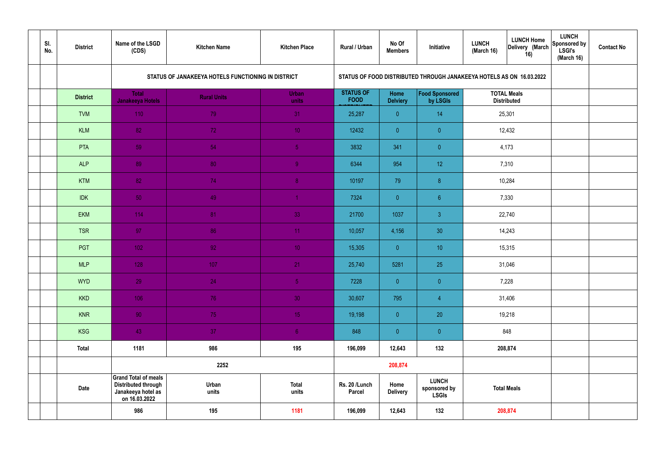| SI.<br>No. | <b>District</b> | Name of the LSGD<br>(CDS)                                                                        | <b>Kitchen Name</b>                                | <b>Kitchen Place</b>  | Rural / Urban                   | No Of<br><b>Members</b> | Initiative                                                           | <b>LUNCH</b><br>(March 16) | <b>LUNCH Home</b><br>Delivery (March<br>16) | <b>LUNCH</b><br>Sponsored by<br><b>LSGI's</b><br>(March 16) | <b>Contact No</b> |
|------------|-----------------|--------------------------------------------------------------------------------------------------|----------------------------------------------------|-----------------------|---------------------------------|-------------------------|----------------------------------------------------------------------|----------------------------|---------------------------------------------|-------------------------------------------------------------|-------------------|
|            |                 |                                                                                                  | STATUS OF JANAKEEYA HOTELS FUNCTIONING IN DISTRICT |                       |                                 |                         | STATUS OF FOOD DISTRIBUTED THROUGH JANAKEEYA HOTELS AS ON 16.03.2022 |                            |                                             |                                                             |                   |
|            | <b>District</b> | <b>Total</b><br><b>Janakeeya Hotels</b>                                                          | <b>Rural Units</b>                                 | <b>Urban</b><br>units | <b>STATUS OF</b><br><b>FOOD</b> | Home<br><b>Delviery</b> | Food Sponsored<br>by LSGIs                                           |                            | <b>TOTAL Meals</b><br><b>Distributed</b>    |                                                             |                   |
|            | <b>TVM</b>      | 110                                                                                              | 79                                                 | 31                    | 25,287                          | $\overline{0}$          | 14                                                                   |                            | 25,301                                      |                                                             |                   |
|            | <b>KLM</b>      | 82                                                                                               | 72                                                 | 10 <sub>1</sub>       | 12432                           | $\overline{0}$          | $\overline{0}$                                                       |                            | 12,432                                      |                                                             |                   |
|            | PTA             | 59                                                                                               | 54                                                 | $\sqrt{5}$            | 3832                            | 341                     | $\overline{0}$                                                       |                            | 4,173                                       |                                                             |                   |
|            | <b>ALP</b>      | 89                                                                                               | 80                                                 | $\overline{9}$        | 6344                            | 954                     | 12 <sup>°</sup>                                                      |                            | 7,310                                       |                                                             |                   |
|            | <b>KTM</b>      | 82                                                                                               | 74                                                 | 8 <sup>°</sup>        | 10197                           | 79                      | 8                                                                    |                            | 10,284                                      |                                                             |                   |
|            | <b>IDK</b>      | 50                                                                                               | 49                                                 | $\blacktriangleleft$  | 7324                            | $\overline{0}$          | 6 <sup>°</sup>                                                       |                            | 7,330                                       |                                                             |                   |
|            | <b>EKM</b>      | 114                                                                                              | 81                                                 | 33                    | 21700                           | 1037                    | $\mathbf{3}$                                                         |                            | 22,740                                      |                                                             |                   |
|            | <b>TSR</b>      | 97                                                                                               | 86                                                 | 11                    | 10,057                          | 4,156                   | 30                                                                   |                            | 14,243                                      |                                                             |                   |
|            | PGT             | $102$                                                                                            | 92                                                 | 10 <sup>°</sup>       | 15,305                          | $\overline{0}$          | 10 <sup>°</sup>                                                      |                            | 15,315                                      |                                                             |                   |
|            | <b>MLP</b>      | 128                                                                                              | 107                                                | 21                    | 25,740                          | 5281                    | 25                                                                   |                            | 31,046                                      |                                                             |                   |
|            | <b>WYD</b>      | 29                                                                                               | 24                                                 | 5 <sub>1</sub>        | 7228                            | $\mathbf{0}$            | $\overline{0}$                                                       |                            | 7,228                                       |                                                             |                   |
|            | <b>KKD</b>      | 106                                                                                              | 76                                                 | 30 <sup>°</sup>       | 30,607                          | 795                     | $\overline{4}$                                                       |                            | 31,406                                      |                                                             |                   |
|            | <b>KNR</b>      | 90 <sub>1</sub>                                                                                  | 75                                                 | 15 <sub>1</sub>       | 19,198                          | $\overline{0}$          | 20                                                                   | 19,218                     |                                             |                                                             |                   |
|            | <b>KSG</b>      | 43                                                                                               | 37                                                 | 6 <sup>1</sup>        | 848                             | $\overline{0}$          | $\pmb{0}$                                                            |                            | 848                                         |                                                             |                   |
|            | <b>Total</b>    | 1181                                                                                             | 986                                                | 195                   | 196,099                         | 12,643                  | 132                                                                  |                            | 208,874                                     |                                                             |                   |
|            |                 |                                                                                                  | 2252                                               |                       |                                 | 208,874                 |                                                                      |                            |                                             |                                                             |                   |
|            | <b>Date</b>     | <b>Grand Total of meals</b><br><b>Distributed through</b><br>Janakeeya hotel as<br>on 16.03.2022 | Urban<br>units                                     | <b>Total</b><br>units | Rs. 20 /Lunch<br><b>Parcel</b>  | Home<br><b>Delivery</b> | <b>LUNCH</b><br>sponsored by<br><b>LSGIs</b>                         | <b>Total Meals</b>         |                                             |                                                             |                   |
|            |                 | 986                                                                                              | 195                                                | 1181                  | 196,099                         | 12,643                  | 132                                                                  | 208,874                    |                                             |                                                             |                   |